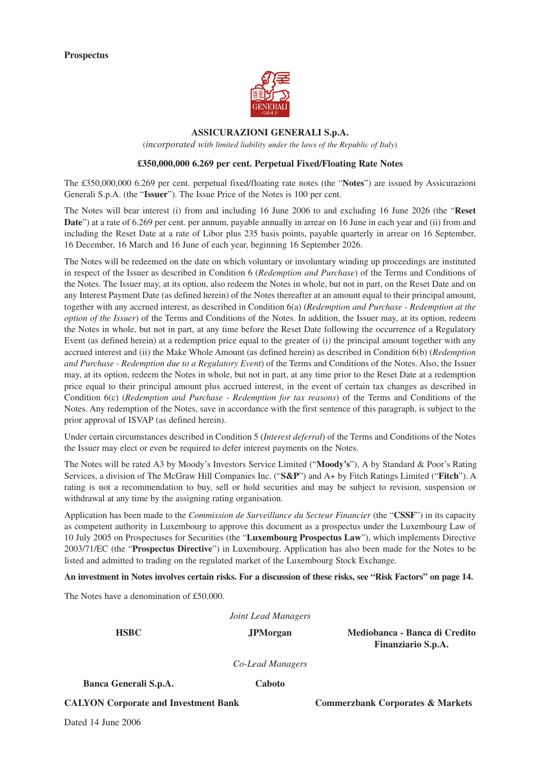

#### **ASSICURAZIONI GENERALI S.p.A.**

(*incorporated with limited liability under the laws of the Republic of Italy*)

#### **£350,000,000 6.269 per cent. Perpetual Fixed/Floating Rate Notes**

The £350,000,000 6.269 per cent. perpetual fixed/floating rate notes (the "**Notes**") are issued by Assicurazioni Generali S.p.A. (the "**Issuer**"). The Issue Price of the Notes is 100 per cent.

The Notes will bear interest (i) from and including 16 June 2006 to and excluding 16 June 2026 (the "**Reset Date**") at a rate of 6.269 per cent. per annum, payable annually in arrear on 16 June in each year and (ii) from and including the Reset Date at a rate of Libor plus 235 basis points, payable quarterly in arrear on 16 September, 16 December, 16 March and 16 June of each year, beginning 16 September 2026.

The Notes will be redeemed on the date on which voluntary or involuntary winding up proceedings are instituted in respect of the Issuer as described in Condition 6 (*Redemption and Purchase*) of the Terms and Conditions of the Notes. The Issuer may, at its option, also redeem the Notes in whole, but not in part, on the Reset Date and on any Interest Payment Date (as defined herein) of the Notes thereafter at an amount equal to their principal amount, together with any accrued interest, as described in Condition 6(a) (*Redemption and Purchase - Redemption at the option of the Issuer*) of the Terms and Conditions of the Notes. In addition, the Issuer may, at its option, redeem the Notes in whole, but not in part, at any time before the Reset Date following the occurrence of a Regulatory Event (as defined herein) at a redemption price equal to the greater of (i) the principal amount together with any accrued interest and (ii) the Make Whole Amount (as defined herein) as described in Condition 6(b) (*Redemption and Purchase - Redemption due to a Regulatory Event*) of the Terms and Conditions of the Notes. Also, the Issuer may, at its option, redeem the Notes in whole, but not in part, at any time prior to the Reset Date at a redemption price equal to their principal amount plus accrued interest, in the event of certain tax changes as described in Condition 6(c) (*Redemption and Purchase - Redemption for tax reasons*) of the Terms and Conditions of the Notes. Any redemption of the Notes, save in accordance with the first sentence of this paragraph, is subject to the prior approval of ISVAP (as defined herein).

Under certain circumstances described in Condition 5 (*Interest deferral*) of the Terms and Conditions of the Notes the Issuer may elect or even be required to defer interest payments on the Notes.

The Notes will be rated A3 by Moody's Investors Service Limited ("**Moody's**"), A by Standard & Poor's Rating Services, a division of The McGraw Hill Companies Inc. ("**S&P**") and A+ by Fitch Ratings Limited ("**Fitch**"). A rating is not a recommendation to buy, sell or hold securities and may be subject to revision, suspension or withdrawal at any time by the assigning rating organisation.

Application has been made to the *Commission de Surveillance du Secteur Financier* (the "**CSSF**") in its capacity as competent authority in Luxembourg to approve this document as a prospectus under the Luxembourg Law of 10 July 2005 on Prospectuses for Securities (the "**Luxembourg Prospectus Law**"), which implements Directive 2003/71/EC (the "**Prospectus Directive**") in Luxembourg. Application has also been made for the Notes to be listed and admitted to trading on the regulated market of the Luxembourg Stock Exchange.

**An investment in Notes involves certain risks. For a discussion of these risks, see "Risk Factors" on page 14.**

The Notes have a denomination of £50,000.

*Joint Lead Managers*

**HSBC JPMorgan Mediobanca - Banca di Credito Finanziario S.p.A.**

*Co-Lead Managers*

**Banca Generali S.p.A. Caboto**

**CALYON Corporate and Investment Bank Commerzbank Corporates & Markets** 

Dated 14 June 2006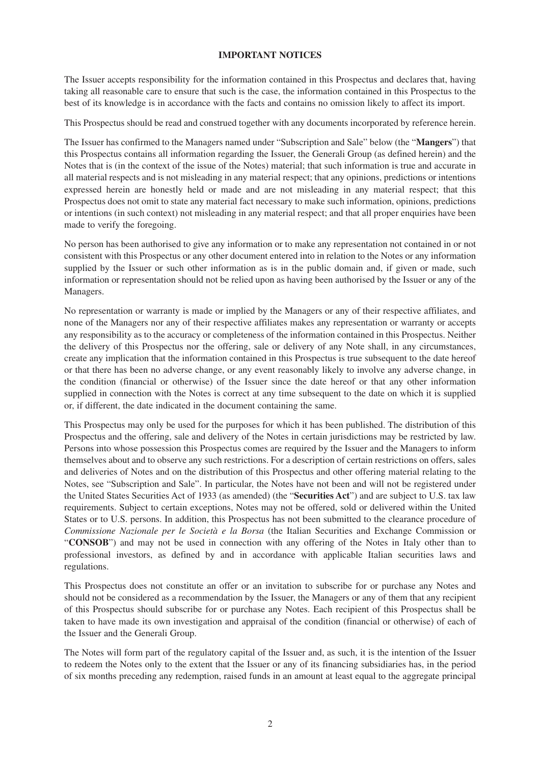## **IMPORTANT NOTICES**

The Issuer accepts responsibility for the information contained in this Prospectus and declares that, having taking all reasonable care to ensure that such is the case, the information contained in this Prospectus to the best of its knowledge is in accordance with the facts and contains no omission likely to affect its import.

This Prospectus should be read and construed together with any documents incorporated by reference herein.

The Issuer has confirmed to the Managers named under "Subscription and Sale" below (the "**Mangers**") that this Prospectus contains all information regarding the Issuer, the Generali Group (as defined herein) and the Notes that is (in the context of the issue of the Notes) material; that such information is true and accurate in all material respects and is not misleading in any material respect; that any opinions, predictions or intentions expressed herein are honestly held or made and are not misleading in any material respect; that this Prospectus does not omit to state any material fact necessary to make such information, opinions, predictions or intentions (in such context) not misleading in any material respect; and that all proper enquiries have been made to verify the foregoing.

No person has been authorised to give any information or to make any representation not contained in or not consistent with this Prospectus or any other document entered into in relation to the Notes or any information supplied by the Issuer or such other information as is in the public domain and, if given or made, such information or representation should not be relied upon as having been authorised by the Issuer or any of the Managers.

No representation or warranty is made or implied by the Managers or any of their respective affiliates, and none of the Managers nor any of their respective affiliates makes any representation or warranty or accepts any responsibility as to the accuracy or completeness of the information contained in this Prospectus. Neither the delivery of this Prospectus nor the offering, sale or delivery of any Note shall, in any circumstances, create any implication that the information contained in this Prospectus is true subsequent to the date hereof or that there has been no adverse change, or any event reasonably likely to involve any adverse change, in the condition (financial or otherwise) of the Issuer since the date hereof or that any other information supplied in connection with the Notes is correct at any time subsequent to the date on which it is supplied or, if different, the date indicated in the document containing the same.

This Prospectus may only be used for the purposes for which it has been published. The distribution of this Prospectus and the offering, sale and delivery of the Notes in certain jurisdictions may be restricted by law. Persons into whose possession this Prospectus comes are required by the Issuer and the Managers to inform themselves about and to observe any such restrictions. For a description of certain restrictions on offers, sales and deliveries of Notes and on the distribution of this Prospectus and other offering material relating to the Notes, see "Subscription and Sale". In particular, the Notes have not been and will not be registered under the United States Securities Act of 1933 (as amended) (the "**Securities Act**") and are subject to U.S. tax law requirements. Subject to certain exceptions, Notes may not be offered, sold or delivered within the United States or to U.S. persons. In addition, this Prospectus has not been submitted to the clearance procedure of *Commissione Nazionale per le Società e la Borsa* (the Italian Securities and Exchange Commission or "**CONSOB**") and may not be used in connection with any offering of the Notes in Italy other than to professional investors, as defined by and in accordance with applicable Italian securities laws and regulations.

This Prospectus does not constitute an offer or an invitation to subscribe for or purchase any Notes and should not be considered as a recommendation by the Issuer, the Managers or any of them that any recipient of this Prospectus should subscribe for or purchase any Notes. Each recipient of this Prospectus shall be taken to have made its own investigation and appraisal of the condition (financial or otherwise) of each of the Issuer and the Generali Group.

The Notes will form part of the regulatory capital of the Issuer and, as such, it is the intention of the Issuer to redeem the Notes only to the extent that the Issuer or any of its financing subsidiaries has, in the period of six months preceding any redemption, raised funds in an amount at least equal to the aggregate principal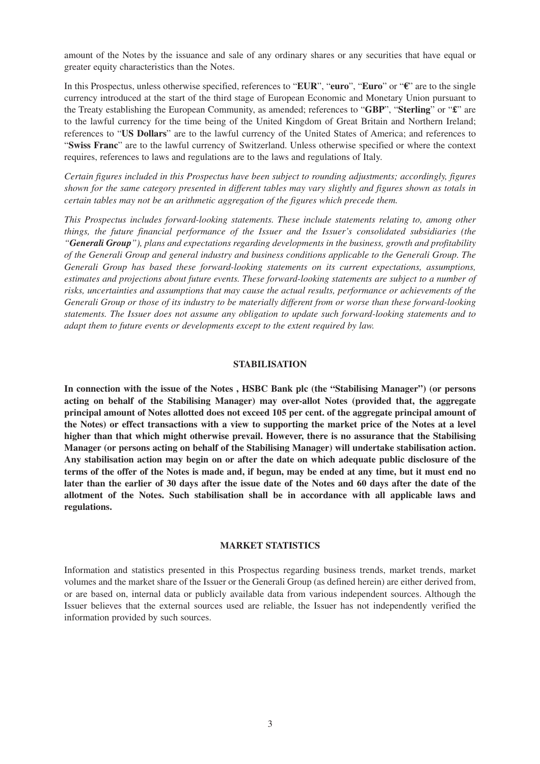amount of the Notes by the issuance and sale of any ordinary shares or any securities that have equal or greater equity characteristics than the Notes.

In this Prospectus, unless otherwise specified, references to "**EUR**", "**euro**", "**Euro**" or "**€**" are to the single currency introduced at the start of the third stage of European Economic and Monetary Union pursuant to the Treaty establishing the European Community, as amended; references to "**GBP**", "**Sterling**" or "**£**" are to the lawful currency for the time being of the United Kingdom of Great Britain and Northern Ireland; references to "**US Dollars**" are to the lawful currency of the United States of America; and references to "**Swiss Franc**" are to the lawful currency of Switzerland. Unless otherwise specified or where the context requires, references to laws and regulations are to the laws and regulations of Italy.

*Certain figures included in this Prospectus have been subject to rounding adjustments; accordingly, figures shown for the same category presented in different tables may vary slightly and figures shown as totals in certain tables may not be an arithmetic aggregation of the figures which precede them.*

*This Prospectus includes forward-looking statements. These include statements relating to, among other things, the future financial performance of the Issuer and the Issuer's consolidated subsidiaries (the "Generali Group"), plans and expectations regarding developments in the business, growth and profitability of the Generali Group and general industry and business conditions applicable to the Generali Group. The Generali Group has based these forward-looking statements on its current expectations, assumptions, estimates and projections about future events. These forward-looking statements are subject to a number of risks, uncertainties and assumptions that may cause the actual results, performance or achievements of the Generali Group or those of its industry to be materially different from or worse than these forward-looking statements. The Issuer does not assume any obligation to update such forward-looking statements and to adapt them to future events or developments except to the extent required by law.*

#### **STABILISATION**

**In connection with the issue of the Notes , HSBC Bank plc (the "Stabilising Manager") (or persons acting on behalf of the Stabilising Manager) may over-allot Notes (provided that, the aggregate principal amount of Notes allotted does not exceed 105 per cent. of the aggregate principal amount of the Notes) or effect transactions with a view to supporting the market price of the Notes at a level higher than that which might otherwise prevail. However, there is no assurance that the Stabilising Manager (or persons acting on behalf of the Stabilising Manager) will undertake stabilisation action. Any stabilisation action may begin on or after the date on which adequate public disclosure of the terms of the offer of the Notes is made and, if begun, may be ended at any time, but it must end no later than the earlier of 30 days after the issue date of the Notes and 60 days after the date of the allotment of the Notes. Such stabilisation shall be in accordance with all applicable laws and regulations.**

#### **MARKET STATISTICS**

Information and statistics presented in this Prospectus regarding business trends, market trends, market volumes and the market share of the Issuer or the Generali Group (as defined herein) are either derived from, or are based on, internal data or publicly available data from various independent sources. Although the Issuer believes that the external sources used are reliable, the Issuer has not independently verified the information provided by such sources.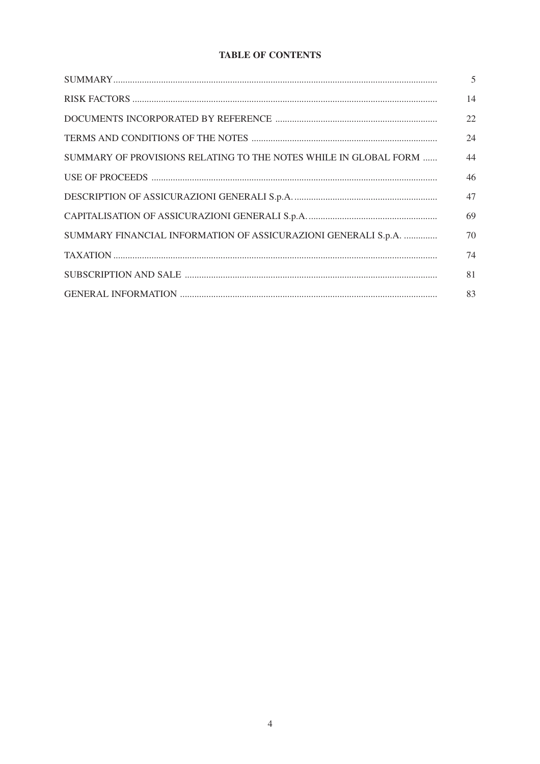# **TABLE OF CONTENTS**

|                                                                  | 5  |
|------------------------------------------------------------------|----|
|                                                                  | 14 |
|                                                                  | 22 |
|                                                                  | 24 |
| SUMMARY OF PROVISIONS RELATING TO THE NOTES WHILE IN GLOBAL FORM | 44 |
|                                                                  | 46 |
|                                                                  | 47 |
|                                                                  | 69 |
| SUMMARY FINANCIAL INFORMATION OF ASSICURAZIONI GENERALI S.p.A.   | 70 |
|                                                                  | 74 |
|                                                                  | 81 |
|                                                                  | 83 |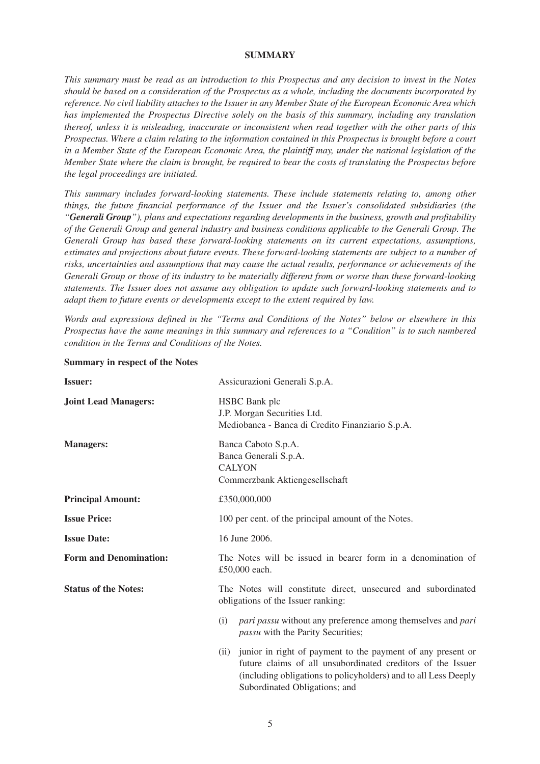#### **SUMMARY**

*This summary must be read as an introduction to this Prospectus and any decision to invest in the Notes should be based on a consideration of the Prospectus as a whole, including the documents incorporated by reference. No civil liability attaches to the Issuer in any Member State of the European Economic Area which has implemented the Prospectus Directive solely on the basis of this summary, including any translation thereof, unless it is misleading, inaccurate or inconsistent when read together with the other parts of this Prospectus. Where a claim relating to the information contained in this Prospectus is brought before a court in a Member State of the European Economic Area, the plaintiff may, under the national legislation of the Member State where the claim is brought, be required to bear the costs of translating the Prospectus before the legal proceedings are initiated.*

*This summary includes forward-looking statements. These include statements relating to, among other things, the future financial performance of the Issuer and the Issuer's consolidated subsidiaries (the "Generali Group"), plans and expectations regarding developments in the business, growth and profitability of the Generali Group and general industry and business conditions applicable to the Generali Group. The Generali Group has based these forward-looking statements on its current expectations, assumptions, estimates and projections about future events. These forward-looking statements are subject to a number of risks, uncertainties and assumptions that may cause the actual results, performance or achievements of the Generali Group or those of its industry to be materially different from or worse than these forward-looking statements. The Issuer does not assume any obligation to update such forward-looking statements and to adapt them to future events or developments except to the extent required by law.*

*Words and expressions defined in the "Terms and Conditions of the Notes" below or elsewhere in this Prospectus have the same meanings in this summary and references to a "Condition" is to such numbered condition in the Terms and Conditions of the Notes.*

| <b>Issuer:</b>                | Assicurazioni Generali S.p.A.                                                                                                                                                                      |
|-------------------------------|----------------------------------------------------------------------------------------------------------------------------------------------------------------------------------------------------|
| <b>Joint Lead Managers:</b>   | <b>HSBC</b> Bank plc<br>J.P. Morgan Securities Ltd.<br>Mediobanca - Banca di Credito Finanziario S.p.A.                                                                                            |
| <b>Managers:</b>              | Banca Caboto S.p.A.<br>Banca Generali S.p.A.<br><b>CALYON</b><br>Commerzbank Aktiengesellschaft                                                                                                    |
| <b>Principal Amount:</b>      | £350,000,000                                                                                                                                                                                       |
| <b>Issue Price:</b>           | 100 per cent. of the principal amount of the Notes.                                                                                                                                                |
| <b>Issue Date:</b>            | 16 June 2006.                                                                                                                                                                                      |
| <b>Form and Denomination:</b> | The Notes will be issued in bearer form in a denomination of<br>£50,000 each.                                                                                                                      |
| <b>Status of the Notes:</b>   | The Notes will constitute direct, unsecured and subordinated<br>obligations of the Issuer ranking:                                                                                                 |
|                               | <i>pari passu</i> without any preference among themselves and <i>pari</i><br>(i)<br>passu with the Parity Securities;                                                                              |
|                               | (ii) junior in right of payment to the payment of any present or<br>future claims of all unsubordinated creditors of the Issuer<br>(including obligations to policyholders) and to all Less Deeply |

#### **Summary in respect of the Notes**

Subordinated Obligations; and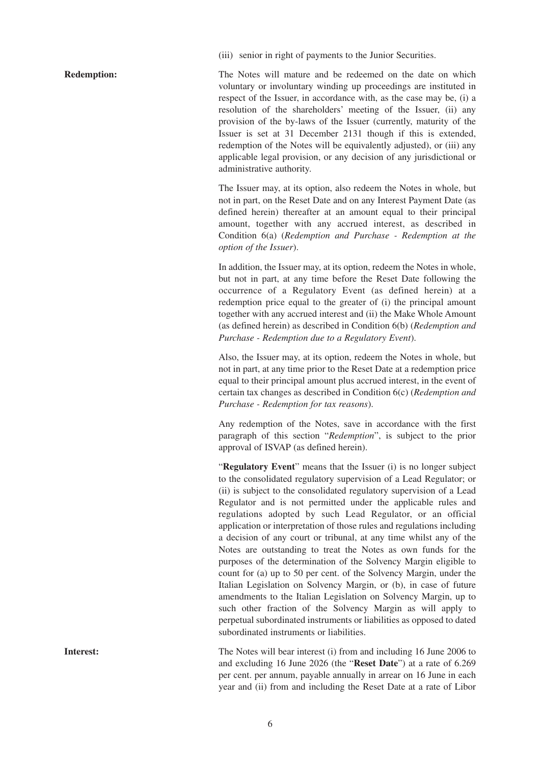(iii) senior in right of payments to the Junior Securities.

**Redemption:** The Notes will mature and be redeemed on the date on which voluntary or involuntary winding up proceedings are instituted in respect of the Issuer, in accordance with, as the case may be, (i) a resolution of the shareholders' meeting of the Issuer, (ii) any provision of the by-laws of the Issuer (currently, maturity of the Issuer is set at 31 December 2131 though if this is extended, redemption of the Notes will be equivalently adjusted), or (iii) any applicable legal provision, or any decision of any jurisdictional or administrative authority.

> The Issuer may, at its option, also redeem the Notes in whole, but not in part, on the Reset Date and on any Interest Payment Date (as defined herein) thereafter at an amount equal to their principal amount, together with any accrued interest, as described in Condition 6(a) (*Redemption and Purchase - Redemption at the option of the Issuer*).

> In addition, the Issuer may, at its option, redeem the Notes in whole, but not in part, at any time before the Reset Date following the occurrence of a Regulatory Event (as defined herein) at a redemption price equal to the greater of (i) the principal amount together with any accrued interest and (ii) the Make Whole Amount (as defined herein) as described in Condition 6(b) (*Redemption and Purchase - Redemption due to a Regulatory Event*).

> Also, the Issuer may, at its option, redeem the Notes in whole, but not in part, at any time prior to the Reset Date at a redemption price equal to their principal amount plus accrued interest, in the event of certain tax changes as described in Condition 6(c) (*Redemption and Purchase - Redemption for tax reasons*).

> Any redemption of the Notes, save in accordance with the first paragraph of this section "*Redemption*", is subject to the prior approval of ISVAP (as defined herein).

> "**Regulatory Event**" means that the Issuer (i) is no longer subject to the consolidated regulatory supervision of a Lead Regulator; or (ii) is subject to the consolidated regulatory supervision of a Lead Regulator and is not permitted under the applicable rules and regulations adopted by such Lead Regulator, or an official application or interpretation of those rules and regulations including a decision of any court or tribunal, at any time whilst any of the Notes are outstanding to treat the Notes as own funds for the purposes of the determination of the Solvency Margin eligible to count for (a) up to 50 per cent. of the Solvency Margin, under the Italian Legislation on Solvency Margin, or (b), in case of future amendments to the Italian Legislation on Solvency Margin, up to such other fraction of the Solvency Margin as will apply to perpetual subordinated instruments or liabilities as opposed to dated subordinated instruments or liabilities.

**Interest:** The Notes will bear interest (i) from and including 16 June 2006 to and excluding 16 June 2026 (the "**Reset Date**") at a rate of 6.269 per cent. per annum, payable annually in arrear on 16 June in each year and (ii) from and including the Reset Date at a rate of Libor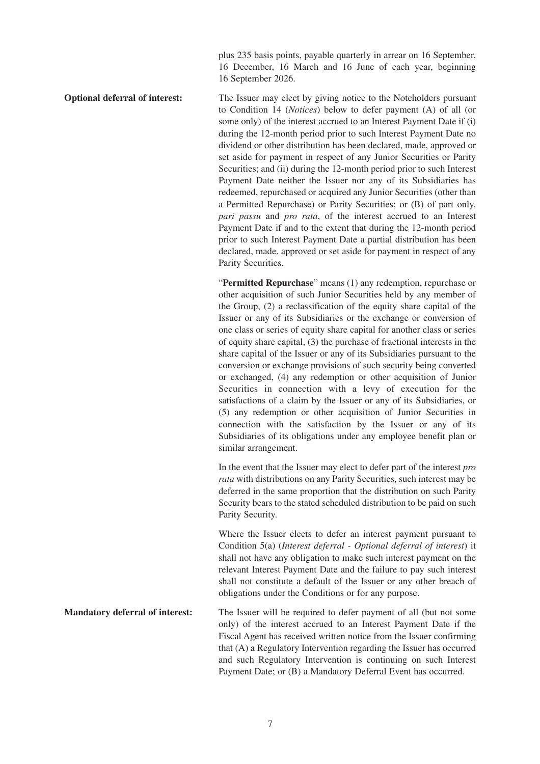plus 235 basis points, payable quarterly in arrear on 16 September, 16 December, 16 March and 16 June of each year, beginning 16 September 2026.

**Optional deferral of interest:** The Issuer may elect by giving notice to the Noteholders pursuant to Condition 14 (*Notices*) below to defer payment (A) of all (or some only) of the interest accrued to an Interest Payment Date if (i) during the 12-month period prior to such Interest Payment Date no dividend or other distribution has been declared, made, approved or set aside for payment in respect of any Junior Securities or Parity Securities; and (ii) during the 12-month period prior to such Interest Payment Date neither the Issuer nor any of its Subsidiaries has redeemed, repurchased or acquired any Junior Securities (other than a Permitted Repurchase) or Parity Securities; or (B) of part only, *pari passu* and *pro rata*, of the interest accrued to an Interest Payment Date if and to the extent that during the 12-month period prior to such Interest Payment Date a partial distribution has been declared, made, approved or set aside for payment in respect of any Parity Securities.

> "**Permitted Repurchase**" means (1) any redemption, repurchase or other acquisition of such Junior Securities held by any member of the Group, (2) a reclassification of the equity share capital of the Issuer or any of its Subsidiaries or the exchange or conversion of one class or series of equity share capital for another class or series of equity share capital, (3) the purchase of fractional interests in the share capital of the Issuer or any of its Subsidiaries pursuant to the conversion or exchange provisions of such security being converted or exchanged, (4) any redemption or other acquisition of Junior Securities in connection with a levy of execution for the satisfactions of a claim by the Issuer or any of its Subsidiaries, or (5) any redemption or other acquisition of Junior Securities in connection with the satisfaction by the Issuer or any of its Subsidiaries of its obligations under any employee benefit plan or similar arrangement.

> In the event that the Issuer may elect to defer part of the interest *pro rata* with distributions on any Parity Securities, such interest may be deferred in the same proportion that the distribution on such Parity Security bears to the stated scheduled distribution to be paid on such Parity Security.

> Where the Issuer elects to defer an interest payment pursuant to Condition 5(a) (*Interest deferral - Optional deferral of interest*) it shall not have any obligation to make such interest payment on the relevant Interest Payment Date and the failure to pay such interest shall not constitute a default of the Issuer or any other breach of obligations under the Conditions or for any purpose.

**Mandatory deferral of interest:** The Issuer will be required to defer payment of all (but not some only) of the interest accrued to an Interest Payment Date if the Fiscal Agent has received written notice from the Issuer confirming that (A) a Regulatory Intervention regarding the Issuer has occurred and such Regulatory Intervention is continuing on such Interest Payment Date; or (B) a Mandatory Deferral Event has occurred.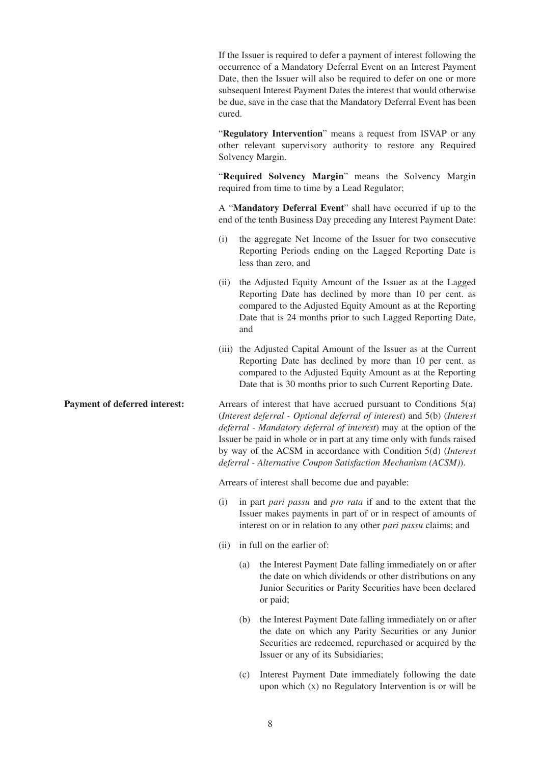If the Issuer is required to defer a payment of interest following the occurrence of a Mandatory Deferral Event on an Interest Payment Date, then the Issuer will also be required to defer on one or more subsequent Interest Payment Dates the interest that would otherwise be due, save in the case that the Mandatory Deferral Event has been cured.

"**Regulatory Intervention**" means a request from ISVAP or any other relevant supervisory authority to restore any Required Solvency Margin.

"**Required Solvency Margin**" means the Solvency Margin required from time to time by a Lead Regulator;

A "**Mandatory Deferral Event**" shall have occurred if up to the end of the tenth Business Day preceding any Interest Payment Date:

- (i) the aggregate Net Income of the Issuer for two consecutive Reporting Periods ending on the Lagged Reporting Date is less than zero, and
- (ii) the Adjusted Equity Amount of the Issuer as at the Lagged Reporting Date has declined by more than 10 per cent. as compared to the Adjusted Equity Amount as at the Reporting Date that is 24 months prior to such Lagged Reporting Date, and
- (iii) the Adjusted Capital Amount of the Issuer as at the Current Reporting Date has declined by more than 10 per cent. as compared to the Adjusted Equity Amount as at the Reporting Date that is 30 months prior to such Current Reporting Date.

**Payment of deferred interest:** Arrears of interest that have accrued pursuant to Conditions 5(a) (*Interest deferral - Optional deferral of interest*) and 5(b) (*Interest deferral - Mandatory deferral of interest*) may at the option of the Issuer be paid in whole or in part at any time only with funds raised by way of the ACSM in accordance with Condition 5(d) (*Interest deferral - Alternative Coupon Satisfaction Mechanism (ACSM)*).

Arrears of interest shall become due and payable:

- (i) in part *pari passu* and *pro rata* if and to the extent that the Issuer makes payments in part of or in respect of amounts of interest on or in relation to any other *pari passu* claims; and
- (ii) in full on the earlier of:
	- (a) the Interest Payment Date falling immediately on or after the date on which dividends or other distributions on any Junior Securities or Parity Securities have been declared or paid;
	- (b) the Interest Payment Date falling immediately on or after the date on which any Parity Securities or any Junior Securities are redeemed, repurchased or acquired by the Issuer or any of its Subsidiaries;
	- (c) Interest Payment Date immediately following the date upon which (x) no Regulatory Intervention is or will be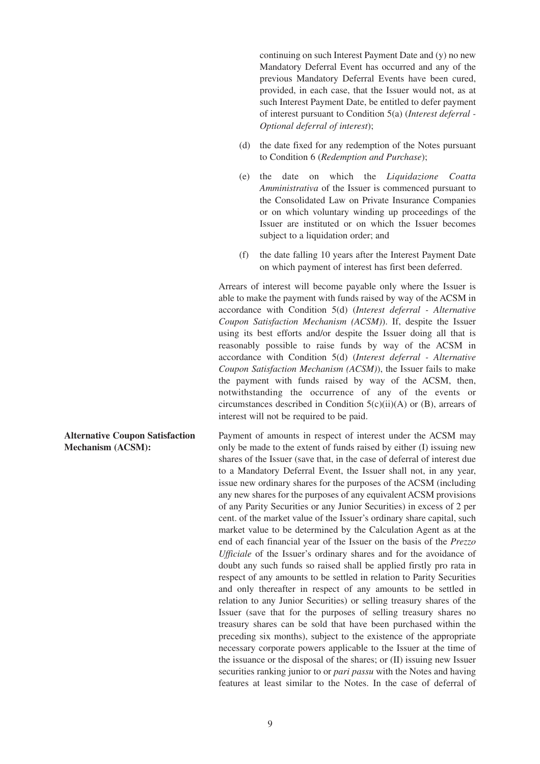continuing on such Interest Payment Date and (y) no new Mandatory Deferral Event has occurred and any of the previous Mandatory Deferral Events have been cured, provided, in each case, that the Issuer would not, as at such Interest Payment Date, be entitled to defer payment of interest pursuant to Condition 5(a) (*Interest deferral - Optional deferral of interest*);

- (d) the date fixed for any redemption of the Notes pursuant to Condition 6 (*Redemption and Purchase*);
- (e) the date on which the *Liquidazione Coatta Amministrativa* of the Issuer is commenced pursuant to the Consolidated Law on Private Insurance Companies or on which voluntary winding up proceedings of the Issuer are instituted or on which the Issuer becomes subject to a liquidation order; and
- (f) the date falling 10 years after the Interest Payment Date on which payment of interest has first been deferred.

Arrears of interest will become payable only where the Issuer is able to make the payment with funds raised by way of the ACSM in accordance with Condition 5(d) (*Interest deferral - Alternative Coupon Satisfaction Mechanism (ACSM)*). If, despite the Issuer using its best efforts and/or despite the Issuer doing all that is reasonably possible to raise funds by way of the ACSM in accordance with Condition 5(d) (*Interest deferral - Alternative Coupon Satisfaction Mechanism (ACSM)*), the Issuer fails to make the payment with funds raised by way of the ACSM, then, notwithstanding the occurrence of any of the events or circumstances described in Condition  $5(c)(ii)(A)$  or  $(B)$ , arrears of interest will not be required to be paid.

Payment of amounts in respect of interest under the ACSM may only be made to the extent of funds raised by either (I) issuing new shares of the Issuer (save that, in the case of deferral of interest due to a Mandatory Deferral Event, the Issuer shall not, in any year, issue new ordinary shares for the purposes of the ACSM (including any new shares for the purposes of any equivalent ACSM provisions of any Parity Securities or any Junior Securities) in excess of 2 per cent. of the market value of the Issuer's ordinary share capital, such market value to be determined by the Calculation Agent as at the end of each financial year of the Issuer on the basis of the *Prezzo Ufficiale* of the Issuer's ordinary shares and for the avoidance of doubt any such funds so raised shall be applied firstly pro rata in respect of any amounts to be settled in relation to Parity Securities and only thereafter in respect of any amounts to be settled in relation to any Junior Securities) or selling treasury shares of the Issuer (save that for the purposes of selling treasury shares no treasury shares can be sold that have been purchased within the preceding six months), subject to the existence of the appropriate necessary corporate powers applicable to the Issuer at the time of the issuance or the disposal of the shares; or (II) issuing new Issuer securities ranking junior to or *pari passu* with the Notes and having features at least similar to the Notes. In the case of deferral of

**Alternative Coupon Satisfaction Mechanism (ACSM):**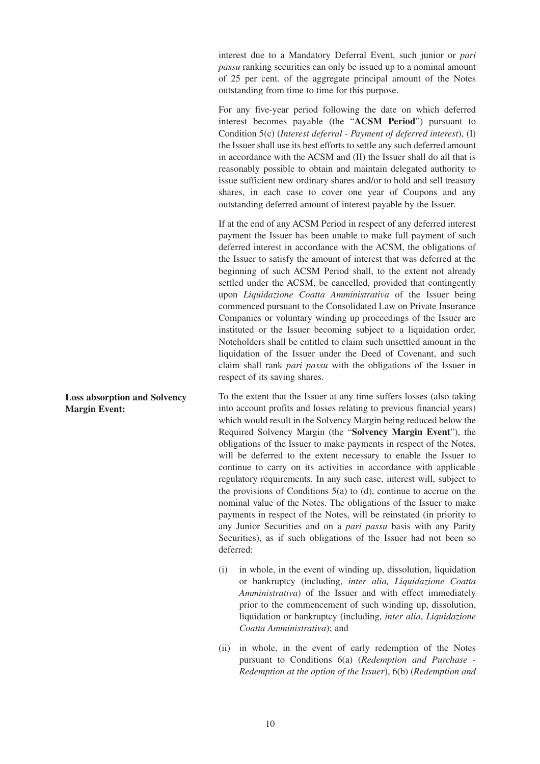interest due to a Mandatory Deferral Event, such junior or *pari passu* ranking securities can only be issued up to a nominal amount of 25 per cent. of the aggregate principal amount of the Notes outstanding from time to time for this purpose.

For any five-year period following the date on which deferred interest becomes payable (the "**ACSM Period**") pursuant to Condition 5(c) (*Interest deferral - Payment of deferred interest*), (I) the Issuer shall use its best efforts to settle any such deferred amount in accordance with the ACSM and (II) the Issuer shall do all that is reasonably possible to obtain and maintain delegated authority to issue sufficient new ordinary shares and/or to hold and sell treasury shares, in each case to cover one year of Coupons and any outstanding deferred amount of interest payable by the Issuer.

If at the end of any ACSM Period in respect of any deferred interest payment the Issuer has been unable to make full payment of such deferred interest in accordance with the ACSM, the obligations of the Issuer to satisfy the amount of interest that was deferred at the beginning of such ACSM Period shall, to the extent not already settled under the ACSM, be cancelled, provided that contingently upon *Liquidazione Coatta Amministrativa* of the Issuer being commenced pursuant to the Consolidated Law on Private Insurance Companies or voluntary winding up proceedings of the Issuer are instituted or the Issuer becoming subject to a liquidation order, Noteholders shall be entitled to claim such unsettled amount in the liquidation of the Issuer under the Deed of Covenant, and such claim shall rank *pari passu* with the obligations of the Issuer in respect of its saving shares.

To the extent that the Issuer at any time suffers losses (also taking into account profits and losses relating to previous financial years) which would result in the Solvency Margin being reduced below the Required Solvency Margin (the "**Solvency Margin Event**"), the obligations of the Issuer to make payments in respect of the Notes, will be deferred to the extent necessary to enable the Issuer to continue to carry on its activities in accordance with applicable regulatory requirements. In any such case, interest will, subject to the provisions of Conditions  $5(a)$  to (d), continue to accrue on the nominal value of the Notes. The obligations of the Issuer to make payments in respect of the Notes, will be reinstated (in priority to any Junior Securities and on a *pari passu* basis with any Parity Securities), as if such obligations of the Issuer had not been so deferred:

- (i) in whole, in the event of winding up, dissolution, liquidation or bankruptcy (including, *inter alia, Liquidazione Coatta Amministrativa*) of the Issuer and with effect immediately prior to the commencement of such winding up, dissolution, liquidation or bankruptcy (including, *inter alia*, *Liquidazione Coatta Amministrativa*); and
- (ii) in whole, in the event of early redemption of the Notes pursuant to Conditions 6(a) (*Redemption and Purchase - Redemption at the option of the Issuer*), 6(b) (*Redemption and*

**Loss absorption and Solvency Margin Event:**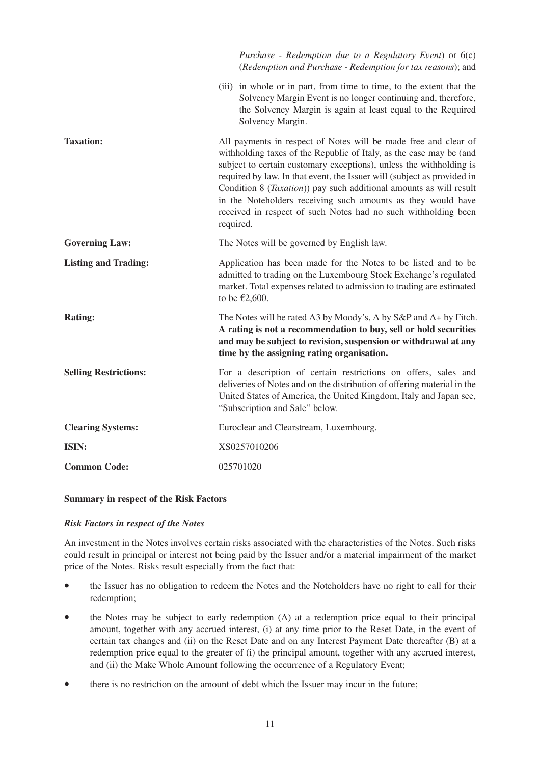|                              | Purchase - Redemption due to a Regulatory Event) or $6(c)$<br>(Redemption and Purchase - Redemption for tax reasons); and                                                                                                                                                                                                                                                                                                                                                                                              |
|------------------------------|------------------------------------------------------------------------------------------------------------------------------------------------------------------------------------------------------------------------------------------------------------------------------------------------------------------------------------------------------------------------------------------------------------------------------------------------------------------------------------------------------------------------|
|                              | (iii) in whole or in part, from time to time, to the extent that the<br>Solvency Margin Event is no longer continuing and, therefore,<br>the Solvency Margin is again at least equal to the Required<br>Solvency Margin.                                                                                                                                                                                                                                                                                               |
| <b>Taxation:</b>             | All payments in respect of Notes will be made free and clear of<br>withholding taxes of the Republic of Italy, as the case may be (and<br>subject to certain customary exceptions), unless the withholding is<br>required by law. In that event, the Issuer will (subject as provided in<br>Condition 8 ( <i>Taxation</i> )) pay such additional amounts as will result<br>in the Noteholders receiving such amounts as they would have<br>received in respect of such Notes had no such withholding been<br>required. |
| <b>Governing Law:</b>        | The Notes will be governed by English law.                                                                                                                                                                                                                                                                                                                                                                                                                                                                             |
| <b>Listing and Trading:</b>  | Application has been made for the Notes to be listed and to be<br>admitted to trading on the Luxembourg Stock Exchange's regulated<br>market. Total expenses related to admission to trading are estimated<br>to be $£2,600$ .                                                                                                                                                                                                                                                                                         |
| <b>Rating:</b>               | The Notes will be rated A3 by Moody's, A by S&P and A+ by Fitch.<br>A rating is not a recommendation to buy, sell or hold securities<br>and may be subject to revision, suspension or withdrawal at any<br>time by the assigning rating organisation.                                                                                                                                                                                                                                                                  |
| <b>Selling Restrictions:</b> | For a description of certain restrictions on offers, sales and<br>deliveries of Notes and on the distribution of offering material in the<br>United States of America, the United Kingdom, Italy and Japan see,<br>"Subscription and Sale" below.                                                                                                                                                                                                                                                                      |
| <b>Clearing Systems:</b>     | Euroclear and Clearstream, Luxembourg.                                                                                                                                                                                                                                                                                                                                                                                                                                                                                 |
| ISIN:                        | XS0257010206                                                                                                                                                                                                                                                                                                                                                                                                                                                                                                           |
| <b>Common Code:</b>          | 025701020                                                                                                                                                                                                                                                                                                                                                                                                                                                                                                              |

#### **Summary in respect of the Risk Factors**

#### *Risk Factors in respect of the Notes*

An investment in the Notes involves certain risks associated with the characteristics of the Notes. Such risks could result in principal or interest not being paid by the Issuer and/or a material impairment of the market price of the Notes. Risks result especially from the fact that:

- the Issuer has no obligation to redeem the Notes and the Noteholders have no right to call for their redemption;
- the Notes may be subject to early redemption (A) at a redemption price equal to their principal amount, together with any accrued interest, (i) at any time prior to the Reset Date, in the event of certain tax changes and (ii) on the Reset Date and on any Interest Payment Date thereafter (B) at a redemption price equal to the greater of (i) the principal amount, together with any accrued interest, and (ii) the Make Whole Amount following the occurrence of a Regulatory Event;
- there is no restriction on the amount of debt which the Issuer may incur in the future;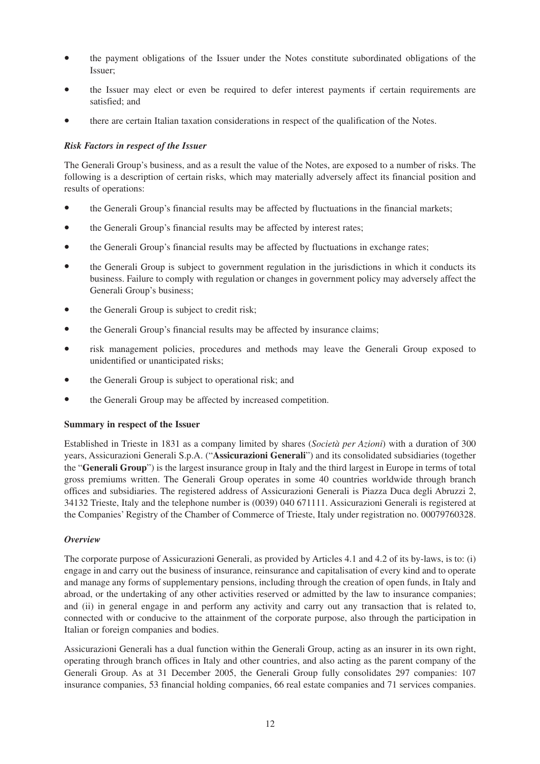- the payment obligations of the Issuer under the Notes constitute subordinated obligations of the Issuer;
- the Issuer may elect or even be required to defer interest payments if certain requirements are satisfied; and
- there are certain Italian taxation considerations in respect of the qualification of the Notes.

## *Risk Factors in respect of the Issuer*

The Generali Group's business, and as a result the value of the Notes, are exposed to a number of risks. The following is a description of certain risks, which may materially adversely affect its financial position and results of operations:

- the Generali Group's financial results may be affected by fluctuations in the financial markets;
- the Generali Group's financial results may be affected by interest rates;
- the Generali Group's financial results may be affected by fluctuations in exchange rates;
- the Generali Group is subject to government regulation in the jurisdictions in which it conducts its business. Failure to comply with regulation or changes in government policy may adversely affect the Generali Group's business;
- the Generali Group is subject to credit risk;
- the Generali Group's financial results may be affected by insurance claims;
- risk management policies, procedures and methods may leave the Generali Group exposed to unidentified or unanticipated risks;
- the Generali Group is subject to operational risk; and
- the Generali Group may be affected by increased competition.

## **Summary in respect of the Issuer**

Established in Trieste in 1831 as a company limited by shares (*Società per Azioni*) with a duration of 300 years, Assicurazioni Generali S.p.A. ("**Assicurazioni Generali**") and its consolidated subsidiaries (together the "**Generali Group**") is the largest insurance group in Italy and the third largest in Europe in terms of total gross premiums written. The Generali Group operates in some 40 countries worldwide through branch offices and subsidiaries. The registered address of Assicurazioni Generali is Piazza Duca degli Abruzzi 2, 34132 Trieste, Italy and the telephone number is (0039) 040 671111. Assicurazioni Generali is registered at the Companies' Registry of the Chamber of Commerce of Trieste, Italy under registration no. 00079760328.

## *Overview*

The corporate purpose of Assicurazioni Generali, as provided by Articles 4.1 and 4.2 of its by-laws, is to: (i) engage in and carry out the business of insurance, reinsurance and capitalisation of every kind and to operate and manage any forms of supplementary pensions, including through the creation of open funds, in Italy and abroad, or the undertaking of any other activities reserved or admitted by the law to insurance companies; and (ii) in general engage in and perform any activity and carry out any transaction that is related to, connected with or conducive to the attainment of the corporate purpose, also through the participation in Italian or foreign companies and bodies.

Assicurazioni Generali has a dual function within the Generali Group, acting as an insurer in its own right, operating through branch offices in Italy and other countries, and also acting as the parent company of the Generali Group. As at 31 December 2005, the Generali Group fully consolidates 297 companies: 107 insurance companies, 53 financial holding companies, 66 real estate companies and 71 services companies.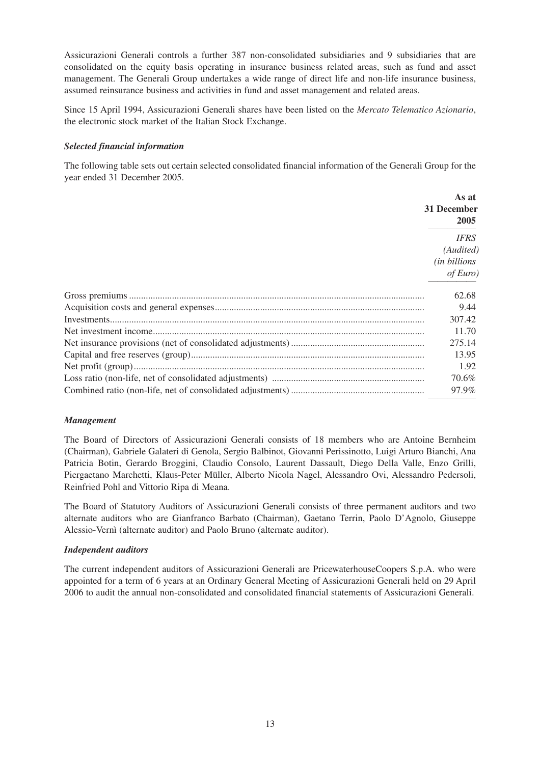Assicurazioni Generali controls a further 387 non-consolidated subsidiaries and 9 subsidiaries that are consolidated on the equity basis operating in insurance business related areas, such as fund and asset management. The Generali Group undertakes a wide range of direct life and non-life insurance business, assumed reinsurance business and activities in fund and asset management and related areas.

Since 15 April 1994, Assicurazioni Generali shares have been listed on the *Mercato Telematico Azionario*, the electronic stock market of the Italian Stock Exchange.

#### *Selected financial information*

The following table sets out certain selected consolidated financial information of the Generali Group for the year ended 31 December 2005.

| As at<br>31 December<br>2005      |
|-----------------------------------|
| <b>IFRS</b>                       |
| (Audited)                         |
| <i>(in billions</i> )<br>of Euro) |
| 62.68                             |
| 9.44                              |
| 307.42                            |
| 11.70                             |
| 275.14                            |
| 13.95                             |
| 1.92                              |
| 70.6%                             |
| 97.9%                             |

#### *Management*

The Board of Directors of Assicurazioni Generali consists of 18 members who are Antoine Bernheim (Chairman), Gabriele Galateri di Genola, Sergio Balbinot, Giovanni Perissinotto, Luigi Arturo Bianchi, Ana Patricia Botin, Gerardo Broggini, Claudio Consolo, Laurent Dassault, Diego Della Valle, Enzo Grilli, Piergaetano Marchetti, Klaus-Peter Müller, Alberto Nicola Nagel, Alessandro Ovi, Alessandro Pedersoli, Reinfried Pohl and Vittorio Ripa di Meana.

The Board of Statutory Auditors of Assicurazioni Generali consists of three permanent auditors and two alternate auditors who are Gianfranco Barbato (Chairman), Gaetano Terrin, Paolo D'Agnolo, Giuseppe Alessio-Vernì (alternate auditor) and Paolo Bruno (alternate auditor).

#### *Independent auditors*

The current independent auditors of Assicurazioni Generali are PricewaterhouseCoopers S.p.A. who were appointed for a term of 6 years at an Ordinary General Meeting of Assicurazioni Generali held on 29 April 2006 to audit the annual non-consolidated and consolidated financial statements of Assicurazioni Generali.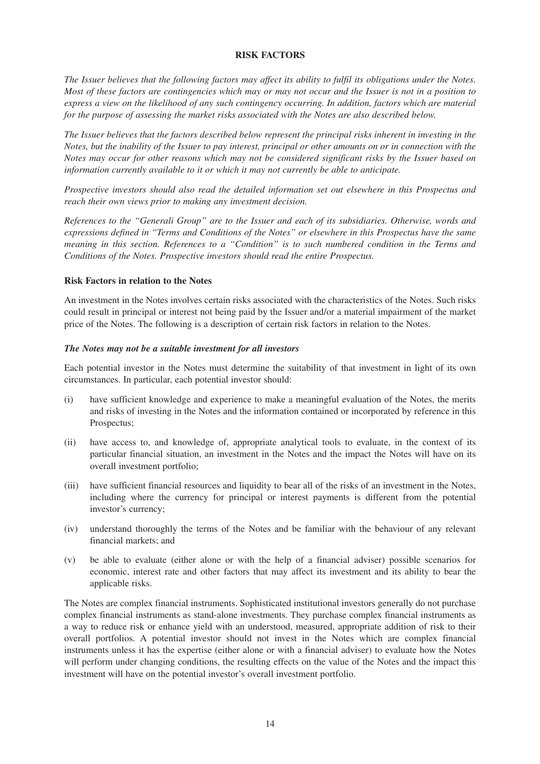## **RISK FACTORS**

*The Issuer believes that the following factors may affect its ability to fulfil its obligations under the Notes. Most of these factors are contingencies which may or may not occur and the Issuer is not in a position to express a view on the likelihood of any such contingency occurring. In addition, factors which are material for the purpose of assessing the market risks associated with the Notes are also described below.*

*The Issuer believes that the factors described below represent the principal risks inherent in investing in the Notes, but the inability of the Issuer to pay interest, principal or other amounts on or in connection with the Notes may occur for other reasons which may not be considered significant risks by the Issuer based on information currently available to it or which it may not currently be able to anticipate.*

*Prospective investors should also read the detailed information set out elsewhere in this Prospectus and reach their own views prior to making any investment decision.*

*References to the "Generali Group" are to the Issuer and each of its subsidiaries. Otherwise, words and expressions defined in "Terms and Conditions of the Notes" or elsewhere in this Prospectus have the same meaning in this section. References to a "Condition" is to such numbered condition in the Terms and Conditions of the Notes. Prospective investors should read the entire Prospectus.*

#### **Risk Factors in relation to the Notes**

An investment in the Notes involves certain risks associated with the characteristics of the Notes. Such risks could result in principal or interest not being paid by the Issuer and/or a material impairment of the market price of the Notes. The following is a description of certain risk factors in relation to the Notes.

#### *The Notes may not be a suitable investment for all investors*

Each potential investor in the Notes must determine the suitability of that investment in light of its own circumstances. In particular, each potential investor should:

- (i) have sufficient knowledge and experience to make a meaningful evaluation of the Notes, the merits and risks of investing in the Notes and the information contained or incorporated by reference in this Prospectus;
- (ii) have access to, and knowledge of, appropriate analytical tools to evaluate, in the context of its particular financial situation, an investment in the Notes and the impact the Notes will have on its overall investment portfolio;
- (iii) have sufficient financial resources and liquidity to bear all of the risks of an investment in the Notes, including where the currency for principal or interest payments is different from the potential investor's currency;
- (iv) understand thoroughly the terms of the Notes and be familiar with the behaviour of any relevant financial markets; and
- (v) be able to evaluate (either alone or with the help of a financial adviser) possible scenarios for economic, interest rate and other factors that may affect its investment and its ability to bear the applicable risks.

The Notes are complex financial instruments. Sophisticated institutional investors generally do not purchase complex financial instruments as stand-alone investments. They purchase complex financial instruments as a way to reduce risk or enhance yield with an understood, measured, appropriate addition of risk to their overall portfolios. A potential investor should not invest in the Notes which are complex financial instruments unless it has the expertise (either alone or with a financial adviser) to evaluate how the Notes will perform under changing conditions, the resulting effects on the value of the Notes and the impact this investment will have on the potential investor's overall investment portfolio.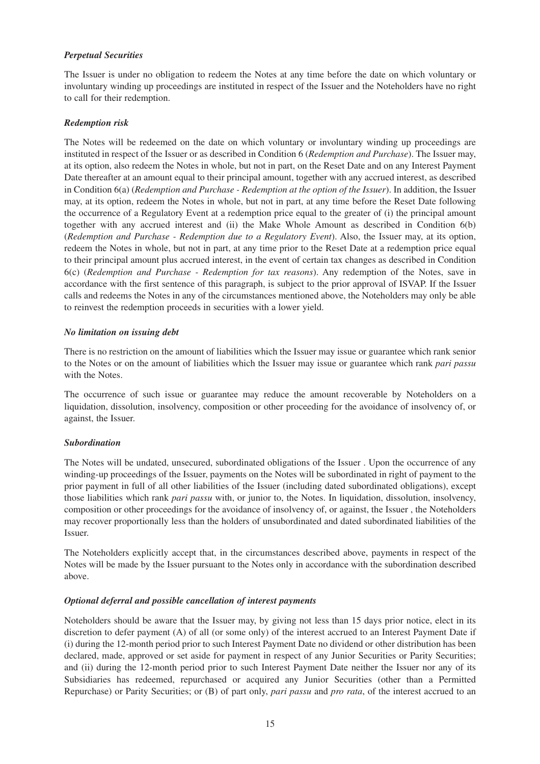#### *Perpetual Securities*

The Issuer is under no obligation to redeem the Notes at any time before the date on which voluntary or involuntary winding up proceedings are instituted in respect of the Issuer and the Noteholders have no right to call for their redemption.

#### *Redemption risk*

The Notes will be redeemed on the date on which voluntary or involuntary winding up proceedings are instituted in respect of the Issuer or as described in Condition 6 (*Redemption and Purchase*). The Issuer may, at its option, also redeem the Notes in whole, but not in part, on the Reset Date and on any Interest Payment Date thereafter at an amount equal to their principal amount, together with any accrued interest, as described in Condition 6(a) (*Redemption and Purchase - Redemption at the option of the Issuer*). In addition, the Issuer may, at its option, redeem the Notes in whole, but not in part, at any time before the Reset Date following the occurrence of a Regulatory Event at a redemption price equal to the greater of (i) the principal amount together with any accrued interest and (ii) the Make Whole Amount as described in Condition 6(b) (*Redemption and Purchase - Redemption due to a Regulatory Event*). Also, the Issuer may, at its option, redeem the Notes in whole, but not in part, at any time prior to the Reset Date at a redemption price equal to their principal amount plus accrued interest, in the event of certain tax changes as described in Condition 6(c) (*Redemption and Purchase - Redemption for tax reasons*). Any redemption of the Notes, save in accordance with the first sentence of this paragraph, is subject to the prior approval of ISVAP. If the Issuer calls and redeems the Notes in any of the circumstances mentioned above, the Noteholders may only be able to reinvest the redemption proceeds in securities with a lower yield.

#### *No limitation on issuing debt*

There is no restriction on the amount of liabilities which the Issuer may issue or guarantee which rank senior to the Notes or on the amount of liabilities which the Issuer may issue or guarantee which rank *pari passu* with the Notes.

The occurrence of such issue or guarantee may reduce the amount recoverable by Noteholders on a liquidation, dissolution, insolvency, composition or other proceeding for the avoidance of insolvency of, or against, the Issuer.

## *Subordination*

The Notes will be undated, unsecured, subordinated obligations of the Issuer . Upon the occurrence of any winding-up proceedings of the Issuer, payments on the Notes will be subordinated in right of payment to the prior payment in full of all other liabilities of the Issuer (including dated subordinated obligations), except those liabilities which rank *pari passu* with, or junior to, the Notes. In liquidation, dissolution, insolvency, composition or other proceedings for the avoidance of insolvency of, or against, the Issuer , the Noteholders may recover proportionally less than the holders of unsubordinated and dated subordinated liabilities of the Issuer.

The Noteholders explicitly accept that, in the circumstances described above, payments in respect of the Notes will be made by the Issuer pursuant to the Notes only in accordance with the subordination described above.

## *Optional deferral and possible cancellation of interest payments*

Noteholders should be aware that the Issuer may, by giving not less than 15 days prior notice, elect in its discretion to defer payment (A) of all (or some only) of the interest accrued to an Interest Payment Date if (i) during the 12-month period prior to such Interest Payment Date no dividend or other distribution has been declared, made, approved or set aside for payment in respect of any Junior Securities or Parity Securities; and (ii) during the 12-month period prior to such Interest Payment Date neither the Issuer nor any of its Subsidiaries has redeemed, repurchased or acquired any Junior Securities (other than a Permitted Repurchase) or Parity Securities; or (B) of part only, *pari passu* and *pro rata*, of the interest accrued to an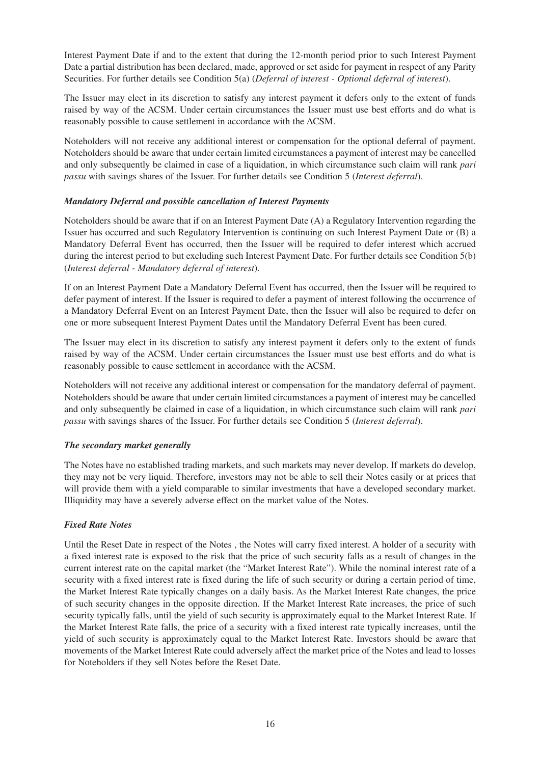Interest Payment Date if and to the extent that during the 12-month period prior to such Interest Payment Date a partial distribution has been declared, made, approved or set aside for payment in respect of any Parity Securities. For further details see Condition 5(a) (*Deferral of interest - Optional deferral of interest*).

The Issuer may elect in its discretion to satisfy any interest payment it defers only to the extent of funds raised by way of the ACSM. Under certain circumstances the Issuer must use best efforts and do what is reasonably possible to cause settlement in accordance with the ACSM.

Noteholders will not receive any additional interest or compensation for the optional deferral of payment. Noteholders should be aware that under certain limited circumstances a payment of interest may be cancelled and only subsequently be claimed in case of a liquidation, in which circumstance such claim will rank *pari passu* with savings shares of the Issuer. For further details see Condition 5 (*Interest deferral*).

## *Mandatory Deferral and possible cancellation of Interest Payments*

Noteholders should be aware that if on an Interest Payment Date (A) a Regulatory Intervention regarding the Issuer has occurred and such Regulatory Intervention is continuing on such Interest Payment Date or (B) a Mandatory Deferral Event has occurred, then the Issuer will be required to defer interest which accrued during the interest period to but excluding such Interest Payment Date. For further details see Condition 5(b) (*Interest deferral - Mandatory deferral of interest*).

If on an Interest Payment Date a Mandatory Deferral Event has occurred, then the Issuer will be required to defer payment of interest. If the Issuer is required to defer a payment of interest following the occurrence of a Mandatory Deferral Event on an Interest Payment Date, then the Issuer will also be required to defer on one or more subsequent Interest Payment Dates until the Mandatory Deferral Event has been cured.

The Issuer may elect in its discretion to satisfy any interest payment it defers only to the extent of funds raised by way of the ACSM. Under certain circumstances the Issuer must use best efforts and do what is reasonably possible to cause settlement in accordance with the ACSM.

Noteholders will not receive any additional interest or compensation for the mandatory deferral of payment. Noteholders should be aware that under certain limited circumstances a payment of interest may be cancelled and only subsequently be claimed in case of a liquidation, in which circumstance such claim will rank *pari passu* with savings shares of the Issuer. For further details see Condition 5 (*Interest deferral*).

## *The secondary market generally*

The Notes have no established trading markets, and such markets may never develop. If markets do develop, they may not be very liquid. Therefore, investors may not be able to sell their Notes easily or at prices that will provide them with a yield comparable to similar investments that have a developed secondary market. Illiquidity may have a severely adverse effect on the market value of the Notes.

## *Fixed Rate Notes*

Until the Reset Date in respect of the Notes , the Notes will carry fixed interest. A holder of a security with a fixed interest rate is exposed to the risk that the price of such security falls as a result of changes in the current interest rate on the capital market (the "Market Interest Rate"). While the nominal interest rate of a security with a fixed interest rate is fixed during the life of such security or during a certain period of time, the Market Interest Rate typically changes on a daily basis. As the Market Interest Rate changes, the price of such security changes in the opposite direction. If the Market Interest Rate increases, the price of such security typically falls, until the yield of such security is approximately equal to the Market Interest Rate. If the Market Interest Rate falls, the price of a security with a fixed interest rate typically increases, until the yield of such security is approximately equal to the Market Interest Rate. Investors should be aware that movements of the Market Interest Rate could adversely affect the market price of the Notes and lead to losses for Noteholders if they sell Notes before the Reset Date.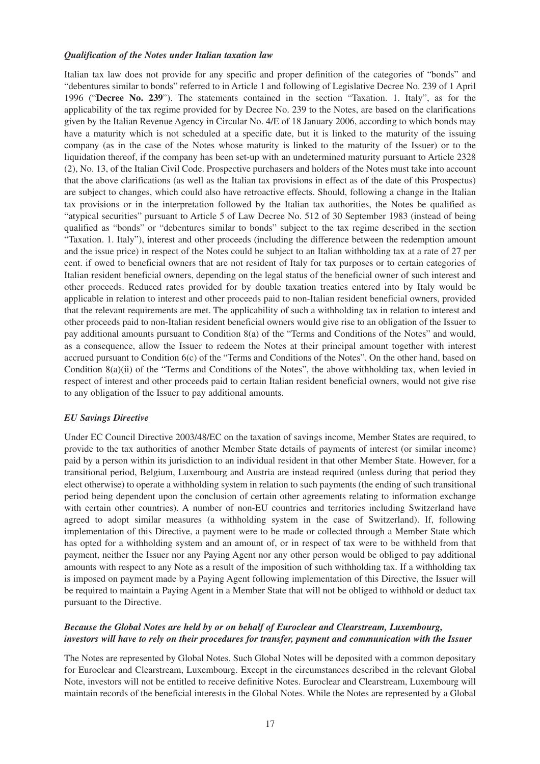#### *Qualification of the Notes under Italian taxation law*

Italian tax law does not provide for any specific and proper definition of the categories of "bonds" and "debentures similar to bonds" referred to in Article 1 and following of Legislative Decree No. 239 of 1 April 1996 ("**Decree No. 239**"). The statements contained in the section "Taxation. 1. Italy", as for the applicability of the tax regime provided for by Decree No. 239 to the Notes, are based on the clarifications given by the Italian Revenue Agency in Circular No. 4/E of 18 January 2006, according to which bonds may have a maturity which is not scheduled at a specific date, but it is linked to the maturity of the issuing company (as in the case of the Notes whose maturity is linked to the maturity of the Issuer) or to the liquidation thereof, if the company has been set-up with an undetermined maturity pursuant to Article 2328 (2), No. 13, of the Italian Civil Code. Prospective purchasers and holders of the Notes must take into account that the above clarifications (as well as the Italian tax provisions in effect as of the date of this Prospectus) are subject to changes, which could also have retroactive effects. Should, following a change in the Italian tax provisions or in the interpretation followed by the Italian tax authorities, the Notes be qualified as "atypical securities" pursuant to Article 5 of Law Decree No. 512 of 30 September 1983 (instead of being qualified as "bonds" or "debentures similar to bonds" subject to the tax regime described in the section "Taxation. 1. Italy"), interest and other proceeds (including the difference between the redemption amount and the issue price) in respect of the Notes could be subject to an Italian withholding tax at a rate of 27 per cent. if owed to beneficial owners that are not resident of Italy for tax purposes or to certain categories of Italian resident beneficial owners, depending on the legal status of the beneficial owner of such interest and other proceeds. Reduced rates provided for by double taxation treaties entered into by Italy would be applicable in relation to interest and other proceeds paid to non-Italian resident beneficial owners, provided that the relevant requirements are met. The applicability of such a withholding tax in relation to interest and other proceeds paid to non-Italian resident beneficial owners would give rise to an obligation of the Issuer to pay additional amounts pursuant to Condition 8(a) of the "Terms and Conditions of the Notes" and would, as a consequence, allow the Issuer to redeem the Notes at their principal amount together with interest accrued pursuant to Condition 6(c) of the "Terms and Conditions of the Notes". On the other hand, based on Condition 8(a)(ii) of the "Terms and Conditions of the Notes", the above withholding tax, when levied in respect of interest and other proceeds paid to certain Italian resident beneficial owners, would not give rise to any obligation of the Issuer to pay additional amounts.

#### *EU Savings Directive*

Under EC Council Directive 2003/48/EC on the taxation of savings income, Member States are required, to provide to the tax authorities of another Member State details of payments of interest (or similar income) paid by a person within its jurisdiction to an individual resident in that other Member State. However, for a transitional period, Belgium, Luxembourg and Austria are instead required (unless during that period they elect otherwise) to operate a withholding system in relation to such payments (the ending of such transitional period being dependent upon the conclusion of certain other agreements relating to information exchange with certain other countries). A number of non-EU countries and territories including Switzerland have agreed to adopt similar measures (a withholding system in the case of Switzerland). If, following implementation of this Directive, a payment were to be made or collected through a Member State which has opted for a withholding system and an amount of, or in respect of tax were to be withheld from that payment, neither the Issuer nor any Paying Agent nor any other person would be obliged to pay additional amounts with respect to any Note as a result of the imposition of such withholding tax. If a withholding tax is imposed on payment made by a Paying Agent following implementation of this Directive, the Issuer will be required to maintain a Paying Agent in a Member State that will not be obliged to withhold or deduct tax pursuant to the Directive.

## *Because the Global Notes are held by or on behalf of Euroclear and Clearstream, Luxembourg, investors will have to rely on their procedures for transfer, payment and communication with the Issuer*

The Notes are represented by Global Notes. Such Global Notes will be deposited with a common depositary for Euroclear and Clearstream, Luxembourg. Except in the circumstances described in the relevant Global Note, investors will not be entitled to receive definitive Notes. Euroclear and Clearstream, Luxembourg will maintain records of the beneficial interests in the Global Notes. While the Notes are represented by a Global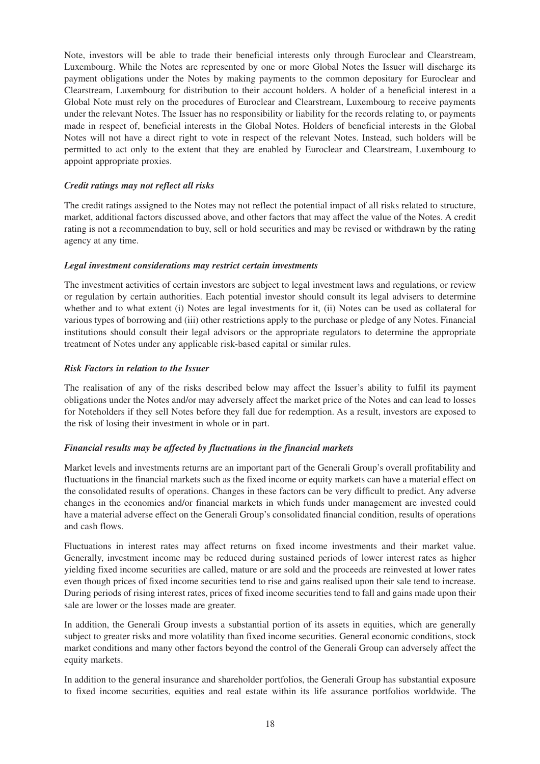Note, investors will be able to trade their beneficial interests only through Euroclear and Clearstream, Luxembourg. While the Notes are represented by one or more Global Notes the Issuer will discharge its payment obligations under the Notes by making payments to the common depositary for Euroclear and Clearstream, Luxembourg for distribution to their account holders. A holder of a beneficial interest in a Global Note must rely on the procedures of Euroclear and Clearstream, Luxembourg to receive payments under the relevant Notes. The Issuer has no responsibility or liability for the records relating to, or payments made in respect of, beneficial interests in the Global Notes. Holders of beneficial interests in the Global Notes will not have a direct right to vote in respect of the relevant Notes. Instead, such holders will be permitted to act only to the extent that they are enabled by Euroclear and Clearstream, Luxembourg to appoint appropriate proxies.

#### *Credit ratings may not reflect all risks*

The credit ratings assigned to the Notes may not reflect the potential impact of all risks related to structure, market, additional factors discussed above, and other factors that may affect the value of the Notes. A credit rating is not a recommendation to buy, sell or hold securities and may be revised or withdrawn by the rating agency at any time.

#### *Legal investment considerations may restrict certain investments*

The investment activities of certain investors are subject to legal investment laws and regulations, or review or regulation by certain authorities. Each potential investor should consult its legal advisers to determine whether and to what extent (i) Notes are legal investments for it, (ii) Notes can be used as collateral for various types of borrowing and (iii) other restrictions apply to the purchase or pledge of any Notes. Financial institutions should consult their legal advisors or the appropriate regulators to determine the appropriate treatment of Notes under any applicable risk-based capital or similar rules.

#### *Risk Factors in relation to the Issuer*

The realisation of any of the risks described below may affect the Issuer's ability to fulfil its payment obligations under the Notes and/or may adversely affect the market price of the Notes and can lead to losses for Noteholders if they sell Notes before they fall due for redemption. As a result, investors are exposed to the risk of losing their investment in whole or in part.

## *Financial results may be affected by fluctuations in the financial markets*

Market levels and investments returns are an important part of the Generali Group's overall profitability and fluctuations in the financial markets such as the fixed income or equity markets can have a material effect on the consolidated results of operations. Changes in these factors can be very difficult to predict. Any adverse changes in the economies and/or financial markets in which funds under management are invested could have a material adverse effect on the Generali Group's consolidated financial condition, results of operations and cash flows.

Fluctuations in interest rates may affect returns on fixed income investments and their market value. Generally, investment income may be reduced during sustained periods of lower interest rates as higher yielding fixed income securities are called, mature or are sold and the proceeds are reinvested at lower rates even though prices of fixed income securities tend to rise and gains realised upon their sale tend to increase. During periods of rising interest rates, prices of fixed income securities tend to fall and gains made upon their sale are lower or the losses made are greater.

In addition, the Generali Group invests a substantial portion of its assets in equities, which are generally subject to greater risks and more volatility than fixed income securities. General economic conditions, stock market conditions and many other factors beyond the control of the Generali Group can adversely affect the equity markets.

In addition to the general insurance and shareholder portfolios, the Generali Group has substantial exposure to fixed income securities, equities and real estate within its life assurance portfolios worldwide. The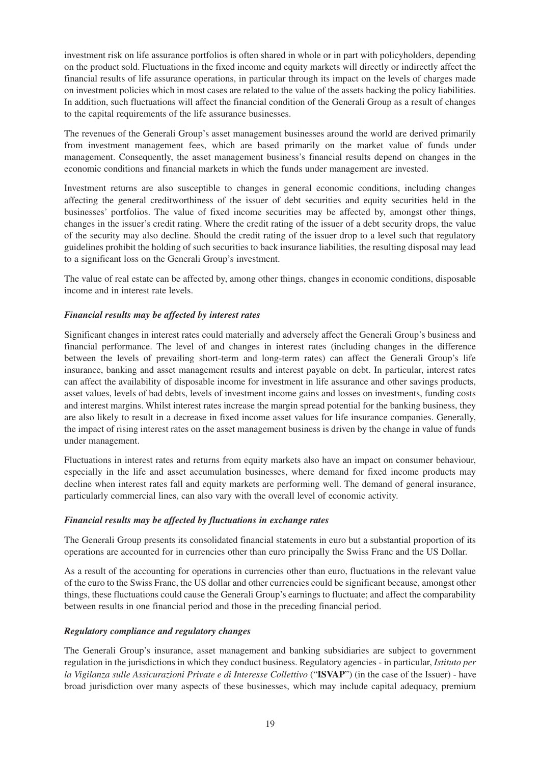investment risk on life assurance portfolios is often shared in whole or in part with policyholders, depending on the product sold. Fluctuations in the fixed income and equity markets will directly or indirectly affect the financial results of life assurance operations, in particular through its impact on the levels of charges made on investment policies which in most cases are related to the value of the assets backing the policy liabilities. In addition, such fluctuations will affect the financial condition of the Generali Group as a result of changes to the capital requirements of the life assurance businesses.

The revenues of the Generali Group's asset management businesses around the world are derived primarily from investment management fees, which are based primarily on the market value of funds under management. Consequently, the asset management business's financial results depend on changes in the economic conditions and financial markets in which the funds under management are invested.

Investment returns are also susceptible to changes in general economic conditions, including changes affecting the general creditworthiness of the issuer of debt securities and equity securities held in the businesses' portfolios. The value of fixed income securities may be affected by, amongst other things, changes in the issuer's credit rating. Where the credit rating of the issuer of a debt security drops, the value of the security may also decline. Should the credit rating of the issuer drop to a level such that regulatory guidelines prohibit the holding of such securities to back insurance liabilities, the resulting disposal may lead to a significant loss on the Generali Group's investment.

The value of real estate can be affected by, among other things, changes in economic conditions, disposable income and in interest rate levels.

## *Financial results may be affected by interest rates*

Significant changes in interest rates could materially and adversely affect the Generali Group's business and financial performance. The level of and changes in interest rates (including changes in the difference between the levels of prevailing short-term and long-term rates) can affect the Generali Group's life insurance, banking and asset management results and interest payable on debt. In particular, interest rates can affect the availability of disposable income for investment in life assurance and other savings products, asset values, levels of bad debts, levels of investment income gains and losses on investments, funding costs and interest margins. Whilst interest rates increase the margin spread potential for the banking business, they are also likely to result in a decrease in fixed income asset values for life insurance companies. Generally, the impact of rising interest rates on the asset management business is driven by the change in value of funds under management.

Fluctuations in interest rates and returns from equity markets also have an impact on consumer behaviour, especially in the life and asset accumulation businesses, where demand for fixed income products may decline when interest rates fall and equity markets are performing well. The demand of general insurance, particularly commercial lines, can also vary with the overall level of economic activity.

## *Financial results may be affected by fluctuations in exchange rates*

The Generali Group presents its consolidated financial statements in euro but a substantial proportion of its operations are accounted for in currencies other than euro principally the Swiss Franc and the US Dollar.

As a result of the accounting for operations in currencies other than euro, fluctuations in the relevant value of the euro to the Swiss Franc, the US dollar and other currencies could be significant because, amongst other things, these fluctuations could cause the Generali Group's earnings to fluctuate; and affect the comparability between results in one financial period and those in the preceding financial period.

## *Regulatory compliance and regulatory changes*

The Generali Group's insurance, asset management and banking subsidiaries are subject to government regulation in the jurisdictions in which they conduct business. Regulatory agencies - in particular, *Istituto per la Vigilanza sulle Assicurazioni Private e di Interesse Collettivo* ("**ISVAP**") (in the case of the Issuer) - have broad jurisdiction over many aspects of these businesses, which may include capital adequacy, premium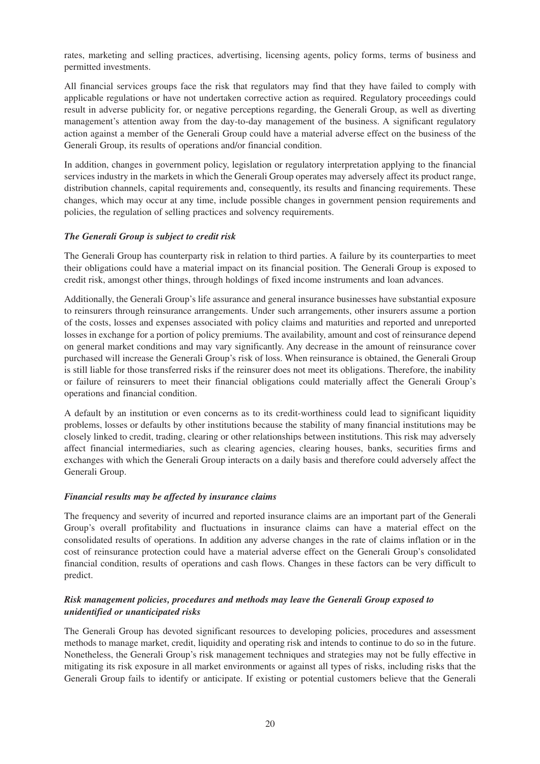rates, marketing and selling practices, advertising, licensing agents, policy forms, terms of business and permitted investments.

All financial services groups face the risk that regulators may find that they have failed to comply with applicable regulations or have not undertaken corrective action as required. Regulatory proceedings could result in adverse publicity for, or negative perceptions regarding, the Generali Group, as well as diverting management's attention away from the day-to-day management of the business. A significant regulatory action against a member of the Generali Group could have a material adverse effect on the business of the Generali Group, its results of operations and/or financial condition.

In addition, changes in government policy, legislation or regulatory interpretation applying to the financial services industry in the markets in which the Generali Group operates may adversely affect its product range, distribution channels, capital requirements and, consequently, its results and financing requirements. These changes, which may occur at any time, include possible changes in government pension requirements and policies, the regulation of selling practices and solvency requirements.

## *The Generali Group is subject to credit risk*

The Generali Group has counterparty risk in relation to third parties. A failure by its counterparties to meet their obligations could have a material impact on its financial position. The Generali Group is exposed to credit risk, amongst other things, through holdings of fixed income instruments and loan advances.

Additionally, the Generali Group's life assurance and general insurance businesses have substantial exposure to reinsurers through reinsurance arrangements. Under such arrangements, other insurers assume a portion of the costs, losses and expenses associated with policy claims and maturities and reported and unreported losses in exchange for a portion of policy premiums. The availability, amount and cost of reinsurance depend on general market conditions and may vary significantly. Any decrease in the amount of reinsurance cover purchased will increase the Generali Group's risk of loss. When reinsurance is obtained, the Generali Group is still liable for those transferred risks if the reinsurer does not meet its obligations. Therefore, the inability or failure of reinsurers to meet their financial obligations could materially affect the Generali Group's operations and financial condition.

A default by an institution or even concerns as to its credit-worthiness could lead to significant liquidity problems, losses or defaults by other institutions because the stability of many financial institutions may be closely linked to credit, trading, clearing or other relationships between institutions. This risk may adversely affect financial intermediaries, such as clearing agencies, clearing houses, banks, securities firms and exchanges with which the Generali Group interacts on a daily basis and therefore could adversely affect the Generali Group.

## *Financial results may be affected by insurance claims*

The frequency and severity of incurred and reported insurance claims are an important part of the Generali Group's overall profitability and fluctuations in insurance claims can have a material effect on the consolidated results of operations. In addition any adverse changes in the rate of claims inflation or in the cost of reinsurance protection could have a material adverse effect on the Generali Group's consolidated financial condition, results of operations and cash flows. Changes in these factors can be very difficult to predict.

## *Risk management policies, procedures and methods may leave the Generali Group exposed to unidentified or unanticipated risks*

The Generali Group has devoted significant resources to developing policies, procedures and assessment methods to manage market, credit, liquidity and operating risk and intends to continue to do so in the future. Nonetheless, the Generali Group's risk management techniques and strategies may not be fully effective in mitigating its risk exposure in all market environments or against all types of risks, including risks that the Generali Group fails to identify or anticipate. If existing or potential customers believe that the Generali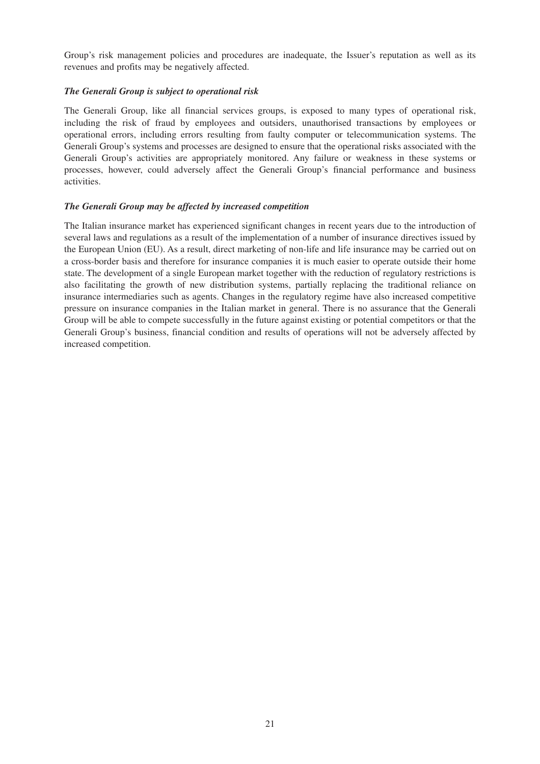Group's risk management policies and procedures are inadequate, the Issuer's reputation as well as its revenues and profits may be negatively affected.

## *The Generali Group is subject to operational risk*

The Generali Group, like all financial services groups, is exposed to many types of operational risk, including the risk of fraud by employees and outsiders, unauthorised transactions by employees or operational errors, including errors resulting from faulty computer or telecommunication systems. The Generali Group's systems and processes are designed to ensure that the operational risks associated with the Generali Group's activities are appropriately monitored. Any failure or weakness in these systems or processes, however, could adversely affect the Generali Group's financial performance and business activities.

#### *The Generali Group may be affected by increased competition*

The Italian insurance market has experienced significant changes in recent years due to the introduction of several laws and regulations as a result of the implementation of a number of insurance directives issued by the European Union (EU). As a result, direct marketing of non-life and life insurance may be carried out on a cross-border basis and therefore for insurance companies it is much easier to operate outside their home state. The development of a single European market together with the reduction of regulatory restrictions is also facilitating the growth of new distribution systems, partially replacing the traditional reliance on insurance intermediaries such as agents. Changes in the regulatory regime have also increased competitive pressure on insurance companies in the Italian market in general. There is no assurance that the Generali Group will be able to compete successfully in the future against existing or potential competitors or that the Generali Group's business, financial condition and results of operations will not be adversely affected by increased competition.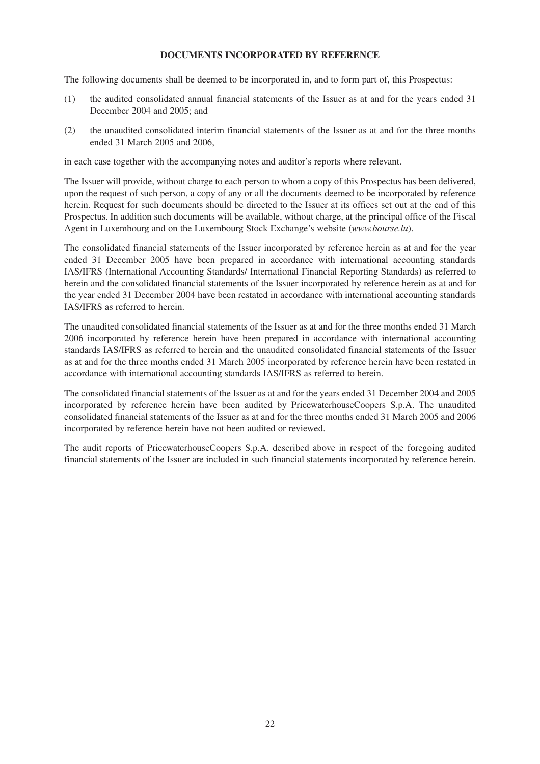## **DOCUMENTS INCORPORATED BY REFERENCE**

The following documents shall be deemed to be incorporated in, and to form part of, this Prospectus:

- (1) the audited consolidated annual financial statements of the Issuer as at and for the years ended 31 December 2004 and 2005; and
- (2) the unaudited consolidated interim financial statements of the Issuer as at and for the three months ended 31 March 2005 and 2006,

in each case together with the accompanying notes and auditor's reports where relevant.

The Issuer will provide, without charge to each person to whom a copy of this Prospectus has been delivered, upon the request of such person, a copy of any or all the documents deemed to be incorporated by reference herein. Request for such documents should be directed to the Issuer at its offices set out at the end of this Prospectus. In addition such documents will be available, without charge, at the principal office of the Fiscal Agent in Luxembourg and on the Luxembourg Stock Exchange's website (*www.bourse.lu*).

The consolidated financial statements of the Issuer incorporated by reference herein as at and for the year ended 31 December 2005 have been prepared in accordance with international accounting standards IAS/IFRS (International Accounting Standards/ International Financial Reporting Standards) as referred to herein and the consolidated financial statements of the Issuer incorporated by reference herein as at and for the year ended 31 December 2004 have been restated in accordance with international accounting standards IAS/IFRS as referred to herein.

The unaudited consolidated financial statements of the Issuer as at and for the three months ended 31 March 2006 incorporated by reference herein have been prepared in accordance with international accounting standards IAS/IFRS as referred to herein and the unaudited consolidated financial statements of the Issuer as at and for the three months ended 31 March 2005 incorporated by reference herein have been restated in accordance with international accounting standards IAS/IFRS as referred to herein.

The consolidated financial statements of the Issuer as at and for the years ended 31 December 2004 and 2005 incorporated by reference herein have been audited by PricewaterhouseCoopers S.p.A. The unaudited consolidated financial statements of the Issuer as at and for the three months ended 31 March 2005 and 2006 incorporated by reference herein have not been audited or reviewed.

The audit reports of PricewaterhouseCoopers S.p.A. described above in respect of the foregoing audited financial statements of the Issuer are included in such financial statements incorporated by reference herein.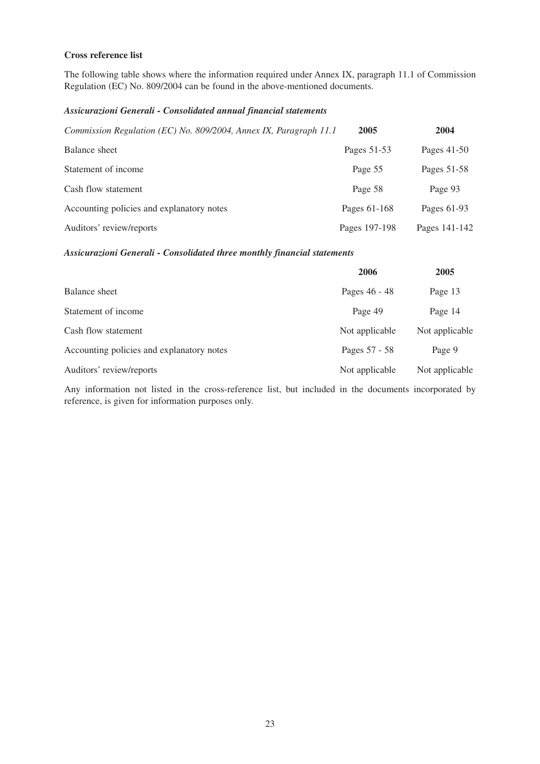## **Cross reference list**

The following table shows where the information required under Annex IX, paragraph 11.1 of Commission Regulation (EC) No. 809/2004 can be found in the above-mentioned documents.

## *Assicurazioni Generali - Consolidated annual financial statements*

| Commission Regulation (EC) No. 809/2004, Annex IX, Paragraph 11.1 | 2005          | 2004          |
|-------------------------------------------------------------------|---------------|---------------|
| Balance sheet                                                     | Pages 51-53   | Pages 41-50   |
| Statement of income                                               | Page 55       | Pages 51-58   |
| Cash flow statement                                               | Page 58       | Page 93       |
| Accounting policies and explanatory notes                         | Pages 61-168  | Pages 61-93   |
| Auditors' review/reports                                          | Pages 197-198 | Pages 141-142 |

#### *Assicurazioni Generali - Consolidated three monthly financial statements*

|                                           | 2006           | 2005           |
|-------------------------------------------|----------------|----------------|
| Balance sheet                             | Pages 46 - 48  | Page 13        |
| Statement of income                       | Page 49        | Page 14        |
| Cash flow statement                       | Not applicable | Not applicable |
| Accounting policies and explanatory notes | Pages 57 - 58  | Page 9         |
| Auditors' review/reports                  | Not applicable | Not applicable |

Any information not listed in the cross-reference list, but included in the documents incorporated by reference, is given for information purposes only.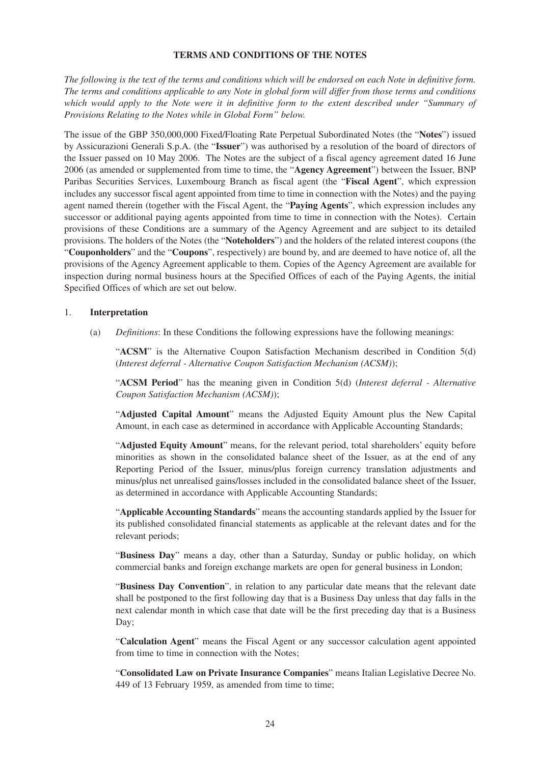#### **TERMS AND CONDITIONS OF THE NOTES**

*The following is the text of the terms and conditions which will be endorsed on each Note in definitive form. The terms and conditions applicable to any Note in global form will differ from those terms and conditions which would apply to the Note were it in definitive form to the extent described under "Summary of Provisions Relating to the Notes while in Global Form" below.*

The issue of the GBP 350,000,000 Fixed/Floating Rate Perpetual Subordinated Notes (the "**Notes**") issued by Assicurazioni Generali S.p.A. (the "**Issuer**") was authorised by a resolution of the board of directors of the Issuer passed on 10 May 2006. The Notes are the subject of a fiscal agency agreement dated 16 June 2006 (as amended or supplemented from time to time, the "**Agency Agreement**") between the Issuer, BNP Paribas Securities Services, Luxembourg Branch as fiscal agent (the "**Fiscal Agent**", which expression includes any successor fiscal agent appointed from time to time in connection with the Notes) and the paying agent named therein (together with the Fiscal Agent, the "**Paying Agents**", which expression includes any successor or additional paying agents appointed from time to time in connection with the Notes). Certain provisions of these Conditions are a summary of the Agency Agreement and are subject to its detailed provisions. The holders of the Notes (the "**Noteholders**") and the holders of the related interest coupons (the "**Couponholders**" and the "**Coupons**", respectively) are bound by, and are deemed to have notice of, all the provisions of the Agency Agreement applicable to them. Copies of the Agency Agreement are available for inspection during normal business hours at the Specified Offices of each of the Paying Agents, the initial Specified Offices of which are set out below.

#### 1. **Interpretation**

(a) *Definitions*: In these Conditions the following expressions have the following meanings:

"**ACSM**" is the Alternative Coupon Satisfaction Mechanism described in Condition 5(d) (*Interest deferral - Alternative Coupon Satisfaction Mechanism (ACSM)*);

"**ACSM Period**" has the meaning given in Condition 5(d) (*Interest deferral - Alternative Coupon Satisfaction Mechanism (ACSM)*);

"**Adjusted Capital Amount**" means the Adjusted Equity Amount plus the New Capital Amount, in each case as determined in accordance with Applicable Accounting Standards;

"**Adjusted Equity Amount**" means, for the relevant period, total shareholders' equity before minorities as shown in the consolidated balance sheet of the Issuer, as at the end of any Reporting Period of the Issuer, minus/plus foreign currency translation adjustments and minus/plus net unrealised gains/losses included in the consolidated balance sheet of the Issuer, as determined in accordance with Applicable Accounting Standards;

"**Applicable Accounting Standards**" means the accounting standards applied by the Issuer for its published consolidated financial statements as applicable at the relevant dates and for the relevant periods;

"**Business Day**" means a day, other than a Saturday, Sunday or public holiday, on which commercial banks and foreign exchange markets are open for general business in London;

"**Business Day Convention**", in relation to any particular date means that the relevant date shall be postponed to the first following day that is a Business Day unless that day falls in the next calendar month in which case that date will be the first preceding day that is a Business Day;

"**Calculation Agent**" means the Fiscal Agent or any successor calculation agent appointed from time to time in connection with the Notes;

"**Consolidated Law on Private Insurance Companies**" means Italian Legislative Decree No. 449 of 13 February 1959, as amended from time to time;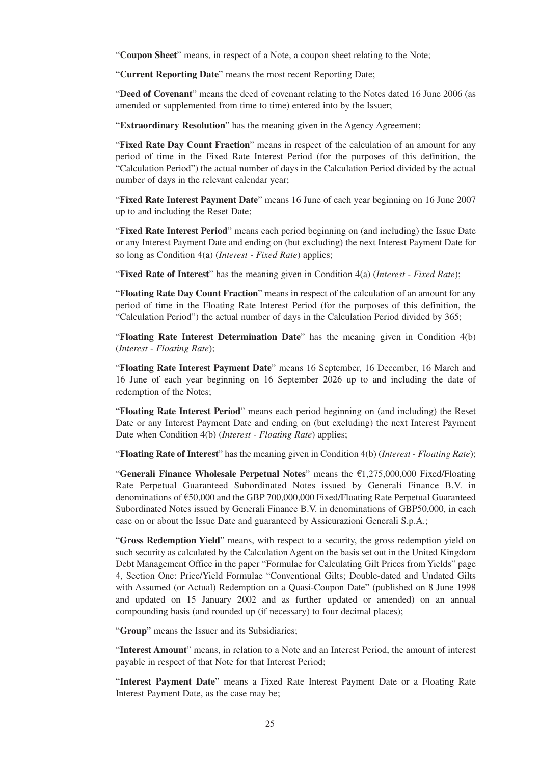"**Coupon Sheet**" means, in respect of a Note, a coupon sheet relating to the Note;

"**Current Reporting Date**" means the most recent Reporting Date;

"**Deed of Covenant**" means the deed of covenant relating to the Notes dated 16 June 2006 (as amended or supplemented from time to time) entered into by the Issuer;

"**Extraordinary Resolution**" has the meaning given in the Agency Agreement;

"**Fixed Rate Day Count Fraction**" means in respect of the calculation of an amount for any period of time in the Fixed Rate Interest Period (for the purposes of this definition, the "Calculation Period") the actual number of days in the Calculation Period divided by the actual number of days in the relevant calendar year;

"**Fixed Rate Interest Payment Date**" means 16 June of each year beginning on 16 June 2007 up to and including the Reset Date;

"**Fixed Rate Interest Period**" means each period beginning on (and including) the Issue Date or any Interest Payment Date and ending on (but excluding) the next Interest Payment Date for so long as Condition 4(a) (*Interest - Fixed Rate*) applies;

"**Fixed Rate of Interest**" has the meaning given in Condition 4(a) (*Interest - Fixed Rate*);

"**Floating Rate Day Count Fraction**" means in respect of the calculation of an amount for any period of time in the Floating Rate Interest Period (for the purposes of this definition, the "Calculation Period") the actual number of days in the Calculation Period divided by 365;

"**Floating Rate Interest Determination Date**" has the meaning given in Condition 4(b) (*Interest - Floating Rate*);

"**Floating Rate Interest Payment Date**" means 16 September, 16 December, 16 March and 16 June of each year beginning on 16 September 2026 up to and including the date of redemption of the Notes;

"**Floating Rate Interest Period**" means each period beginning on (and including) the Reset Date or any Interest Payment Date and ending on (but excluding) the next Interest Payment Date when Condition 4(b) (*Interest - Floating Rate*) applies;

"**Floating Rate of Interest**" has the meaning given in Condition 4(b) (*Interest - Floating Rate*);

"**Generali Finance Wholesale Perpetual Notes**" means the €1,275,000,000 Fixed/Floating Rate Perpetual Guaranteed Subordinated Notes issued by Generali Finance B.V. in denominations of €50,000 and the GBP 700,000,000 Fixed/Floating Rate Perpetual Guaranteed Subordinated Notes issued by Generali Finance B.V. in denominations of GBP50,000, in each case on or about the Issue Date and guaranteed by Assicurazioni Generali S.p.A.;

"**Gross Redemption Yield**" means, with respect to a security, the gross redemption yield on such security as calculated by the Calculation Agent on the basis set out in the United Kingdom Debt Management Office in the paper "Formulae for Calculating Gilt Prices from Yields" page 4, Section One: Price/Yield Formulae "Conventional Gilts; Double-dated and Undated Gilts with Assumed (or Actual) Redemption on a Quasi-Coupon Date" (published on 8 June 1998 and updated on 15 January 2002 and as further updated or amended) on an annual compounding basis (and rounded up (if necessary) to four decimal places);

"**Group**" means the Issuer and its Subsidiaries;

"**Interest Amount**" means, in relation to a Note and an Interest Period, the amount of interest payable in respect of that Note for that Interest Period;

"**Interest Payment Date**" means a Fixed Rate Interest Payment Date or a Floating Rate Interest Payment Date, as the case may be;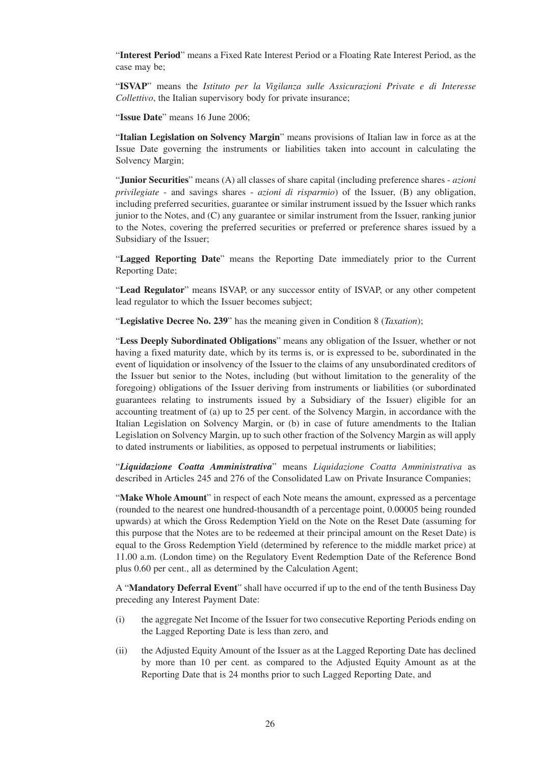"**Interest Period**" means a Fixed Rate Interest Period or a Floating Rate Interest Period, as the case may be;

"**ISVAP**" means the *Istituto per la Vigilanza sulle Assicurazioni Private e di Interesse Collettivo*, the Italian supervisory body for private insurance;

"**Issue Date**" means 16 June 2006;

"**Italian Legislation on Solvency Margin**" means provisions of Italian law in force as at the Issue Date governing the instruments or liabilities taken into account in calculating the Solvency Margin;

"**Junior Securities**" means (A) all classes of share capital (including preference shares - *azioni privilegiate* - and savings shares - *azioni di risparmio*) of the Issuer, (B) any obligation, including preferred securities, guarantee or similar instrument issued by the Issuer which ranks junior to the Notes, and (C) any guarantee or similar instrument from the Issuer, ranking junior to the Notes, covering the preferred securities or preferred or preference shares issued by a Subsidiary of the Issuer;

"**Lagged Reporting Date**" means the Reporting Date immediately prior to the Current Reporting Date;

"**Lead Regulator**" means ISVAP, or any successor entity of ISVAP, or any other competent lead regulator to which the Issuer becomes subject;

"**Legislative Decree No. 239**" has the meaning given in Condition 8 (*Taxation*);

"**Less Deeply Subordinated Obligations**" means any obligation of the Issuer, whether or not having a fixed maturity date, which by its terms is, or is expressed to be, subordinated in the event of liquidation or insolvency of the Issuer to the claims of any unsubordinated creditors of the Issuer but senior to the Notes, including (but without limitation to the generality of the foregoing) obligations of the Issuer deriving from instruments or liabilities (or subordinated guarantees relating to instruments issued by a Subsidiary of the Issuer) eligible for an accounting treatment of (a) up to 25 per cent. of the Solvency Margin, in accordance with the Italian Legislation on Solvency Margin, or (b) in case of future amendments to the Italian Legislation on Solvency Margin, up to such other fraction of the Solvency Margin as will apply to dated instruments or liabilities, as opposed to perpetual instruments or liabilities;

"*Liquidazione Coatta Amministrativa*" means *Liquidazione Coatta Amministrativa* as described in Articles 245 and 276 of the Consolidated Law on Private Insurance Companies;

"Make Whole Amount" in respect of each Note means the amount, expressed as a percentage (rounded to the nearest one hundred-thousandth of a percentage point, 0.00005 being rounded upwards) at which the Gross Redemption Yield on the Note on the Reset Date (assuming for this purpose that the Notes are to be redeemed at their principal amount on the Reset Date) is equal to the Gross Redemption Yield (determined by reference to the middle market price) at 11.00 a.m. (London time) on the Regulatory Event Redemption Date of the Reference Bond plus 0.60 per cent., all as determined by the Calculation Agent;

A "**Mandatory Deferral Event**" shall have occurred if up to the end of the tenth Business Day preceding any Interest Payment Date:

- (i) the aggregate Net Income of the Issuer for two consecutive Reporting Periods ending on the Lagged Reporting Date is less than zero, and
- (ii) the Adjusted Equity Amount of the Issuer as at the Lagged Reporting Date has declined by more than 10 per cent. as compared to the Adjusted Equity Amount as at the Reporting Date that is 24 months prior to such Lagged Reporting Date, and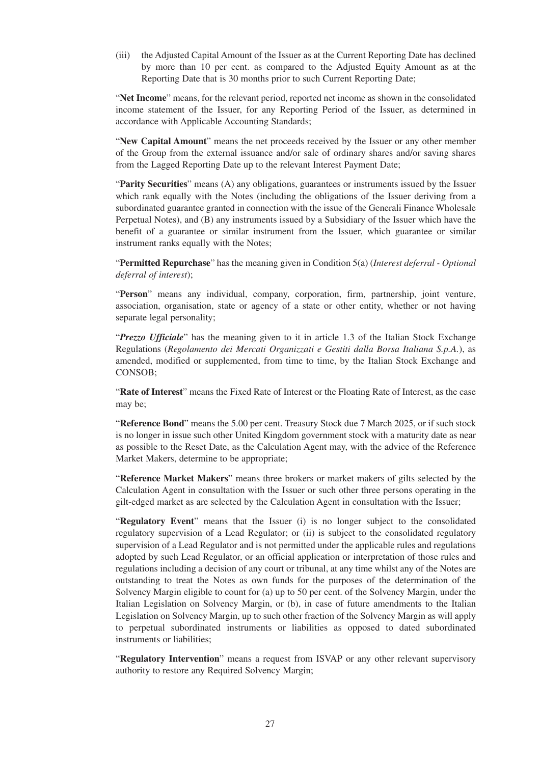(iii) the Adjusted Capital Amount of the Issuer as at the Current Reporting Date has declined by more than 10 per cent. as compared to the Adjusted Equity Amount as at the Reporting Date that is 30 months prior to such Current Reporting Date;

"**Net Income**" means, for the relevant period, reported net income as shown in the consolidated income statement of the Issuer, for any Reporting Period of the Issuer, as determined in accordance with Applicable Accounting Standards;

"**New Capital Amount**" means the net proceeds received by the Issuer or any other member of the Group from the external issuance and/or sale of ordinary shares and/or saving shares from the Lagged Reporting Date up to the relevant Interest Payment Date;

"**Parity Securities**" means (A) any obligations, guarantees or instruments issued by the Issuer which rank equally with the Notes (including the obligations of the Issuer deriving from a subordinated guarantee granted in connection with the issue of the Generali Finance Wholesale Perpetual Notes), and (B) any instruments issued by a Subsidiary of the Issuer which have the benefit of a guarantee or similar instrument from the Issuer, which guarantee or similar instrument ranks equally with the Notes;

"**Permitted Repurchase**" has the meaning given in Condition 5(a) (*Interest deferral - Optional deferral of interest*);

"**Person**" means any individual, company, corporation, firm, partnership, joint venture, association, organisation, state or agency of a state or other entity, whether or not having separate legal personality;

"*Prezzo Ufficiale*" has the meaning given to it in article 1.3 of the Italian Stock Exchange Regulations (*Regolamento dei Mercati Organizzati e Gestiti dalla Borsa Italiana S.p.A.*), as amended, modified or supplemented, from time to time, by the Italian Stock Exchange and CONSOB;

"**Rate of Interest**" means the Fixed Rate of Interest or the Floating Rate of Interest, as the case may be;

"**Reference Bond**" means the 5.00 per cent. Treasury Stock due 7 March 2025, or if such stock is no longer in issue such other United Kingdom government stock with a maturity date as near as possible to the Reset Date, as the Calculation Agent may, with the advice of the Reference Market Makers, determine to be appropriate;

"**Reference Market Makers**" means three brokers or market makers of gilts selected by the Calculation Agent in consultation with the Issuer or such other three persons operating in the gilt-edged market as are selected by the Calculation Agent in consultation with the Issuer;

"**Regulatory Event**" means that the Issuer (i) is no longer subject to the consolidated regulatory supervision of a Lead Regulator; or (ii) is subject to the consolidated regulatory supervision of a Lead Regulator and is not permitted under the applicable rules and regulations adopted by such Lead Regulator, or an official application or interpretation of those rules and regulations including a decision of any court or tribunal, at any time whilst any of the Notes are outstanding to treat the Notes as own funds for the purposes of the determination of the Solvency Margin eligible to count for (a) up to 50 per cent. of the Solvency Margin, under the Italian Legislation on Solvency Margin, or (b), in case of future amendments to the Italian Legislation on Solvency Margin, up to such other fraction of the Solvency Margin as will apply to perpetual subordinated instruments or liabilities as opposed to dated subordinated instruments or liabilities;

"**Regulatory Intervention**" means a request from ISVAP or any other relevant supervisory authority to restore any Required Solvency Margin;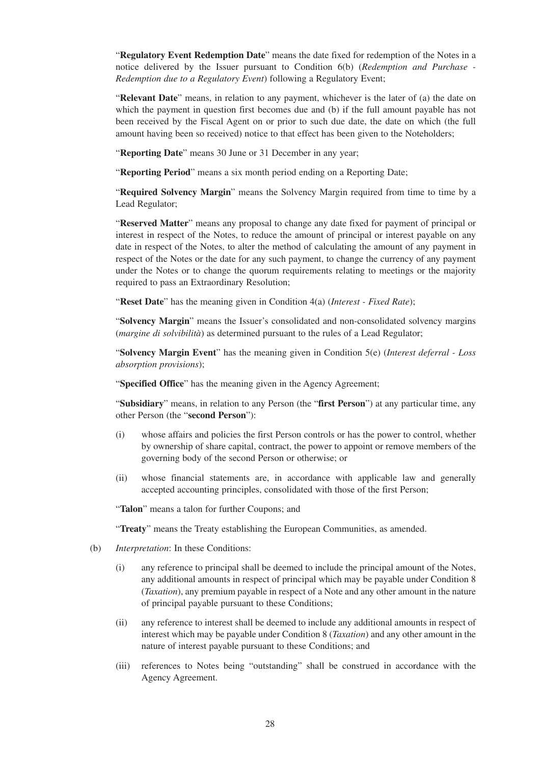"**Regulatory Event Redemption Date**" means the date fixed for redemption of the Notes in a notice delivered by the Issuer pursuant to Condition 6(b) (*Redemption and Purchase - Redemption due to a Regulatory Event*) following a Regulatory Event;

"**Relevant Date**" means, in relation to any payment, whichever is the later of (a) the date on which the payment in question first becomes due and (b) if the full amount payable has not been received by the Fiscal Agent on or prior to such due date, the date on which (the full amount having been so received) notice to that effect has been given to the Noteholders;

"**Reporting Date**" means 30 June or 31 December in any year;

"**Reporting Period**" means a six month period ending on a Reporting Date;

"**Required Solvency Margin**" means the Solvency Margin required from time to time by a Lead Regulator;

"**Reserved Matter**" means any proposal to change any date fixed for payment of principal or interest in respect of the Notes, to reduce the amount of principal or interest payable on any date in respect of the Notes, to alter the method of calculating the amount of any payment in respect of the Notes or the date for any such payment, to change the currency of any payment under the Notes or to change the quorum requirements relating to meetings or the majority required to pass an Extraordinary Resolution;

"**Reset Date**" has the meaning given in Condition 4(a) (*Interest - Fixed Rate*);

"**Solvency Margin**" means the Issuer's consolidated and non-consolidated solvency margins (*margine di solvibilità*) as determined pursuant to the rules of a Lead Regulator;

"**Solvency Margin Event**" has the meaning given in Condition 5(e) (*Interest deferral - Loss absorption provisions*);

"**Specified Office**" has the meaning given in the Agency Agreement;

"**Subsidiary**" means, in relation to any Person (the "**first Person**") at any particular time, any other Person (the "**second Person**"):

- (i) whose affairs and policies the first Person controls or has the power to control, whether by ownership of share capital, contract, the power to appoint or remove members of the governing body of the second Person or otherwise; or
- (ii) whose financial statements are, in accordance with applicable law and generally accepted accounting principles, consolidated with those of the first Person;

"**Talon**" means a talon for further Coupons; and

"**Treaty**" means the Treaty establishing the European Communities, as amended.

- (b) *Interpretation*: In these Conditions:
	- (i) any reference to principal shall be deemed to include the principal amount of the Notes, any additional amounts in respect of principal which may be payable under Condition 8 (*Taxation*), any premium payable in respect of a Note and any other amount in the nature of principal payable pursuant to these Conditions;
	- (ii) any reference to interest shall be deemed to include any additional amounts in respect of interest which may be payable under Condition 8 (*Taxation*) and any other amount in the nature of interest payable pursuant to these Conditions; and
	- (iii) references to Notes being "outstanding" shall be construed in accordance with the Agency Agreement.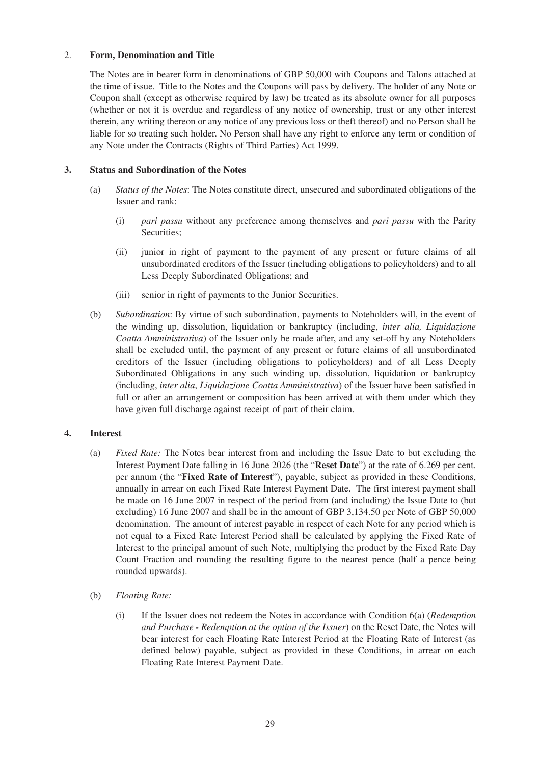#### 2. **Form, Denomination and Title**

The Notes are in bearer form in denominations of GBP 50,000 with Coupons and Talons attached at the time of issue. Title to the Notes and the Coupons will pass by delivery. The holder of any Note or Coupon shall (except as otherwise required by law) be treated as its absolute owner for all purposes (whether or not it is overdue and regardless of any notice of ownership, trust or any other interest therein, any writing thereon or any notice of any previous loss or theft thereof) and no Person shall be liable for so treating such holder. No Person shall have any right to enforce any term or condition of any Note under the Contracts (Rights of Third Parties) Act 1999.

## **3. Status and Subordination of the Notes**

- (a) *Status of the Notes*: The Notes constitute direct, unsecured and subordinated obligations of the Issuer and rank:
	- (i) *pari passu* without any preference among themselves and *pari passu* with the Parity Securities;
	- (ii) junior in right of payment to the payment of any present or future claims of all unsubordinated creditors of the Issuer (including obligations to policyholders) and to all Less Deeply Subordinated Obligations; and
	- (iii) senior in right of payments to the Junior Securities.
- (b) *Subordination*: By virtue of such subordination, payments to Noteholders will, in the event of the winding up, dissolution, liquidation or bankruptcy (including, *inter alia, Liquidazione Coatta Amministrativa*) of the Issuer only be made after, and any set-off by any Noteholders shall be excluded until, the payment of any present or future claims of all unsubordinated creditors of the Issuer (including obligations to policyholders) and of all Less Deeply Subordinated Obligations in any such winding up, dissolution, liquidation or bankruptcy (including, *inter alia*, *Liquidazione Coatta Amministrativa*) of the Issuer have been satisfied in full or after an arrangement or composition has been arrived at with them under which they have given full discharge against receipt of part of their claim.

## **4. Interest**

- (a) *Fixed Rate:* The Notes bear interest from and including the Issue Date to but excluding the Interest Payment Date falling in 16 June 2026 (the "**Reset Date**") at the rate of 6.269 per cent. per annum (the "**Fixed Rate of Interest**"), payable, subject as provided in these Conditions, annually in arrear on each Fixed Rate Interest Payment Date. The first interest payment shall be made on 16 June 2007 in respect of the period from (and including) the Issue Date to (but excluding) 16 June 2007 and shall be in the amount of GBP 3,134.50 per Note of GBP 50,000 denomination. The amount of interest payable in respect of each Note for any period which is not equal to a Fixed Rate Interest Period shall be calculated by applying the Fixed Rate of Interest to the principal amount of such Note, multiplying the product by the Fixed Rate Day Count Fraction and rounding the resulting figure to the nearest pence (half a pence being rounded upwards).
- (b) *Floating Rate:*
	- (i) If the Issuer does not redeem the Notes in accordance with Condition 6(a) (*Redemption and Purchase - Redemption at the option of the Issuer*) on the Reset Date, the Notes will bear interest for each Floating Rate Interest Period at the Floating Rate of Interest (as defined below) payable, subject as provided in these Conditions, in arrear on each Floating Rate Interest Payment Date.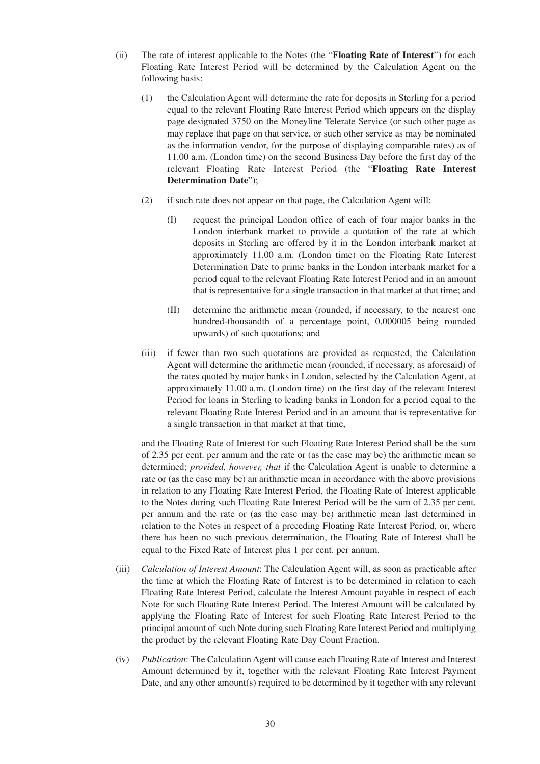- (ii) The rate of interest applicable to the Notes (the "**Floating Rate of Interest**") for each Floating Rate Interest Period will be determined by the Calculation Agent on the following basis:
	- (1) the Calculation Agent will determine the rate for deposits in Sterling for a period equal to the relevant Floating Rate Interest Period which appears on the display page designated 3750 on the Moneyline Telerate Service (or such other page as may replace that page on that service, or such other service as may be nominated as the information vendor, for the purpose of displaying comparable rates) as of 11.00 a.m. (London time) on the second Business Day before the first day of the relevant Floating Rate Interest Period (the "**Floating Rate Interest Determination Date**");
	- (2) if such rate does not appear on that page, the Calculation Agent will:
		- (I) request the principal London office of each of four major banks in the London interbank market to provide a quotation of the rate at which deposits in Sterling are offered by it in the London interbank market at approximately 11.00 a.m. (London time) on the Floating Rate Interest Determination Date to prime banks in the London interbank market for a period equal to the relevant Floating Rate Interest Period and in an amount that is representative for a single transaction in that market at that time; and
		- (II) determine the arithmetic mean (rounded, if necessary, to the nearest one hundred-thousandth of a percentage point, 0.000005 being rounded upwards) of such quotations; and
	- (iii) if fewer than two such quotations are provided as requested, the Calculation Agent will determine the arithmetic mean (rounded, if necessary, as aforesaid) of the rates quoted by major banks in London, selected by the Calculation Agent, at approximately 11.00 a.m. (London time) on the first day of the relevant Interest Period for loans in Sterling to leading banks in London for a period equal to the relevant Floating Rate Interest Period and in an amount that is representative for a single transaction in that market at that time,

and the Floating Rate of Interest for such Floating Rate Interest Period shall be the sum of 2.35 per cent. per annum and the rate or (as the case may be) the arithmetic mean so determined; *provided, however, that* if the Calculation Agent is unable to determine a rate or (as the case may be) an arithmetic mean in accordance with the above provisions in relation to any Floating Rate Interest Period, the Floating Rate of Interest applicable to the Notes during such Floating Rate Interest Period will be the sum of 2.35 per cent. per annum and the rate or (as the case may be) arithmetic mean last determined in relation to the Notes in respect of a preceding Floating Rate Interest Period, or, where there has been no such previous determination, the Floating Rate of Interest shall be equal to the Fixed Rate of Interest plus 1 per cent. per annum.

- (iii) *Calculation of Interest Amount*: The Calculation Agent will, as soon as practicable after the time at which the Floating Rate of Interest is to be determined in relation to each Floating Rate Interest Period, calculate the Interest Amount payable in respect of each Note for such Floating Rate Interest Period. The Interest Amount will be calculated by applying the Floating Rate of Interest for such Floating Rate Interest Period to the principal amount of such Note during such Floating Rate Interest Period and multiplying the product by the relevant Floating Rate Day Count Fraction.
- (iv) *Publication*: The Calculation Agent will cause each Floating Rate of Interest and Interest Amount determined by it, together with the relevant Floating Rate Interest Payment Date, and any other amount(s) required to be determined by it together with any relevant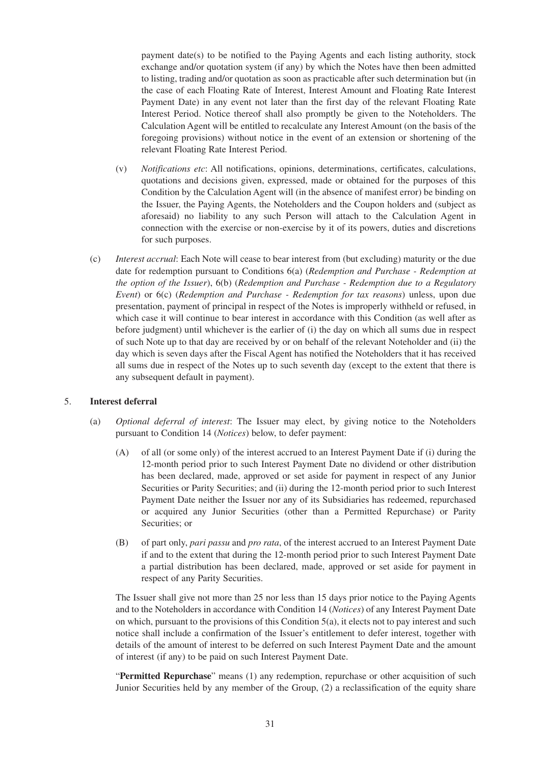payment date(s) to be notified to the Paying Agents and each listing authority, stock exchange and/or quotation system (if any) by which the Notes have then been admitted to listing, trading and/or quotation as soon as practicable after such determination but (in the case of each Floating Rate of Interest, Interest Amount and Floating Rate Interest Payment Date) in any event not later than the first day of the relevant Floating Rate Interest Period. Notice thereof shall also promptly be given to the Noteholders. The Calculation Agent will be entitled to recalculate any Interest Amount (on the basis of the foregoing provisions) without notice in the event of an extension or shortening of the relevant Floating Rate Interest Period.

- (v) *Notifications etc*: All notifications, opinions, determinations, certificates, calculations, quotations and decisions given, expressed, made or obtained for the purposes of this Condition by the Calculation Agent will (in the absence of manifest error) be binding on the Issuer, the Paying Agents, the Noteholders and the Coupon holders and (subject as aforesaid) no liability to any such Person will attach to the Calculation Agent in connection with the exercise or non-exercise by it of its powers, duties and discretions for such purposes.
- (c) *Interest accrual*: Each Note will cease to bear interest from (but excluding) maturity or the due date for redemption pursuant to Conditions 6(a) (*Redemption and Purchase - Redemption at the option of the Issuer*), 6(b) (*Redemption and Purchase - Redemption due to a Regulatory Event*) or 6(c) (*Redemption and Purchase - Redemption for tax reasons*) unless, upon due presentation, payment of principal in respect of the Notes is improperly withheld or refused, in which case it will continue to bear interest in accordance with this Condition (as well after as before judgment) until whichever is the earlier of (i) the day on which all sums due in respect of such Note up to that day are received by or on behalf of the relevant Noteholder and (ii) the day which is seven days after the Fiscal Agent has notified the Noteholders that it has received all sums due in respect of the Notes up to such seventh day (except to the extent that there is any subsequent default in payment).

#### 5. **Interest deferral**

- (a) *Optional deferral of interest*: The Issuer may elect, by giving notice to the Noteholders pursuant to Condition 14 (*Notices*) below, to defer payment:
	- (A) of all (or some only) of the interest accrued to an Interest Payment Date if (i) during the 12-month period prior to such Interest Payment Date no dividend or other distribution has been declared, made, approved or set aside for payment in respect of any Junior Securities or Parity Securities; and (ii) during the 12-month period prior to such Interest Payment Date neither the Issuer nor any of its Subsidiaries has redeemed, repurchased or acquired any Junior Securities (other than a Permitted Repurchase) or Parity Securities; or
	- (B) of part only, *pari passu* and *pro rata*, of the interest accrued to an Interest Payment Date if and to the extent that during the 12-month period prior to such Interest Payment Date a partial distribution has been declared, made, approved or set aside for payment in respect of any Parity Securities.

The Issuer shall give not more than 25 nor less than 15 days prior notice to the Paying Agents and to the Noteholders in accordance with Condition 14 (*Notices*) of any Interest Payment Date on which, pursuant to the provisions of this Condition 5(a), it elects not to pay interest and such notice shall include a confirmation of the Issuer's entitlement to defer interest, together with details of the amount of interest to be deferred on such Interest Payment Date and the amount of interest (if any) to be paid on such Interest Payment Date.

"**Permitted Repurchase**" means (1) any redemption, repurchase or other acquisition of such Junior Securities held by any member of the Group, (2) a reclassification of the equity share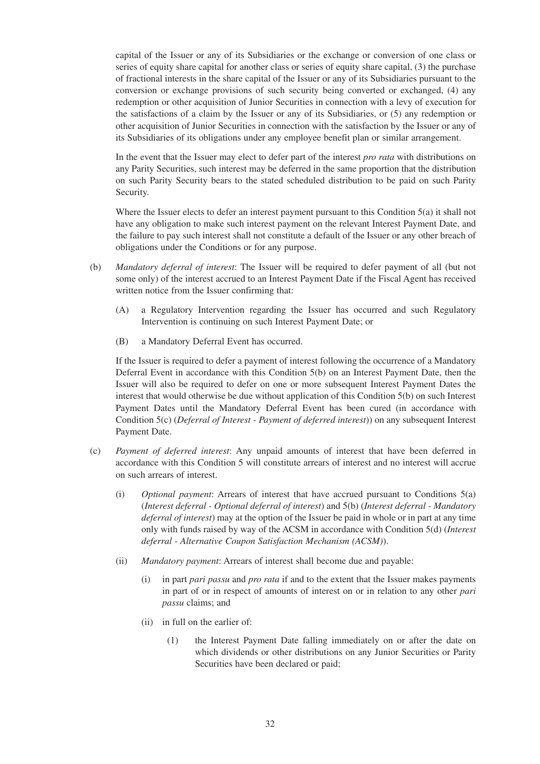capital of the Issuer or any of its Subsidiaries or the exchange or conversion of one class or series of equity share capital for another class or series of equity share capital, (3) the purchase of fractional interests in the share capital of the Issuer or any of its Subsidiaries pursuant to the conversion or exchange provisions of such security being converted or exchanged, (4) any redemption or other acquisition of Junior Securities in connection with a levy of execution for the satisfactions of a claim by the Issuer or any of its Subsidiaries, or (5) any redemption or other acquisition of Junior Securities in connection with the satisfaction by the Issuer or any of its Subsidiaries of its obligations under any employee benefit plan or similar arrangement.

In the event that the Issuer may elect to defer part of the interest *pro rata* with distributions on any Parity Securities, such interest may be deferred in the same proportion that the distribution on such Parity Security bears to the stated scheduled distribution to be paid on such Parity Security.

Where the Issuer elects to defer an interest payment pursuant to this Condition 5(a) it shall not have any obligation to make such interest payment on the relevant Interest Payment Date, and the failure to pay such interest shall not constitute a default of the Issuer or any other breach of obligations under the Conditions or for any purpose.

- (b) *Mandatory deferral of interest*: The Issuer will be required to defer payment of all (but not some only) of the interest accrued to an Interest Payment Date if the Fiscal Agent has received written notice from the Issuer confirming that:
	- (A) a Regulatory Intervention regarding the Issuer has occurred and such Regulatory Intervention is continuing on such Interest Payment Date; or
	- (B) a Mandatory Deferral Event has occurred.

If the Issuer is required to defer a payment of interest following the occurrence of a Mandatory Deferral Event in accordance with this Condition 5(b) on an Interest Payment Date, then the Issuer will also be required to defer on one or more subsequent Interest Payment Dates the interest that would otherwise be due without application of this Condition 5(b) on such Interest Payment Dates until the Mandatory Deferral Event has been cured (in accordance with Condition 5(c) (*Deferral of Interest - Payment of deferred interest*)) on any subsequent Interest Payment Date.

- (c) *Payment of deferred interest*: Any unpaid amounts of interest that have been deferred in accordance with this Condition 5 will constitute arrears of interest and no interest will accrue on such arrears of interest.
	- (i) *Optional payment*: Arrears of interest that have accrued pursuant to Conditions 5(a) (*Interest deferral - Optional deferral of interest*) and 5(b) (*Interest deferral - Mandatory deferral of interest*) may at the option of the Issuer be paid in whole or in part at any time only with funds raised by way of the ACSM in accordance with Condition 5(d) (*Interest deferral - Alternative Coupon Satisfaction Mechanism (ACSM)*).
	- (ii) *Mandatory payment*: Arrears of interest shall become due and payable:
		- (i) in part *pari passu* and *pro rata* if and to the extent that the Issuer makes payments in part of or in respect of amounts of interest on or in relation to any other *pari passu* claims; and
		- (ii) in full on the earlier of:
			- (1) the Interest Payment Date falling immediately on or after the date on which dividends or other distributions on any Junior Securities or Parity Securities have been declared or paid;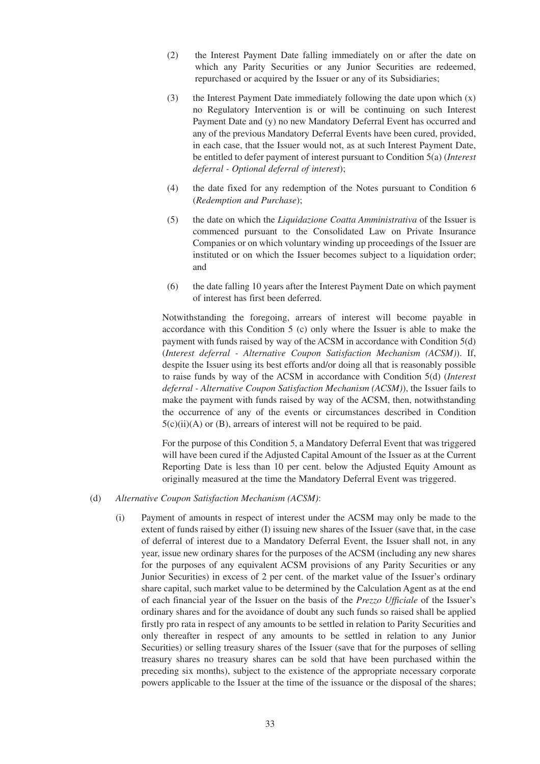- (2) the Interest Payment Date falling immediately on or after the date on which any Parity Securities or any Junior Securities are redeemed, repurchased or acquired by the Issuer or any of its Subsidiaries;
- (3) the Interest Payment Date immediately following the date upon which (x) no Regulatory Intervention is or will be continuing on such Interest Payment Date and (y) no new Mandatory Deferral Event has occurred and any of the previous Mandatory Deferral Events have been cured, provided, in each case, that the Issuer would not, as at such Interest Payment Date, be entitled to defer payment of interest pursuant to Condition 5(a) (*Interest deferral - Optional deferral of interest*);
- (4) the date fixed for any redemption of the Notes pursuant to Condition 6 (*Redemption and Purchase*);
- (5) the date on which the *Liquidazione Coatta Amministrativa* of the Issuer is commenced pursuant to the Consolidated Law on Private Insurance Companies or on which voluntary winding up proceedings of the Issuer are instituted or on which the Issuer becomes subject to a liquidation order; and
- (6) the date falling 10 years after the Interest Payment Date on which payment of interest has first been deferred.

Notwithstanding the foregoing, arrears of interest will become payable in accordance with this Condition 5 (c) only where the Issuer is able to make the payment with funds raised by way of the ACSM in accordance with Condition 5(d) (*Interest deferral - Alternative Coupon Satisfaction Mechanism (ACSM)*). If, despite the Issuer using its best efforts and/or doing all that is reasonably possible to raise funds by way of the ACSM in accordance with Condition 5(d) (*Interest deferral - Alternative Coupon Satisfaction Mechanism (ACSM)*), the Issuer fails to make the payment with funds raised by way of the ACSM, then, notwithstanding the occurrence of any of the events or circumstances described in Condition  $5(c)(ii)(A)$  or (B), arrears of interest will not be required to be paid.

For the purpose of this Condition 5, a Mandatory Deferral Event that was triggered will have been cured if the Adjusted Capital Amount of the Issuer as at the Current Reporting Date is less than 10 per cent. below the Adjusted Equity Amount as originally measured at the time the Mandatory Deferral Event was triggered.

- (d) *Alternative Coupon Satisfaction Mechanism (ACSM)*:
	- (i) Payment of amounts in respect of interest under the ACSM may only be made to the extent of funds raised by either (I) issuing new shares of the Issuer (save that, in the case of deferral of interest due to a Mandatory Deferral Event, the Issuer shall not, in any year, issue new ordinary shares for the purposes of the ACSM (including any new shares for the purposes of any equivalent ACSM provisions of any Parity Securities or any Junior Securities) in excess of 2 per cent. of the market value of the Issuer's ordinary share capital, such market value to be determined by the Calculation Agent as at the end of each financial year of the Issuer on the basis of the *Prezzo Ufficiale* of the Issuer's ordinary shares and for the avoidance of doubt any such funds so raised shall be applied firstly pro rata in respect of any amounts to be settled in relation to Parity Securities and only thereafter in respect of any amounts to be settled in relation to any Junior Securities) or selling treasury shares of the Issuer (save that for the purposes of selling treasury shares no treasury shares can be sold that have been purchased within the preceding six months), subject to the existence of the appropriate necessary corporate powers applicable to the Issuer at the time of the issuance or the disposal of the shares;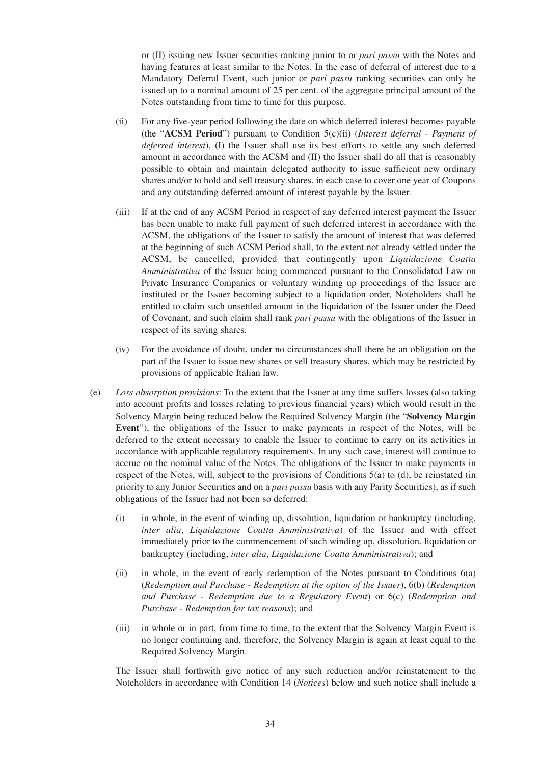or (II) issuing new Issuer securities ranking junior to or *pari passu* with the Notes and having features at least similar to the Notes. In the case of deferral of interest due to a Mandatory Deferral Event, such junior or *pari passu* ranking securities can only be issued up to a nominal amount of 25 per cent. of the aggregate principal amount of the Notes outstanding from time to time for this purpose.

- (ii) For any five-year period following the date on which deferred interest becomes payable (the "**ACSM Period**") pursuant to Condition 5(c)(ii) (*Interest deferral - Payment of deferred interest*), (I) the Issuer shall use its best efforts to settle any such deferred amount in accordance with the ACSM and (II) the Issuer shall do all that is reasonably possible to obtain and maintain delegated authority to issue sufficient new ordinary shares and/or to hold and sell treasury shares, in each case to cover one year of Coupons and any outstanding deferred amount of interest payable by the Issuer.
- (iii) If at the end of any ACSM Period in respect of any deferred interest payment the Issuer has been unable to make full payment of such deferred interest in accordance with the ACSM, the obligations of the Issuer to satisfy the amount of interest that was deferred at the beginning of such ACSM Period shall, to the extent not already settled under the ACSM, be cancelled, provided that contingently upon *Liquidazione Coatta Amministrativa* of the Issuer being commenced pursuant to the Consolidated Law on Private Insurance Companies or voluntary winding up proceedings of the Issuer are instituted or the Issuer becoming subject to a liquidation order, Noteholders shall be entitled to claim such unsettled amount in the liquidation of the Issuer under the Deed of Covenant, and such claim shall rank *pari passu* with the obligations of the Issuer in respect of its saving shares.
- (iv) For the avoidance of doubt, under no circumstances shall there be an obligation on the part of the Issuer to issue new shares or sell treasury shares, which may be restricted by provisions of applicable Italian law.
- (e) *Loss absorption provisions*: To the extent that the Issuer at any time suffers losses (also taking into account profits and losses relating to previous financial years) which would result in the Solvency Margin being reduced below the Required Solvency Margin (the "**Solvency Margin Event**"), the obligations of the Issuer to make payments in respect of the Notes, will be deferred to the extent necessary to enable the Issuer to continue to carry on its activities in accordance with applicable regulatory requirements. In any such case, interest will continue to accrue on the nominal value of the Notes. The obligations of the Issuer to make payments in respect of the Notes, will, subject to the provisions of Conditions 5(a) to (d), be reinstated (in priority to any Junior Securities and on a *pari passu* basis with any Parity Securities), as if such obligations of the Issuer had not been so deferred:
	- (i) in whole, in the event of winding up, dissolution, liquidation or bankruptcy (including, *inter alia*, *Liquidazione Coatta Amministrativa*) of the Issuer and with effect immediately prior to the commencement of such winding up, dissolution, liquidation or bankruptcy (including, *inter alia*, *Liquidazione Coatta Amministrativa*); and
	- (ii) in whole, in the event of early redemption of the Notes pursuant to Conditions 6(a) (*Redemption and Purchase - Redemption at the option of the Issuer*), 6(b) (*Redemption and Purchase - Redemption due to a Regulatory Event*) or 6(c) (*Redemption and Purchase - Redemption for tax reasons*); and
	- (iii) in whole or in part, from time to time, to the extent that the Solvency Margin Event is no longer continuing and, therefore, the Solvency Margin is again at least equal to the Required Solvency Margin.

The Issuer shall forthwith give notice of any such reduction and/or reinstatement to the Noteholders in accordance with Condition 14 (*Notices*) below and such notice shall include a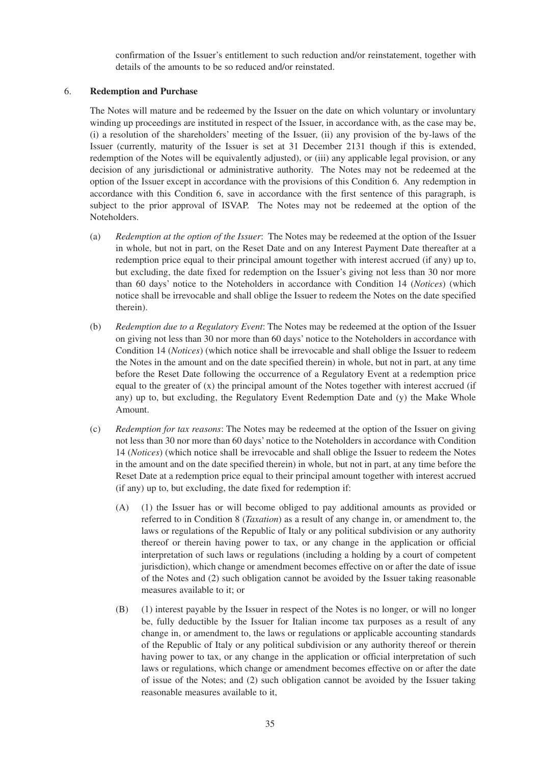confirmation of the Issuer's entitlement to such reduction and/or reinstatement, together with details of the amounts to be so reduced and/or reinstated.

#### 6. **Redemption and Purchase**

The Notes will mature and be redeemed by the Issuer on the date on which voluntary or involuntary winding up proceedings are instituted in respect of the Issuer, in accordance with, as the case may be, (i) a resolution of the shareholders' meeting of the Issuer, (ii) any provision of the by-laws of the Issuer (currently, maturity of the Issuer is set at 31 December 2131 though if this is extended, redemption of the Notes will be equivalently adjusted), or (iii) any applicable legal provision, or any decision of any jurisdictional or administrative authority. The Notes may not be redeemed at the option of the Issuer except in accordance with the provisions of this Condition 6. Any redemption in accordance with this Condition 6, save in accordance with the first sentence of this paragraph, is subject to the prior approval of ISVAP. The Notes may not be redeemed at the option of the Noteholders.

- (a) *Redemption at the option of the Issuer*: The Notes may be redeemed at the option of the Issuer in whole, but not in part, on the Reset Date and on any Interest Payment Date thereafter at a redemption price equal to their principal amount together with interest accrued (if any) up to, but excluding, the date fixed for redemption on the Issuer's giving not less than 30 nor more than 60 days' notice to the Noteholders in accordance with Condition 14 (*Notices*) (which notice shall be irrevocable and shall oblige the Issuer to redeem the Notes on the date specified therein).
- (b) *Redemption due to a Regulatory Event*: The Notes may be redeemed at the option of the Issuer on giving not less than 30 nor more than 60 days' notice to the Noteholders in accordance with Condition 14 (*Notices*) (which notice shall be irrevocable and shall oblige the Issuer to redeem the Notes in the amount and on the date specified therein) in whole, but not in part, at any time before the Reset Date following the occurrence of a Regulatory Event at a redemption price equal to the greater of  $(x)$  the principal amount of the Notes together with interest accrued (if any) up to, but excluding, the Regulatory Event Redemption Date and (y) the Make Whole Amount.
- (c) *Redemption for tax reasons*: The Notes may be redeemed at the option of the Issuer on giving not less than 30 nor more than 60 days' notice to the Noteholders in accordance with Condition 14 (*Notices*) (which notice shall be irrevocable and shall oblige the Issuer to redeem the Notes in the amount and on the date specified therein) in whole, but not in part, at any time before the Reset Date at a redemption price equal to their principal amount together with interest accrued (if any) up to, but excluding, the date fixed for redemption if:
	- (A) (1) the Issuer has or will become obliged to pay additional amounts as provided or referred to in Condition 8 (*Taxation*) as a result of any change in, or amendment to, the laws or regulations of the Republic of Italy or any political subdivision or any authority thereof or therein having power to tax, or any change in the application or official interpretation of such laws or regulations (including a holding by a court of competent jurisdiction), which change or amendment becomes effective on or after the date of issue of the Notes and (2) such obligation cannot be avoided by the Issuer taking reasonable measures available to it; or
	- (B) (1) interest payable by the Issuer in respect of the Notes is no longer, or will no longer be, fully deductible by the Issuer for Italian income tax purposes as a result of any change in, or amendment to, the laws or regulations or applicable accounting standards of the Republic of Italy or any political subdivision or any authority thereof or therein having power to tax, or any change in the application or official interpretation of such laws or regulations, which change or amendment becomes effective on or after the date of issue of the Notes; and (2) such obligation cannot be avoided by the Issuer taking reasonable measures available to it,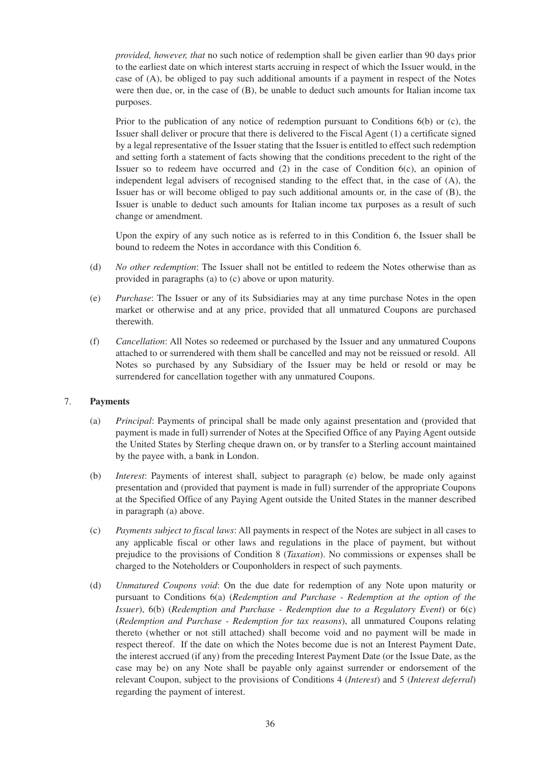*provided, however, that* no such notice of redemption shall be given earlier than 90 days prior to the earliest date on which interest starts accruing in respect of which the Issuer would, in the case of (A), be obliged to pay such additional amounts if a payment in respect of the Notes were then due, or, in the case of (B), be unable to deduct such amounts for Italian income tax purposes.

Prior to the publication of any notice of redemption pursuant to Conditions 6(b) or (c), the Issuer shall deliver or procure that there is delivered to the Fiscal Agent (1) a certificate signed by a legal representative of the Issuer stating that the Issuer is entitled to effect such redemption and setting forth a statement of facts showing that the conditions precedent to the right of the Issuer so to redeem have occurred and  $(2)$  in the case of Condition  $6(c)$ , an opinion of independent legal advisers of recognised standing to the effect that, in the case of (A), the Issuer has or will become obliged to pay such additional amounts or, in the case of (B), the Issuer is unable to deduct such amounts for Italian income tax purposes as a result of such change or amendment.

Upon the expiry of any such notice as is referred to in this Condition 6, the Issuer shall be bound to redeem the Notes in accordance with this Condition 6.

- (d) *No other redemption*: The Issuer shall not be entitled to redeem the Notes otherwise than as provided in paragraphs (a) to (c) above or upon maturity.
- (e) *Purchase*: The Issuer or any of its Subsidiaries may at any time purchase Notes in the open market or otherwise and at any price, provided that all unmatured Coupons are purchased therewith.
- (f) *Cancellation*: All Notes so redeemed or purchased by the Issuer and any unmatured Coupons attached to or surrendered with them shall be cancelled and may not be reissued or resold. All Notes so purchased by any Subsidiary of the Issuer may be held or resold or may be surrendered for cancellation together with any unmatured Coupons.

## 7. **Payments**

- (a) *Principal*: Payments of principal shall be made only against presentation and (provided that payment is made in full) surrender of Notes at the Specified Office of any Paying Agent outside the United States by Sterling cheque drawn on, or by transfer to a Sterling account maintained by the payee with, a bank in London.
- (b) *Interest*: Payments of interest shall, subject to paragraph (e) below, be made only against presentation and (provided that payment is made in full) surrender of the appropriate Coupons at the Specified Office of any Paying Agent outside the United States in the manner described in paragraph (a) above.
- (c) *Payments subject to fiscal laws*: All payments in respect of the Notes are subject in all cases to any applicable fiscal or other laws and regulations in the place of payment, but without prejudice to the provisions of Condition 8 (*Taxation*). No commissions or expenses shall be charged to the Noteholders or Couponholders in respect of such payments.
- (d) *Unmatured Coupons void*: On the due date for redemption of any Note upon maturity or pursuant to Conditions 6(a) (*Redemption and Purchase - Redemption at the option of the Issuer*), 6(b) (*Redemption and Purchase - Redemption due to a Regulatory Event*) or 6(c) (*Redemption and Purchase - Redemption for tax reasons*), all unmatured Coupons relating thereto (whether or not still attached) shall become void and no payment will be made in respect thereof. If the date on which the Notes become due is not an Interest Payment Date, the interest accrued (if any) from the preceding Interest Payment Date (or the Issue Date, as the case may be) on any Note shall be payable only against surrender or endorsement of the relevant Coupon, subject to the provisions of Conditions 4 (*Interest*) and 5 (*Interest deferral*) regarding the payment of interest.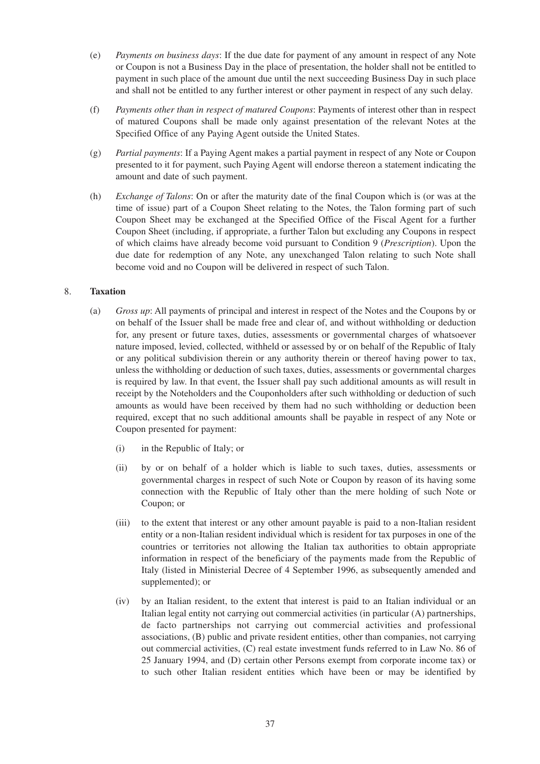- (e) *Payments on business days*: If the due date for payment of any amount in respect of any Note or Coupon is not a Business Day in the place of presentation, the holder shall not be entitled to payment in such place of the amount due until the next succeeding Business Day in such place and shall not be entitled to any further interest or other payment in respect of any such delay.
- (f) *Payments other than in respect of matured Coupons*: Payments of interest other than in respect of matured Coupons shall be made only against presentation of the relevant Notes at the Specified Office of any Paying Agent outside the United States.
- (g) *Partial payments*: If a Paying Agent makes a partial payment in respect of any Note or Coupon presented to it for payment, such Paying Agent will endorse thereon a statement indicating the amount and date of such payment.
- (h) *Exchange of Talons*: On or after the maturity date of the final Coupon which is (or was at the time of issue) part of a Coupon Sheet relating to the Notes, the Talon forming part of such Coupon Sheet may be exchanged at the Specified Office of the Fiscal Agent for a further Coupon Sheet (including, if appropriate, a further Talon but excluding any Coupons in respect of which claims have already become void pursuant to Condition 9 (*Prescription*). Upon the due date for redemption of any Note, any unexchanged Talon relating to such Note shall become void and no Coupon will be delivered in respect of such Talon.

# 8. **Taxation**

- (a) *Gross up*: All payments of principal and interest in respect of the Notes and the Coupons by or on behalf of the Issuer shall be made free and clear of, and without withholding or deduction for, any present or future taxes, duties, assessments or governmental charges of whatsoever nature imposed, levied, collected, withheld or assessed by or on behalf of the Republic of Italy or any political subdivision therein or any authority therein or thereof having power to tax, unless the withholding or deduction of such taxes, duties, assessments or governmental charges is required by law. In that event, the Issuer shall pay such additional amounts as will result in receipt by the Noteholders and the Couponholders after such withholding or deduction of such amounts as would have been received by them had no such withholding or deduction been required, except that no such additional amounts shall be payable in respect of any Note or Coupon presented for payment:
	- (i) in the Republic of Italy; or
	- (ii) by or on behalf of a holder which is liable to such taxes, duties, assessments or governmental charges in respect of such Note or Coupon by reason of its having some connection with the Republic of Italy other than the mere holding of such Note or Coupon; or
	- (iii) to the extent that interest or any other amount payable is paid to a non-Italian resident entity or a non-Italian resident individual which is resident for tax purposes in one of the countries or territories not allowing the Italian tax authorities to obtain appropriate information in respect of the beneficiary of the payments made from the Republic of Italy (listed in Ministerial Decree of 4 September 1996, as subsequently amended and supplemented); or
	- (iv) by an Italian resident, to the extent that interest is paid to an Italian individual or an Italian legal entity not carrying out commercial activities (in particular (A) partnerships, de facto partnerships not carrying out commercial activities and professional associations, (B) public and private resident entities, other than companies, not carrying out commercial activities, (C) real estate investment funds referred to in Law No. 86 of 25 January 1994, and (D) certain other Persons exempt from corporate income tax) or to such other Italian resident entities which have been or may be identified by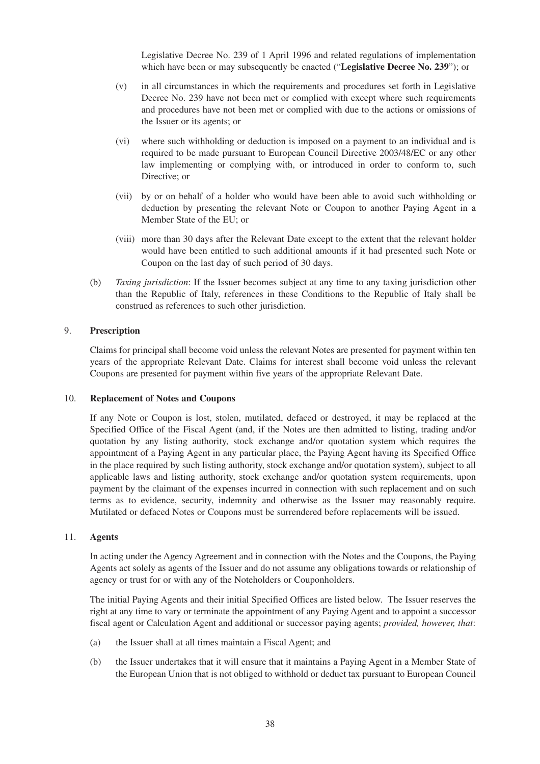Legislative Decree No. 239 of 1 April 1996 and related regulations of implementation which have been or may subsequently be enacted ("**Legislative Decree No. 239**"); or

- (v) in all circumstances in which the requirements and procedures set forth in Legislative Decree No. 239 have not been met or complied with except where such requirements and procedures have not been met or complied with due to the actions or omissions of the Issuer or its agents; or
- (vi) where such withholding or deduction is imposed on a payment to an individual and is required to be made pursuant to European Council Directive 2003/48/EC or any other law implementing or complying with, or introduced in order to conform to, such Directive; or
- (vii) by or on behalf of a holder who would have been able to avoid such withholding or deduction by presenting the relevant Note or Coupon to another Paying Agent in a Member State of the EU; or
- (viii) more than 30 days after the Relevant Date except to the extent that the relevant holder would have been entitled to such additional amounts if it had presented such Note or Coupon on the last day of such period of 30 days.
- (b) *Taxing jurisdiction*: If the Issuer becomes subject at any time to any taxing jurisdiction other than the Republic of Italy, references in these Conditions to the Republic of Italy shall be construed as references to such other jurisdiction.

# 9. **Prescription**

Claims for principal shall become void unless the relevant Notes are presented for payment within ten years of the appropriate Relevant Date. Claims for interest shall become void unless the relevant Coupons are presented for payment within five years of the appropriate Relevant Date.

#### 10. **Replacement of Notes and Coupons**

If any Note or Coupon is lost, stolen, mutilated, defaced or destroyed, it may be replaced at the Specified Office of the Fiscal Agent (and, if the Notes are then admitted to listing, trading and/or quotation by any listing authority, stock exchange and/or quotation system which requires the appointment of a Paying Agent in any particular place, the Paying Agent having its Specified Office in the place required by such listing authority, stock exchange and/or quotation system), subject to all applicable laws and listing authority, stock exchange and/or quotation system requirements, upon payment by the claimant of the expenses incurred in connection with such replacement and on such terms as to evidence, security, indemnity and otherwise as the Issuer may reasonably require. Mutilated or defaced Notes or Coupons must be surrendered before replacements will be issued.

#### 11. **Agents**

In acting under the Agency Agreement and in connection with the Notes and the Coupons, the Paying Agents act solely as agents of the Issuer and do not assume any obligations towards or relationship of agency or trust for or with any of the Noteholders or Couponholders.

The initial Paying Agents and their initial Specified Offices are listed below. The Issuer reserves the right at any time to vary or terminate the appointment of any Paying Agent and to appoint a successor fiscal agent or Calculation Agent and additional or successor paying agents; *provided, however, that*:

- (a) the Issuer shall at all times maintain a Fiscal Agent; and
- (b) the Issuer undertakes that it will ensure that it maintains a Paying Agent in a Member State of the European Union that is not obliged to withhold or deduct tax pursuant to European Council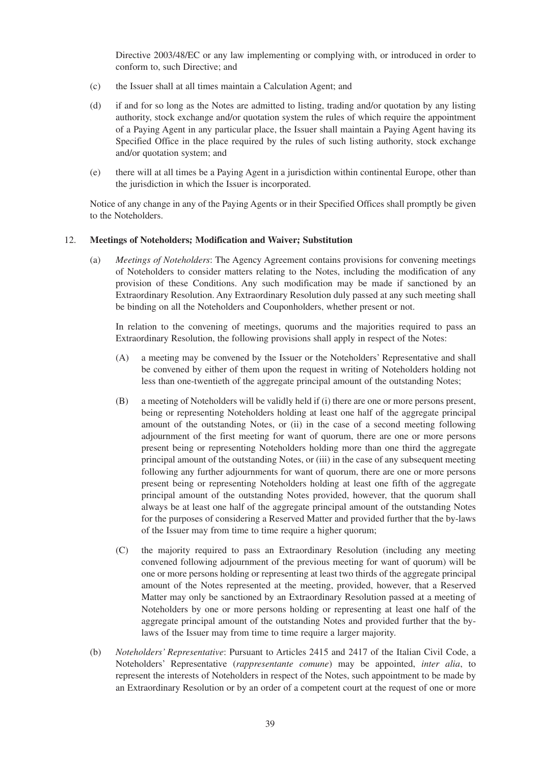Directive 2003/48/EC or any law implementing or complying with, or introduced in order to conform to, such Directive; and

- (c) the Issuer shall at all times maintain a Calculation Agent; and
- (d) if and for so long as the Notes are admitted to listing, trading and/or quotation by any listing authority, stock exchange and/or quotation system the rules of which require the appointment of a Paying Agent in any particular place, the Issuer shall maintain a Paying Agent having its Specified Office in the place required by the rules of such listing authority, stock exchange and/or quotation system; and
- (e) there will at all times be a Paying Agent in a jurisdiction within continental Europe, other than the jurisdiction in which the Issuer is incorporated.

Notice of any change in any of the Paying Agents or in their Specified Offices shall promptly be given to the Noteholders.

#### 12. **Meetings of Noteholders; Modification and Waiver; Substitution**

(a) *Meetings of Noteholders*: The Agency Agreement contains provisions for convening meetings of Noteholders to consider matters relating to the Notes, including the modification of any provision of these Conditions. Any such modification may be made if sanctioned by an Extraordinary Resolution. Any Extraordinary Resolution duly passed at any such meeting shall be binding on all the Noteholders and Couponholders, whether present or not.

In relation to the convening of meetings, quorums and the majorities required to pass an Extraordinary Resolution, the following provisions shall apply in respect of the Notes:

- (A) a meeting may be convened by the Issuer or the Noteholders' Representative and shall be convened by either of them upon the request in writing of Noteholders holding not less than one-twentieth of the aggregate principal amount of the outstanding Notes;
- (B) a meeting of Noteholders will be validly held if (i) there are one or more persons present, being or representing Noteholders holding at least one half of the aggregate principal amount of the outstanding Notes, or (ii) in the case of a second meeting following adjournment of the first meeting for want of quorum, there are one or more persons present being or representing Noteholders holding more than one third the aggregate principal amount of the outstanding Notes, or (iii) in the case of any subsequent meeting following any further adjournments for want of quorum, there are one or more persons present being or representing Noteholders holding at least one fifth of the aggregate principal amount of the outstanding Notes provided, however, that the quorum shall always be at least one half of the aggregate principal amount of the outstanding Notes for the purposes of considering a Reserved Matter and provided further that the by-laws of the Issuer may from time to time require a higher quorum;
- (C) the majority required to pass an Extraordinary Resolution (including any meeting convened following adjournment of the previous meeting for want of quorum) will be one or more persons holding or representing at least two thirds of the aggregate principal amount of the Notes represented at the meeting, provided, however, that a Reserved Matter may only be sanctioned by an Extraordinary Resolution passed at a meeting of Noteholders by one or more persons holding or representing at least one half of the aggregate principal amount of the outstanding Notes and provided further that the bylaws of the Issuer may from time to time require a larger majority.
- (b) *Noteholders' Representative*: Pursuant to Articles 2415 and 2417 of the Italian Civil Code, a Noteholders' Representative (*rappresentante comune*) may be appointed, *inter alia*, to represent the interests of Noteholders in respect of the Notes, such appointment to be made by an Extraordinary Resolution or by an order of a competent court at the request of one or more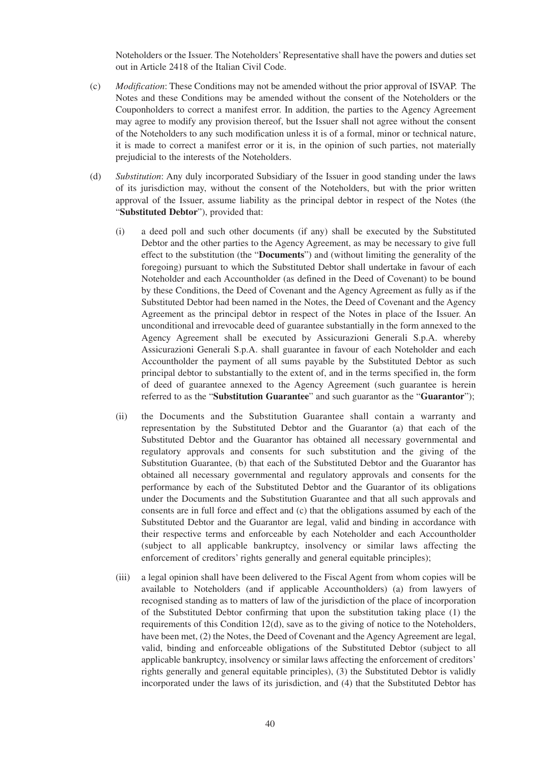Noteholders or the Issuer. The Noteholders' Representative shall have the powers and duties set out in Article 2418 of the Italian Civil Code.

- (c) *Modification*: These Conditions may not be amended without the prior approval of ISVAP. The Notes and these Conditions may be amended without the consent of the Noteholders or the Couponholders to correct a manifest error. In addition, the parties to the Agency Agreement may agree to modify any provision thereof, but the Issuer shall not agree without the consent of the Noteholders to any such modification unless it is of a formal, minor or technical nature, it is made to correct a manifest error or it is, in the opinion of such parties, not materially prejudicial to the interests of the Noteholders.
- (d) *Substitution*: Any duly incorporated Subsidiary of the Issuer in good standing under the laws of its jurisdiction may, without the consent of the Noteholders, but with the prior written approval of the Issuer, assume liability as the principal debtor in respect of the Notes (the "**Substituted Debtor**"), provided that:
	- (i) a deed poll and such other documents (if any) shall be executed by the Substituted Debtor and the other parties to the Agency Agreement, as may be necessary to give full effect to the substitution (the "**Documents**") and (without limiting the generality of the foregoing) pursuant to which the Substituted Debtor shall undertake in favour of each Noteholder and each Accountholder (as defined in the Deed of Covenant) to be bound by these Conditions, the Deed of Covenant and the Agency Agreement as fully as if the Substituted Debtor had been named in the Notes, the Deed of Covenant and the Agency Agreement as the principal debtor in respect of the Notes in place of the Issuer. An unconditional and irrevocable deed of guarantee substantially in the form annexed to the Agency Agreement shall be executed by Assicurazioni Generali S.p.A. whereby Assicurazioni Generali S.p.A. shall guarantee in favour of each Noteholder and each Accountholder the payment of all sums payable by the Substituted Debtor as such principal debtor to substantially to the extent of, and in the terms specified in, the form of deed of guarantee annexed to the Agency Agreement (such guarantee is herein referred to as the "**Substitution Guarantee**" and such guarantor as the "**Guarantor**");
	- (ii) the Documents and the Substitution Guarantee shall contain a warranty and representation by the Substituted Debtor and the Guarantor (a) that each of the Substituted Debtor and the Guarantor has obtained all necessary governmental and regulatory approvals and consents for such substitution and the giving of the Substitution Guarantee, (b) that each of the Substituted Debtor and the Guarantor has obtained all necessary governmental and regulatory approvals and consents for the performance by each of the Substituted Debtor and the Guarantor of its obligations under the Documents and the Substitution Guarantee and that all such approvals and consents are in full force and effect and (c) that the obligations assumed by each of the Substituted Debtor and the Guarantor are legal, valid and binding in accordance with their respective terms and enforceable by each Noteholder and each Accountholder (subject to all applicable bankruptcy, insolvency or similar laws affecting the enforcement of creditors' rights generally and general equitable principles);
	- (iii) a legal opinion shall have been delivered to the Fiscal Agent from whom copies will be available to Noteholders (and if applicable Accountholders) (a) from lawyers of recognised standing as to matters of law of the jurisdiction of the place of incorporation of the Substituted Debtor confirming that upon the substitution taking place (1) the requirements of this Condition 12(d), save as to the giving of notice to the Noteholders, have been met, (2) the Notes, the Deed of Covenant and the Agency Agreement are legal, valid, binding and enforceable obligations of the Substituted Debtor (subject to all applicable bankruptcy, insolvency or similar laws affecting the enforcement of creditors' rights generally and general equitable principles), (3) the Substituted Debtor is validly incorporated under the laws of its jurisdiction, and (4) that the Substituted Debtor has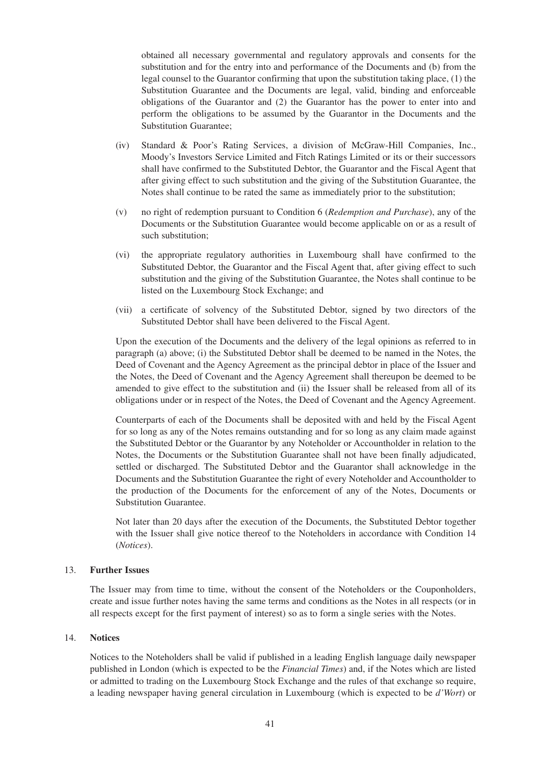obtained all necessary governmental and regulatory approvals and consents for the substitution and for the entry into and performance of the Documents and (b) from the legal counsel to the Guarantor confirming that upon the substitution taking place, (1) the Substitution Guarantee and the Documents are legal, valid, binding and enforceable obligations of the Guarantor and (2) the Guarantor has the power to enter into and perform the obligations to be assumed by the Guarantor in the Documents and the Substitution Guarantee;

- (iv) Standard & Poor's Rating Services, a division of McGraw-Hill Companies, Inc., Moody's Investors Service Limited and Fitch Ratings Limited or its or their successors shall have confirmed to the Substituted Debtor, the Guarantor and the Fiscal Agent that after giving effect to such substitution and the giving of the Substitution Guarantee, the Notes shall continue to be rated the same as immediately prior to the substitution;
- (v) no right of redemption pursuant to Condition 6 (*Redemption and Purchase*), any of the Documents or the Substitution Guarantee would become applicable on or as a result of such substitution;
- (vi) the appropriate regulatory authorities in Luxembourg shall have confirmed to the Substituted Debtor, the Guarantor and the Fiscal Agent that, after giving effect to such substitution and the giving of the Substitution Guarantee, the Notes shall continue to be listed on the Luxembourg Stock Exchange; and
- (vii) a certificate of solvency of the Substituted Debtor, signed by two directors of the Substituted Debtor shall have been delivered to the Fiscal Agent.

Upon the execution of the Documents and the delivery of the legal opinions as referred to in paragraph (a) above; (i) the Substituted Debtor shall be deemed to be named in the Notes, the Deed of Covenant and the Agency Agreement as the principal debtor in place of the Issuer and the Notes, the Deed of Covenant and the Agency Agreement shall thereupon be deemed to be amended to give effect to the substitution and (ii) the Issuer shall be released from all of its obligations under or in respect of the Notes, the Deed of Covenant and the Agency Agreement.

Counterparts of each of the Documents shall be deposited with and held by the Fiscal Agent for so long as any of the Notes remains outstanding and for so long as any claim made against the Substituted Debtor or the Guarantor by any Noteholder or Accountholder in relation to the Notes, the Documents or the Substitution Guarantee shall not have been finally adjudicated, settled or discharged. The Substituted Debtor and the Guarantor shall acknowledge in the Documents and the Substitution Guarantee the right of every Noteholder and Accountholder to the production of the Documents for the enforcement of any of the Notes, Documents or Substitution Guarantee.

Not later than 20 days after the execution of the Documents, the Substituted Debtor together with the Issuer shall give notice thereof to the Noteholders in accordance with Condition 14 (*Notices*).

#### 13. **Further Issues**

The Issuer may from time to time, without the consent of the Noteholders or the Couponholders, create and issue further notes having the same terms and conditions as the Notes in all respects (or in all respects except for the first payment of interest) so as to form a single series with the Notes.

#### 14. **Notices**

Notices to the Noteholders shall be valid if published in a leading English language daily newspaper published in London (which is expected to be the *Financial Times*) and, if the Notes which are listed or admitted to trading on the Luxembourg Stock Exchange and the rules of that exchange so require, a leading newspaper having general circulation in Luxembourg (which is expected to be *d'Wort*) or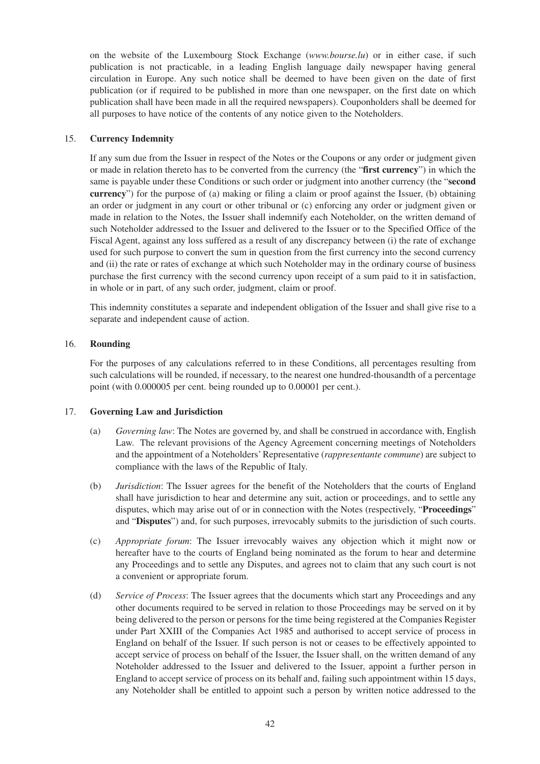on the website of the Luxembourg Stock Exchange (*www.bourse.lu*) or in either case, if such publication is not practicable, in a leading English language daily newspaper having general circulation in Europe. Any such notice shall be deemed to have been given on the date of first publication (or if required to be published in more than one newspaper, on the first date on which publication shall have been made in all the required newspapers). Couponholders shall be deemed for all purposes to have notice of the contents of any notice given to the Noteholders.

# 15. **Currency Indemnity**

If any sum due from the Issuer in respect of the Notes or the Coupons or any order or judgment given or made in relation thereto has to be converted from the currency (the "**first currency**") in which the same is payable under these Conditions or such order or judgment into another currency (the "**second currency**") for the purpose of (a) making or filing a claim or proof against the Issuer, (b) obtaining an order or judgment in any court or other tribunal or (c) enforcing any order or judgment given or made in relation to the Notes, the Issuer shall indemnify each Noteholder, on the written demand of such Noteholder addressed to the Issuer and delivered to the Issuer or to the Specified Office of the Fiscal Agent, against any loss suffered as a result of any discrepancy between (i) the rate of exchange used for such purpose to convert the sum in question from the first currency into the second currency and (ii) the rate or rates of exchange at which such Noteholder may in the ordinary course of business purchase the first currency with the second currency upon receipt of a sum paid to it in satisfaction, in whole or in part, of any such order, judgment, claim or proof.

This indemnity constitutes a separate and independent obligation of the Issuer and shall give rise to a separate and independent cause of action.

#### 16. **Rounding**

For the purposes of any calculations referred to in these Conditions, all percentages resulting from such calculations will be rounded, if necessary, to the nearest one hundred-thousandth of a percentage point (with 0.000005 per cent. being rounded up to 0.00001 per cent.).

#### 17. **Governing Law and Jurisdiction**

- (a) *Governing law*: The Notes are governed by, and shall be construed in accordance with, English Law. The relevant provisions of the Agency Agreement concerning meetings of Noteholders and the appointment of a Noteholders' Representative (*rappresentante commune*) are subject to compliance with the laws of the Republic of Italy.
- (b) *Jurisdiction*: The Issuer agrees for the benefit of the Noteholders that the courts of England shall have jurisdiction to hear and determine any suit, action or proceedings, and to settle any disputes, which may arise out of or in connection with the Notes (respectively, "**Proceedings**" and "**Disputes**") and, for such purposes, irrevocably submits to the jurisdiction of such courts.
- (c) *Appropriate forum*: The Issuer irrevocably waives any objection which it might now or hereafter have to the courts of England being nominated as the forum to hear and determine any Proceedings and to settle any Disputes, and agrees not to claim that any such court is not a convenient or appropriate forum.
- (d) *Service of Process*: The Issuer agrees that the documents which start any Proceedings and any other documents required to be served in relation to those Proceedings may be served on it by being delivered to the person or persons for the time being registered at the Companies Register under Part XXIII of the Companies Act 1985 and authorised to accept service of process in England on behalf of the Issuer. If such person is not or ceases to be effectively appointed to accept service of process on behalf of the Issuer, the Issuer shall, on the written demand of any Noteholder addressed to the Issuer and delivered to the Issuer, appoint a further person in England to accept service of process on its behalf and, failing such appointment within 15 days, any Noteholder shall be entitled to appoint such a person by written notice addressed to the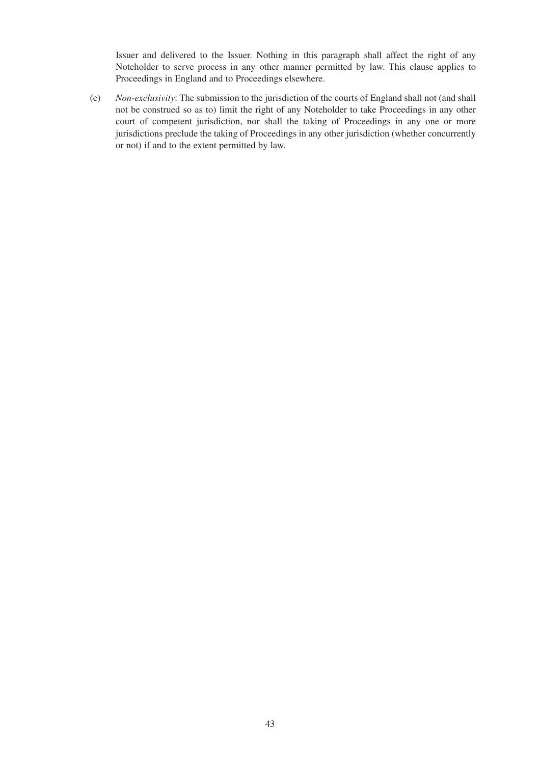Issuer and delivered to the Issuer. Nothing in this paragraph shall affect the right of any Noteholder to serve process in any other manner permitted by law. This clause applies to Proceedings in England and to Proceedings elsewhere.

(e) *Non-exclusivity*: The submission to the jurisdiction of the courts of England shall not (and shall not be construed so as to) limit the right of any Noteholder to take Proceedings in any other court of competent jurisdiction, nor shall the taking of Proceedings in any one or more jurisdictions preclude the taking of Proceedings in any other jurisdiction (whether concurrently or not) if and to the extent permitted by law.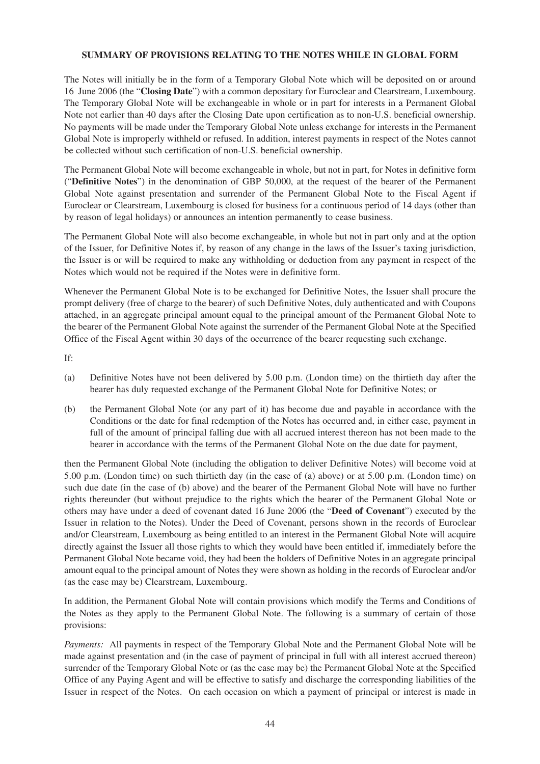# **SUMMARY OF PROVISIONS RELATING TO THE NOTES WHILE IN GLOBAL FORM**

The Notes will initially be in the form of a Temporary Global Note which will be deposited on or around 16 June 2006 (the "**Closing Date**") with a common depositary for Euroclear and Clearstream, Luxembourg. The Temporary Global Note will be exchangeable in whole or in part for interests in a Permanent Global Note not earlier than 40 days after the Closing Date upon certification as to non-U.S. beneficial ownership. No payments will be made under the Temporary Global Note unless exchange for interests in the Permanent Global Note is improperly withheld or refused. In addition, interest payments in respect of the Notes cannot be collected without such certification of non-U.S. beneficial ownership.

The Permanent Global Note will become exchangeable in whole, but not in part, for Notes in definitive form ("**Definitive Notes**") in the denomination of GBP 50,000, at the request of the bearer of the Permanent Global Note against presentation and surrender of the Permanent Global Note to the Fiscal Agent if Euroclear or Clearstream, Luxembourg is closed for business for a continuous period of 14 days (other than by reason of legal holidays) or announces an intention permanently to cease business.

The Permanent Global Note will also become exchangeable, in whole but not in part only and at the option of the Issuer, for Definitive Notes if, by reason of any change in the laws of the Issuer's taxing jurisdiction, the Issuer is or will be required to make any withholding or deduction from any payment in respect of the Notes which would not be required if the Notes were in definitive form.

Whenever the Permanent Global Note is to be exchanged for Definitive Notes, the Issuer shall procure the prompt delivery (free of charge to the bearer) of such Definitive Notes, duly authenticated and with Coupons attached, in an aggregate principal amount equal to the principal amount of the Permanent Global Note to the bearer of the Permanent Global Note against the surrender of the Permanent Global Note at the Specified Office of the Fiscal Agent within 30 days of the occurrence of the bearer requesting such exchange.

If:

- (a) Definitive Notes have not been delivered by 5.00 p.m. (London time) on the thirtieth day after the bearer has duly requested exchange of the Permanent Global Note for Definitive Notes; or
- (b) the Permanent Global Note (or any part of it) has become due and payable in accordance with the Conditions or the date for final redemption of the Notes has occurred and, in either case, payment in full of the amount of principal falling due with all accrued interest thereon has not been made to the bearer in accordance with the terms of the Permanent Global Note on the due date for payment,

then the Permanent Global Note (including the obligation to deliver Definitive Notes) will become void at 5.00 p.m. (London time) on such thirtieth day (in the case of (a) above) or at 5.00 p.m. (London time) on such due date (in the case of (b) above) and the bearer of the Permanent Global Note will have no further rights thereunder (but without prejudice to the rights which the bearer of the Permanent Global Note or others may have under a deed of covenant dated 16 June 2006 (the "**Deed of Covenant**") executed by the Issuer in relation to the Notes). Under the Deed of Covenant, persons shown in the records of Euroclear and/or Clearstream, Luxembourg as being entitled to an interest in the Permanent Global Note will acquire directly against the Issuer all those rights to which they would have been entitled if, immediately before the Permanent Global Note became void, they had been the holders of Definitive Notes in an aggregate principal amount equal to the principal amount of Notes they were shown as holding in the records of Euroclear and/or (as the case may be) Clearstream, Luxembourg.

In addition, the Permanent Global Note will contain provisions which modify the Terms and Conditions of the Notes as they apply to the Permanent Global Note. The following is a summary of certain of those provisions:

*Payments:* All payments in respect of the Temporary Global Note and the Permanent Global Note will be made against presentation and (in the case of payment of principal in full with all interest accrued thereon) surrender of the Temporary Global Note or (as the case may be) the Permanent Global Note at the Specified Office of any Paying Agent and will be effective to satisfy and discharge the corresponding liabilities of the Issuer in respect of the Notes. On each occasion on which a payment of principal or interest is made in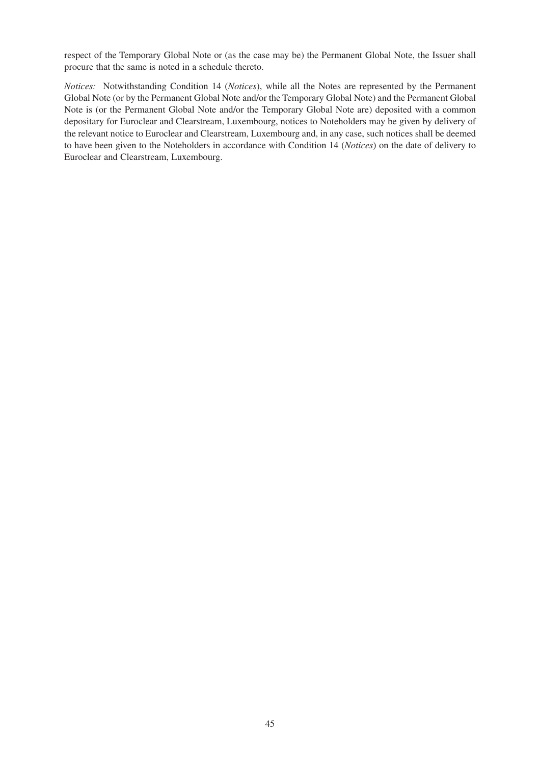respect of the Temporary Global Note or (as the case may be) the Permanent Global Note, the Issuer shall procure that the same is noted in a schedule thereto.

*Notices:* Notwithstanding Condition 14 (*Notices*), while all the Notes are represented by the Permanent Global Note (or by the Permanent Global Note and/or the Temporary Global Note) and the Permanent Global Note is (or the Permanent Global Note and/or the Temporary Global Note are) deposited with a common depositary for Euroclear and Clearstream, Luxembourg, notices to Noteholders may be given by delivery of the relevant notice to Euroclear and Clearstream, Luxembourg and, in any case, such notices shall be deemed to have been given to the Noteholders in accordance with Condition 14 (*Notices*) on the date of delivery to Euroclear and Clearstream, Luxembourg.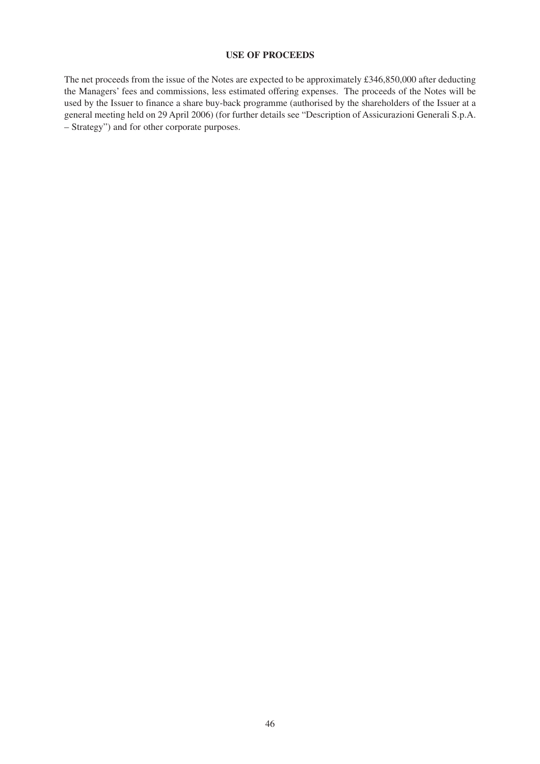# **USE OF PROCEEDS**

The net proceeds from the issue of the Notes are expected to be approximately £346,850,000 after deducting the Managers' fees and commissions, less estimated offering expenses. The proceeds of the Notes will be used by the Issuer to finance a share buy-back programme (authorised by the shareholders of the Issuer at a general meeting held on 29 April 2006) (for further details see "Description of Assicurazioni Generali S.p.A. – Strategy") and for other corporate purposes.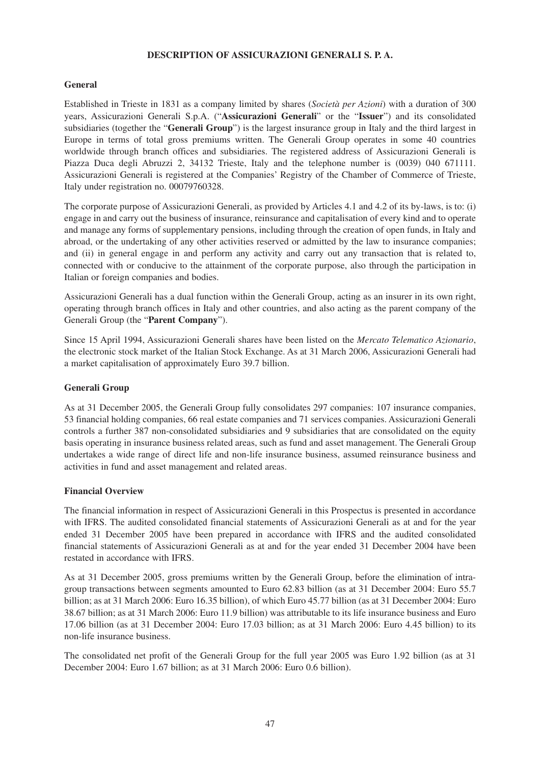# **DESCRIPTION OF ASSICURAZIONI GENERALI S. P. A.**

# **General**

Established in Trieste in 1831 as a company limited by shares (*Società per Azioni*) with a duration of 300 years, Assicurazioni Generali S.p.A. ("**Assicurazioni Generali**" or the "**Issuer**") and its consolidated subsidiaries (together the "**Generali Group**") is the largest insurance group in Italy and the third largest in Europe in terms of total gross premiums written. The Generali Group operates in some 40 countries worldwide through branch offices and subsidiaries. The registered address of Assicurazioni Generali is Piazza Duca degli Abruzzi 2, 34132 Trieste, Italy and the telephone number is (0039) 040 671111. Assicurazioni Generali is registered at the Companies' Registry of the Chamber of Commerce of Trieste, Italy under registration no. 00079760328.

The corporate purpose of Assicurazioni Generali, as provided by Articles 4.1 and 4.2 of its by-laws, is to: (i) engage in and carry out the business of insurance, reinsurance and capitalisation of every kind and to operate and manage any forms of supplementary pensions, including through the creation of open funds, in Italy and abroad, or the undertaking of any other activities reserved or admitted by the law to insurance companies; and (ii) in general engage in and perform any activity and carry out any transaction that is related to, connected with or conducive to the attainment of the corporate purpose, also through the participation in Italian or foreign companies and bodies.

Assicurazioni Generali has a dual function within the Generali Group, acting as an insurer in its own right, operating through branch offices in Italy and other countries, and also acting as the parent company of the Generali Group (the "**Parent Company**").

Since 15 April 1994, Assicurazioni Generali shares have been listed on the *Mercato Telematico Azionario*, the electronic stock market of the Italian Stock Exchange. As at 31 March 2006, Assicurazioni Generali had a market capitalisation of approximately Euro 39.7 billion.

# **Generali Group**

As at 31 December 2005, the Generali Group fully consolidates 297 companies: 107 insurance companies, 53 financial holding companies, 66 real estate companies and 71 services companies. Assicurazioni Generali controls a further 387 non-consolidated subsidiaries and 9 subsidiaries that are consolidated on the equity basis operating in insurance business related areas, such as fund and asset management. The Generali Group undertakes a wide range of direct life and non-life insurance business, assumed reinsurance business and activities in fund and asset management and related areas.

#### **Financial Overview**

The financial information in respect of Assicurazioni Generali in this Prospectus is presented in accordance with IFRS. The audited consolidated financial statements of Assicurazioni Generali as at and for the year ended 31 December 2005 have been prepared in accordance with IFRS and the audited consolidated financial statements of Assicurazioni Generali as at and for the year ended 31 December 2004 have been restated in accordance with IFRS.

As at 31 December 2005, gross premiums written by the Generali Group, before the elimination of intragroup transactions between segments amounted to Euro 62.83 billion (as at 31 December 2004: Euro 55.7 billion; as at 31 March 2006: Euro 16.35 billion), of which Euro 45.77 billion (as at 31 December 2004: Euro 38.67 billion; as at 31 March 2006: Euro 11.9 billion) was attributable to its life insurance business and Euro 17.06 billion (as at 31 December 2004: Euro 17.03 billion; as at 31 March 2006: Euro 4.45 billion) to its non-life insurance business.

The consolidated net profit of the Generali Group for the full year 2005 was Euro 1.92 billion (as at 31 December 2004: Euro 1.67 billion; as at 31 March 2006: Euro 0.6 billion).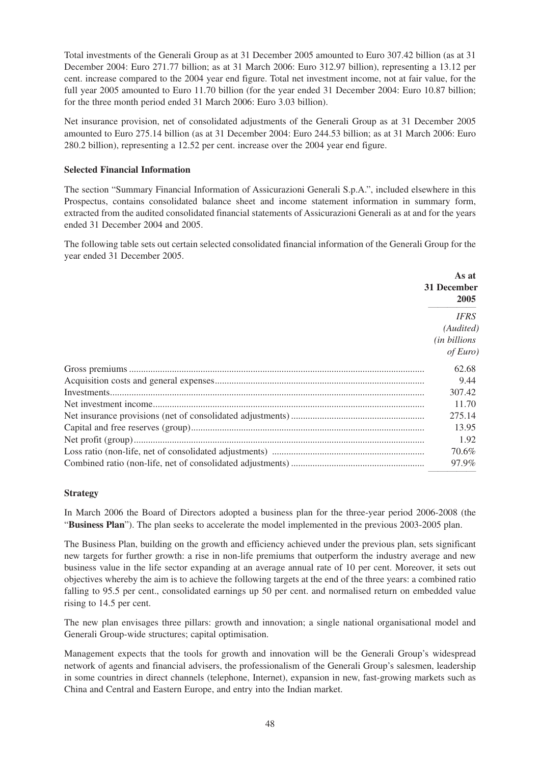Total investments of the Generali Group as at 31 December 2005 amounted to Euro 307.42 billion (as at 31 December 2004: Euro 271.77 billion; as at 31 March 2006: Euro 312.97 billion), representing a 13.12 per cent. increase compared to the 2004 year end figure. Total net investment income, not at fair value, for the full year 2005 amounted to Euro 11.70 billion (for the year ended 31 December 2004: Euro 10.87 billion; for the three month period ended 31 March 2006: Euro 3.03 billion).

Net insurance provision, net of consolidated adjustments of the Generali Group as at 31 December 2005 amounted to Euro 275.14 billion (as at 31 December 2004: Euro 244.53 billion; as at 31 March 2006: Euro 280.2 billion), representing a 12.52 per cent. increase over the 2004 year end figure.

# **Selected Financial Information**

The section "Summary Financial Information of Assicurazioni Generali S.p.A.", included elsewhere in this Prospectus, contains consolidated balance sheet and income statement information in summary form, extracted from the audited consolidated financial statements of Assicurazioni Generali as at and for the years ended 31 December 2004 and 2005.

The following table sets out certain selected consolidated financial information of the Generali Group for the year ended 31 December 2005.

| As at<br>31 December<br>2005                                  |
|---------------------------------------------------------------|
| <b>IFRS</b><br>(Audited)<br><i>(in billions</i> )<br>of Euro) |
| 62.68                                                         |
| 9.44                                                          |
| 307.42                                                        |
| 11.70                                                         |
| 275.14                                                        |
| 13.95                                                         |
| 1.92                                                          |
| 70.6%                                                         |
| 97.9%                                                         |

# **Strategy**

In March 2006 the Board of Directors adopted a business plan for the three-year period 2006-2008 (the "**Business Plan**"). The plan seeks to accelerate the model implemented in the previous 2003-2005 plan.

The Business Plan, building on the growth and efficiency achieved under the previous plan, sets significant new targets for further growth: a rise in non-life premiums that outperform the industry average and new business value in the life sector expanding at an average annual rate of 10 per cent. Moreover, it sets out objectives whereby the aim is to achieve the following targets at the end of the three years: a combined ratio falling to 95.5 per cent., consolidated earnings up 50 per cent. and normalised return on embedded value rising to 14.5 per cent.

The new plan envisages three pillars: growth and innovation; a single national organisational model and Generali Group-wide structures; capital optimisation.

Management expects that the tools for growth and innovation will be the Generali Group's widespread network of agents and financial advisers, the professionalism of the Generali Group's salesmen, leadership in some countries in direct channels (telephone, Internet), expansion in new, fast-growing markets such as China and Central and Eastern Europe, and entry into the Indian market.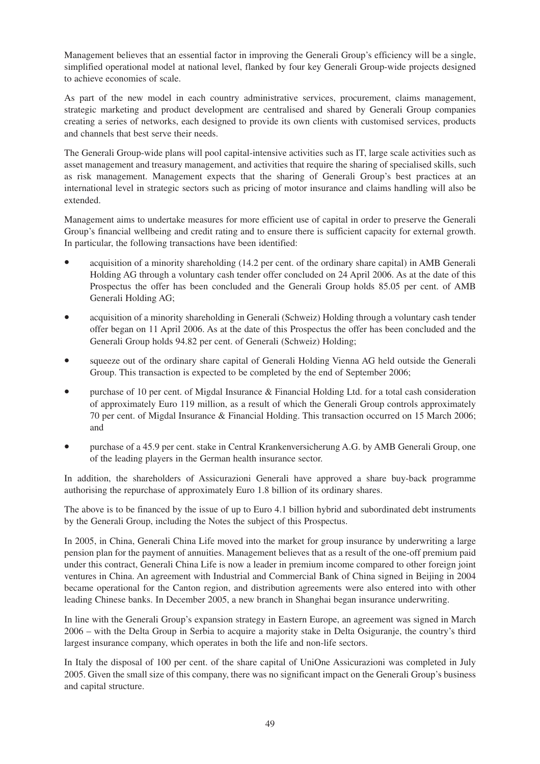Management believes that an essential factor in improving the Generali Group's efficiency will be a single, simplified operational model at national level, flanked by four key Generali Group-wide projects designed to achieve economies of scale.

As part of the new model in each country administrative services, procurement, claims management, strategic marketing and product development are centralised and shared by Generali Group companies creating a series of networks, each designed to provide its own clients with customised services, products and channels that best serve their needs.

The Generali Group-wide plans will pool capital-intensive activities such as IT, large scale activities such as asset management and treasury management, and activities that require the sharing of specialised skills, such as risk management. Management expects that the sharing of Generali Group's best practices at an international level in strategic sectors such as pricing of motor insurance and claims handling will also be extended.

Management aims to undertake measures for more efficient use of capital in order to preserve the Generali Group's financial wellbeing and credit rating and to ensure there is sufficient capacity for external growth. In particular, the following transactions have been identified:

- acquisition of a minority shareholding (14.2 per cent. of the ordinary share capital) in AMB Generali Holding AG through a voluntary cash tender offer concluded on 24 April 2006. As at the date of this Prospectus the offer has been concluded and the Generali Group holds 85.05 per cent. of AMB Generali Holding AG;
- acquisition of a minority shareholding in Generali (Schweiz) Holding through a voluntary cash tender offer began on 11 April 2006. As at the date of this Prospectus the offer has been concluded and the Generali Group holds 94.82 per cent. of Generali (Schweiz) Holding;
- squeeze out of the ordinary share capital of Generali Holding Vienna AG held outside the Generali Group. This transaction is expected to be completed by the end of September 2006;
- purchase of 10 per cent. of Migdal Insurance & Financial Holding Ltd. for a total cash consideration of approximately Euro 119 million, as a result of which the Generali Group controls approximately 70 per cent. of Migdal Insurance & Financial Holding. This transaction occurred on 15 March 2006; and
- purchase of a 45.9 per cent. stake in Central Krankenversicherung A.G. by AMB Generali Group, one of the leading players in the German health insurance sector.

In addition, the shareholders of Assicurazioni Generali have approved a share buy-back programme authorising the repurchase of approximately Euro 1.8 billion of its ordinary shares.

The above is to be financed by the issue of up to Euro 4.1 billion hybrid and subordinated debt instruments by the Generali Group, including the Notes the subject of this Prospectus.

In 2005, in China, Generali China Life moved into the market for group insurance by underwriting a large pension plan for the payment of annuities. Management believes that as a result of the one-off premium paid under this contract, Generali China Life is now a leader in premium income compared to other foreign joint ventures in China. An agreement with Industrial and Commercial Bank of China signed in Beijing in 2004 became operational for the Canton region, and distribution agreements were also entered into with other leading Chinese banks. In December 2005, a new branch in Shanghai began insurance underwriting.

In line with the Generali Group's expansion strategy in Eastern Europe, an agreement was signed in March 2006 – with the Delta Group in Serbia to acquire a majority stake in Delta Osiguranje, the country's third largest insurance company, which operates in both the life and non-life sectors.

In Italy the disposal of 100 per cent. of the share capital of UniOne Assicurazioni was completed in July 2005. Given the small size of this company, there was no significant impact on the Generali Group's business and capital structure.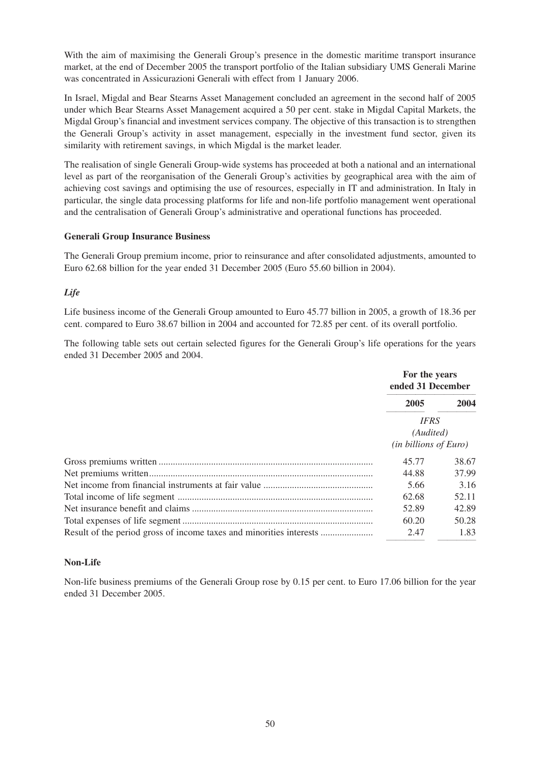With the aim of maximising the Generali Group's presence in the domestic maritime transport insurance market, at the end of December 2005 the transport portfolio of the Italian subsidiary UMS Generali Marine was concentrated in Assicurazioni Generali with effect from 1 January 2006.

In Israel, Migdal and Bear Stearns Asset Management concluded an agreement in the second half of 2005 under which Bear Stearns Asset Management acquired a 50 per cent. stake in Migdal Capital Markets, the Migdal Group's financial and investment services company. The objective of this transaction is to strengthen the Generali Group's activity in asset management, especially in the investment fund sector, given its similarity with retirement savings, in which Migdal is the market leader.

The realisation of single Generali Group-wide systems has proceeded at both a national and an international level as part of the reorganisation of the Generali Group's activities by geographical area with the aim of achieving cost savings and optimising the use of resources, especially in IT and administration. In Italy in particular, the single data processing platforms for life and non-life portfolio management went operational and the centralisation of Generali Group's administrative and operational functions has proceeded.

# **Generali Group Insurance Business**

The Generali Group premium income, prior to reinsurance and after consolidated adjustments, amounted to Euro 62.68 billion for the year ended 31 December 2005 (Euro 55.60 billion in 2004).

# *Life*

Life business income of the Generali Group amounted to Euro 45.77 billion in 2005, a growth of 18.36 per cent. compared to Euro 38.67 billion in 2004 and accounted for 72.85 per cent. of its overall portfolio.

The following table sets out certain selected figures for the Generali Group's life operations for the years ended 31 December 2005 and 2004.

|                                                                     | For the years<br>ended 31 December                      |       |
|---------------------------------------------------------------------|---------------------------------------------------------|-------|
|                                                                     | 2005                                                    | 2004  |
|                                                                     | <b>IFRS</b><br>(Audited)<br>$(in\,billions\,of\, Euro)$ |       |
|                                                                     | 45.77                                                   | 38.67 |
|                                                                     | 44.88                                                   | 37.99 |
|                                                                     | 5.66                                                    | 3.16  |
|                                                                     | 62.68                                                   | 52.11 |
|                                                                     | 52.89                                                   | 42.89 |
|                                                                     | 60.20                                                   | 50.28 |
| Result of the period gross of income taxes and minorities interests | 2.47                                                    | 1.83  |

# **Non-Life**

Non-life business premiums of the Generali Group rose by 0.15 per cent. to Euro 17.06 billion for the year ended 31 December 2005.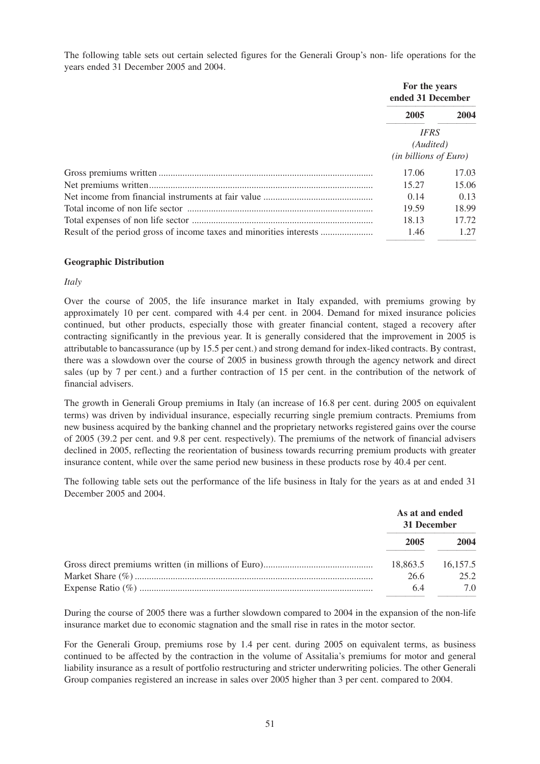The following table sets out certain selected figures for the Generali Group's non- life operations for the years ended 31 December 2005 and 2004.

|                                                                     | For the years<br>ended 31 December                        |       |
|---------------------------------------------------------------------|-----------------------------------------------------------|-------|
|                                                                     | 2005                                                      | 2004  |
|                                                                     | <b>IFRS</b><br>(Audited)<br>$(in\; billions\; of\; Euro)$ |       |
|                                                                     | 17.06                                                     | 17.03 |
|                                                                     | 15.27                                                     | 15.06 |
|                                                                     | 0.14                                                      | 0.13  |
|                                                                     | 19.59                                                     | 18.99 |
|                                                                     | 18.13                                                     | 17.72 |
| Result of the period gross of income taxes and minorities interests | 1.46                                                      | 1.27  |

#### **Geographic Distribution**

#### *Italy*

Over the course of 2005, the life insurance market in Italy expanded, with premiums growing by approximately 10 per cent. compared with 4.4 per cent. in 2004. Demand for mixed insurance policies continued, but other products, especially those with greater financial content, staged a recovery after contracting significantly in the previous year. It is generally considered that the improvement in 2005 is attributable to bancassurance (up by 15.5 per cent.) and strong demand for index-liked contracts. By contrast, there was a slowdown over the course of 2005 in business growth through the agency network and direct sales (up by 7 per cent.) and a further contraction of 15 per cent. in the contribution of the network of financial advisers.

The growth in Generali Group premiums in Italy (an increase of 16.8 per cent. during 2005 on equivalent terms) was driven by individual insurance, especially recurring single premium contracts. Premiums from new business acquired by the banking channel and the proprietary networks registered gains over the course of 2005 (39.2 per cent. and 9.8 per cent. respectively). The premiums of the network of financial advisers declined in 2005, reflecting the reorientation of business towards recurring premium products with greater insurance content, while over the same period new business in these products rose by 40.4 per cent.

The following table sets out the performance of the life business in Italy for the years as at and ended 31 December 2005 and 2004.

| As at and ended<br>31 December |                   |
|--------------------------------|-------------------|
| 2005                           | 2004              |
|                                | 18.863.5 16.157.5 |
| 26.6                           | 25.2              |
| 64                             | 7 Q               |

During the course of 2005 there was a further slowdown compared to 2004 in the expansion of the non-life insurance market due to economic stagnation and the small rise in rates in the motor sector.

For the Generali Group, premiums rose by 1.4 per cent. during 2005 on equivalent terms, as business continued to be affected by the contraction in the volume of Assitalia's premiums for motor and general liability insurance as a result of portfolio restructuring and stricter underwriting policies. The other Generali Group companies registered an increase in sales over 2005 higher than 3 per cent. compared to 2004.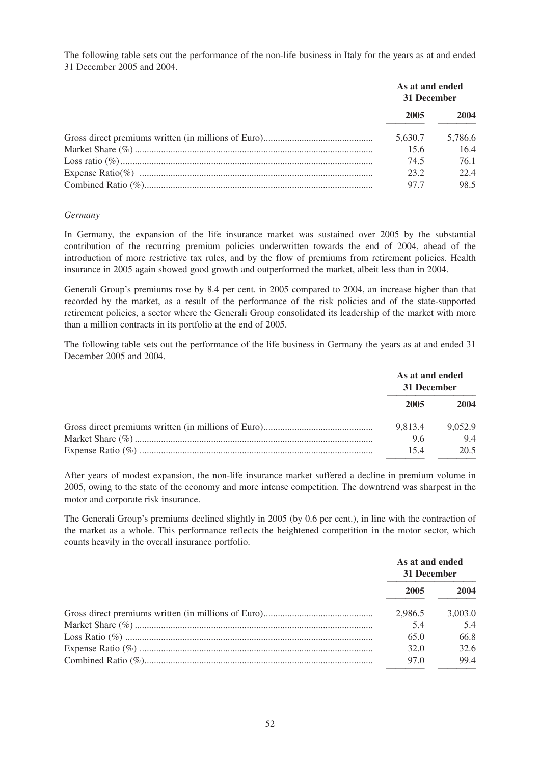The following table sets out the performance of the non-life business in Italy for the years as at and ended 31 December 2005 and 2004.

| As at and ended<br>31 December |         |
|--------------------------------|---------|
| 2005                           | 2004    |
| 5.630.7                        | 5,786.6 |
| 15.6                           | 16.4    |
| 74.5                           | 76.1    |
| 232                            | 22.4    |
| 97.7                           | 98.5    |

#### *Germany*

In Germany, the expansion of the life insurance market was sustained over 2005 by the substantial contribution of the recurring premium policies underwritten towards the end of 2004, ahead of the introduction of more restrictive tax rules, and by the flow of premiums from retirement policies. Health insurance in 2005 again showed good growth and outperformed the market, albeit less than in 2004.

Generali Group's premiums rose by 8.4 per cent. in 2005 compared to 2004, an increase higher than that recorded by the market, as a result of the performance of the risk policies and of the state-supported retirement policies, a sector where the Generali Group consolidated its leadership of the market with more than a million contracts in its portfolio at the end of 2005.

The following table sets out the performance of the life business in Germany the years as at and ended 31 December 2005 and 2004.

| As at and ended<br>31 December |         |
|--------------------------------|---------|
| 2005                           | 2004    |
| 9.813.4                        | 9.052.9 |
| 9.6                            | 9.4     |
| 154                            | 20.5    |

After years of modest expansion, the non-life insurance market suffered a decline in premium volume in 2005, owing to the state of the economy and more intense competition. The downtrend was sharpest in the motor and corporate risk insurance.

The Generali Group's premiums declined slightly in 2005 (by 0.6 per cent.), in line with the contraction of the market as a whole. This performance reflects the heightened competition in the motor sector, which counts heavily in the overall insurance portfolio.

| As at and ended<br>31 December |         |
|--------------------------------|---------|
| 2005                           | 2004    |
| 2.986.5                        | 3.003.0 |
| 5.4                            | 5.4     |
| 65.0                           | 66.8    |
| 32.0                           | 32.6    |
| 97.0                           | 99.4    |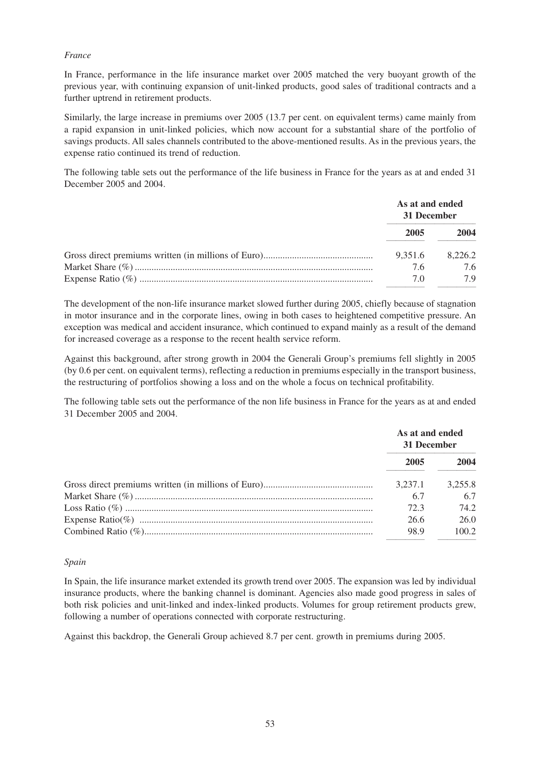#### *France*

In France, performance in the life insurance market over 2005 matched the very buoyant growth of the previous year, with continuing expansion of unit-linked products, good sales of traditional contracts and a further uptrend in retirement products.

Similarly, the large increase in premiums over 2005 (13.7 per cent. on equivalent terms) came mainly from a rapid expansion in unit-linked policies, which now account for a substantial share of the portfolio of savings products. All sales channels contributed to the above-mentioned results. As in the previous years, the expense ratio continued its trend of reduction.

The following table sets out the performance of the life business in France for the years as at and ended 31 December 2005 and 2004.

| As at and ended<br>31 December |         |
|--------------------------------|---------|
| 2005                           | 2004    |
| 9.351.6                        | 8.226.2 |
| 7.6                            | 76      |
| 70                             | 7 Q     |

The development of the non-life insurance market slowed further during 2005, chiefly because of stagnation in motor insurance and in the corporate lines, owing in both cases to heightened competitive pressure. An exception was medical and accident insurance, which continued to expand mainly as a result of the demand for increased coverage as a response to the recent health service reform.

Against this background, after strong growth in 2004 the Generali Group's premiums fell slightly in 2005 (by 0.6 per cent. on equivalent terms), reflecting a reduction in premiums especially in the transport business, the restructuring of portfolios showing a loss and on the whole a focus on technical profitability.

The following table sets out the performance of the non life business in France for the years as at and ended 31 December 2005 and 2004.

| As at and ended<br>31 December |         |
|--------------------------------|---------|
| 2005                           | 2004    |
| 3,237.1                        | 3.255.8 |
| 6.7                            | 6.7     |
| 72.3                           | 74 2    |
| 26.6                           | 26.0    |
| 98.9                           | 100.2   |

# *Spain*

In Spain, the life insurance market extended its growth trend over 2005. The expansion was led by individual insurance products, where the banking channel is dominant. Agencies also made good progress in sales of both risk policies and unit-linked and index-linked products. Volumes for group retirement products grew, following a number of operations connected with corporate restructuring.

Against this backdrop, the Generali Group achieved 8.7 per cent. growth in premiums during 2005.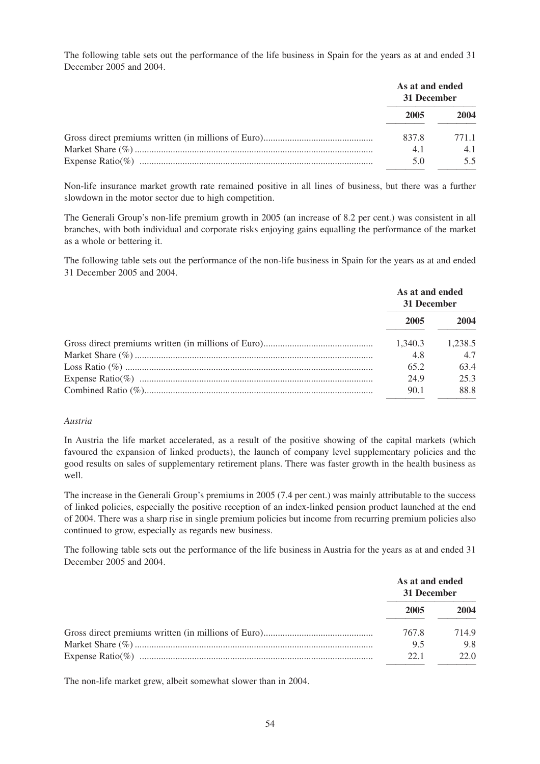The following table sets out the performance of the life business in Spain for the years as at and ended 31 December 2005 and 2004.

| As at and ended<br>31 December |      |
|--------------------------------|------|
| 2005                           | 2004 |
| 837.8                          | 7711 |
| 4.1                            | 4.1  |
| 50                             |      |

Non-life insurance market growth rate remained positive in all lines of business, but there was a further slowdown in the motor sector due to high competition.

The Generali Group's non-life premium growth in 2005 (an increase of 8.2 per cent.) was consistent in all branches, with both individual and corporate risks enjoying gains equalling the performance of the market as a whole or bettering it.

The following table sets out the performance of the non-life business in Spain for the years as at and ended 31 December 2005 and 2004.

| As at and ended<br>31 December |         |
|--------------------------------|---------|
| 2005                           | 2004    |
| 1.340.3                        | 1.238.5 |
| 4.8                            | 4.7     |
| 65.2                           | 63.4    |
| 24.9                           | 25.3    |
| 90.1                           | 88.8    |

#### *Austria*

In Austria the life market accelerated, as a result of the positive showing of the capital markets (which favoured the expansion of linked products), the launch of company level supplementary policies and the good results on sales of supplementary retirement plans. There was faster growth in the health business as well.

The increase in the Generali Group's premiums in 2005 (7.4 per cent.) was mainly attributable to the success of linked policies, especially the positive reception of an index-linked pension product launched at the end of 2004. There was a sharp rise in single premium policies but income from recurring premium policies also continued to grow, especially as regards new business.

The following table sets out the performance of the life business in Austria for the years as at and ended 31 December 2005 and 2004.

| As at and ended<br>31 December |      |
|--------------------------------|------|
| 2005                           | 2004 |
| 767.8                          | 7149 |
| 9.5                            | 9.8  |
| 221                            | 22.O |

The non-life market grew, albeit somewhat slower than in 2004.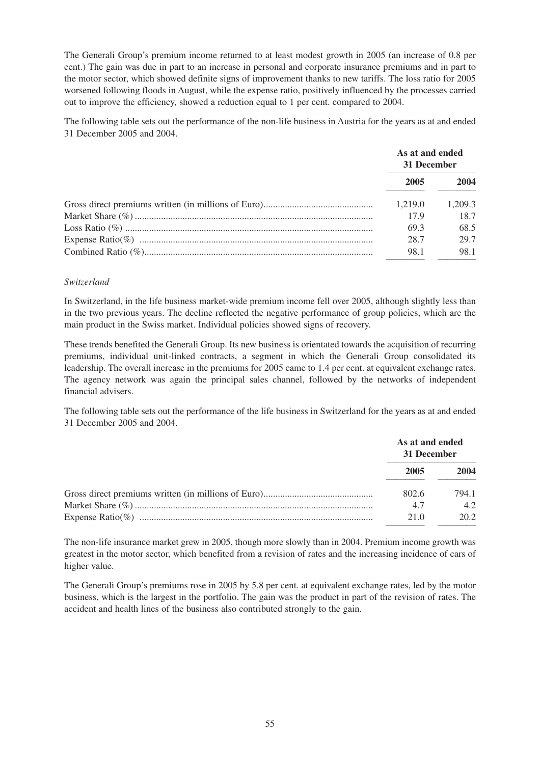The Generali Group's premium income returned to at least modest growth in 2005 (an increase of 0.8 per cent.) The gain was due in part to an increase in personal and corporate insurance premiums and in part to the motor sector, which showed definite signs of improvement thanks to new tariffs. The loss ratio for 2005 worsened following floods in August, while the expense ratio, positively influenced by the processes carried out to improve the efficiency, showed a reduction equal to 1 per cent. compared to 2004.

The following table sets out the performance of the non-life business in Austria for the years as at and ended 31 December 2005 and 2004.

| As at and ended<br>31 December |         |
|--------------------------------|---------|
| 2005                           | 2004    |
| 1.219.0                        | 1.209.3 |
| 17.9                           | 18.7    |
| 69.3                           | 68.5    |
| 28.7                           | 29.7    |
| 98.1                           | 98.1    |

#### *Switzerland*

In Switzerland, in the life business market-wide premium income fell over 2005, although slightly less than in the two previous years. The decline reflected the negative performance of group policies, which are the main product in the Swiss market. Individual policies showed signs of recovery.

These trends benefited the Generali Group. Its new business is orientated towards the acquisition of recurring premiums, individual unit-linked contracts, a segment in which the Generali Group consolidated its leadership. The overall increase in the premiums for 2005 came to 1.4 per cent. at equivalent exchange rates. The agency network was again the principal sales channel, followed by the networks of independent financial advisers.

The following table sets out the performance of the life business in Switzerland for the years as at and ended 31 December 2005 and 2004.

| As at and ended<br>31 December |       |
|--------------------------------|-------|
| 2005                           | 2004  |
| 802.6                          | 794.1 |
| 4.7                            | 42    |
| 21.0                           | 20.2  |

The non-life insurance market grew in 2005, though more slowly than in 2004. Premium income growth was greatest in the motor sector, which benefited from a revision of rates and the increasing incidence of cars of higher value.

The Generali Group's premiums rose in 2005 by 5.8 per cent. at equivalent exchange rates, led by the motor business, which is the largest in the portfolio. The gain was the product in part of the revision of rates. The accident and health lines of the business also contributed strongly to the gain.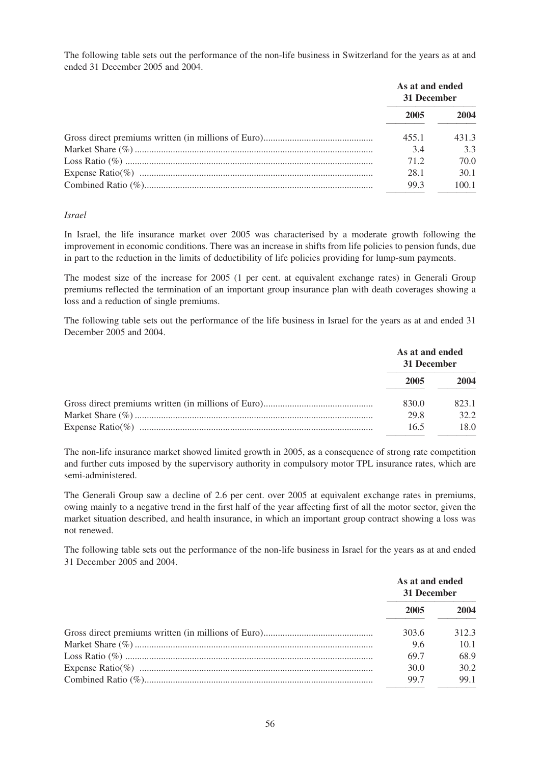The following table sets out the performance of the non-life business in Switzerland for the years as at and ended 31 December 2005 and 2004.

| As at and ended<br>31 December |       |
|--------------------------------|-------|
| 2005                           | 2004  |
| 455.1                          | 431.3 |
| 3.4                            | 3.3   |
| 71.2                           | 70.0  |
| 28.1                           | 30.1  |
| 99.3                           | 100.1 |

#### *Israel*

In Israel, the life insurance market over 2005 was characterised by a moderate growth following the improvement in economic conditions. There was an increase in shifts from life policies to pension funds, due in part to the reduction in the limits of deductibility of life policies providing for lump-sum payments.

The modest size of the increase for 2005 (1 per cent. at equivalent exchange rates) in Generali Group premiums reflected the termination of an important group insurance plan with death coverages showing a loss and a reduction of single premiums.

The following table sets out the performance of the life business in Israel for the years as at and ended 31 December 2005 and 2004.

| As at and ended<br>31 December |       |
|--------------------------------|-------|
| 2005                           | 2004  |
| 830.0                          | 823.1 |
| 29.8                           | 32.2  |
| 16.5                           | 18.0  |

The non-life insurance market showed limited growth in 2005, as a consequence of strong rate competition and further cuts imposed by the supervisory authority in compulsory motor TPL insurance rates, which are semi-administered.

The Generali Group saw a decline of 2.6 per cent. over 2005 at equivalent exchange rates in premiums, owing mainly to a negative trend in the first half of the year affecting first of all the motor sector, given the market situation described, and health insurance, in which an important group contract showing a loss was not renewed.

The following table sets out the performance of the non-life business in Israel for the years as at and ended 31 December 2005 and 2004.

| As at and ended<br>31 December |       |
|--------------------------------|-------|
| 2005                           | 2004  |
| 303.6                          | 312.3 |
| 9.6                            | 10.1  |
| 69.7                           | 68.9  |
| 30.0                           | 30.2  |
| 99.7                           | 99.1  |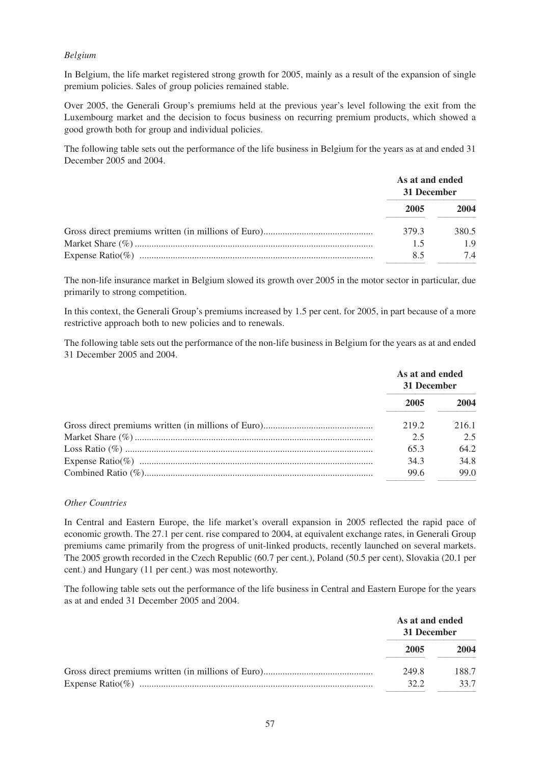# *Belgium*

In Belgium, the life market registered strong growth for 2005, mainly as a result of the expansion of single premium policies. Sales of group policies remained stable.

Over 2005, the Generali Group's premiums held at the previous year's level following the exit from the Luxembourg market and the decision to focus business on recurring premium products, which showed a good growth both for group and individual policies.

The following table sets out the performance of the life business in Belgium for the years as at and ended 31 December 2005 and 2004.

| As at and ended<br>31 December |       |
|--------------------------------|-------|
| 2005                           | 2004  |
| 379.3                          | 380.5 |
| 1.5                            | 1.9   |
| 85                             | 74    |

The non-life insurance market in Belgium slowed its growth over 2005 in the motor sector in particular, due primarily to strong competition.

In this context, the Generali Group's premiums increased by 1.5 per cent. for 2005, in part because of a more restrictive approach both to new policies and to renewals.

The following table sets out the performance of the non-life business in Belgium for the years as at and ended 31 December 2005 and 2004.

| As at and ended<br>31 December |       |
|--------------------------------|-------|
| 2005                           | 2004  |
| 219.2                          | 216.1 |
| 2.5                            | 2.5   |
| 65.3                           | 64.2  |
| 34.3                           | 34.8  |
| 99.6                           | 99.0  |

#### *Other Countries*

In Central and Eastern Europe, the life market's overall expansion in 2005 reflected the rapid pace of economic growth. The 27.1 per cent. rise compared to 2004, at equivalent exchange rates, in Generali Group premiums came primarily from the progress of unit-linked products, recently launched on several markets. The 2005 growth recorded in the Czech Republic (60.7 per cent.), Poland (50.5 per cent), Slovakia (20.1 per cent.) and Hungary (11 per cent.) was most noteworthy.

The following table sets out the performance of the life business in Central and Eastern Europe for the years as at and ended 31 December 2005 and 2004.

| As at and ended<br>31 December |       |
|--------------------------------|-------|
| 2005                           | 2004  |
| 249.8                          | 188.7 |
| 32.2                           | 33.7  |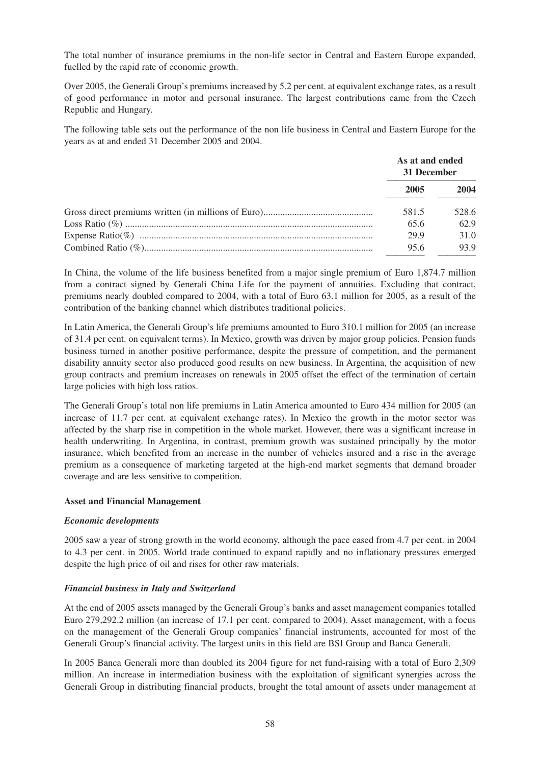The total number of insurance premiums in the non-life sector in Central and Eastern Europe expanded, fuelled by the rapid rate of economic growth.

Over 2005, the Generali Group's premiums increased by 5.2 per cent. at equivalent exchange rates, as a result of good performance in motor and personal insurance. The largest contributions came from the Czech Republic and Hungary.

The following table sets out the performance of the non life business in Central and Eastern Europe for the years as at and ended 31 December 2005 and 2004.

| As at and ended<br>31 December |       |
|--------------------------------|-------|
| 2005                           | 2004  |
| 581.5                          | 528.6 |
| 65.6                           | 62.9  |
| 29.9                           | 31.0  |
| 95.6                           | 93.9  |

In China, the volume of the life business benefited from a major single premium of Euro 1,874.7 million from a contract signed by Generali China Life for the payment of annuities. Excluding that contract, premiums nearly doubled compared to 2004, with a total of Euro 63.1 million for 2005, as a result of the contribution of the banking channel which distributes traditional policies.

In Latin America, the Generali Group's life premiums amounted to Euro 310.1 million for 2005 (an increase of 31.4 per cent. on equivalent terms). In Mexico, growth was driven by major group policies. Pension funds business turned in another positive performance, despite the pressure of competition, and the permanent disability annuity sector also produced good results on new business. In Argentina, the acquisition of new group contracts and premium increases on renewals in 2005 offset the effect of the termination of certain large policies with high loss ratios.

The Generali Group's total non life premiums in Latin America amounted to Euro 434 million for 2005 (an increase of 11.7 per cent. at equivalent exchange rates). In Mexico the growth in the motor sector was affected by the sharp rise in competition in the whole market. However, there was a significant increase in health underwriting. In Argentina, in contrast, premium growth was sustained principally by the motor insurance, which benefited from an increase in the number of vehicles insured and a rise in the average premium as a consequence of marketing targeted at the high-end market segments that demand broader coverage and are less sensitive to competition.

# **Asset and Financial Management**

#### *Economic developments*

2005 saw a year of strong growth in the world economy, although the pace eased from 4.7 per cent. in 2004 to 4.3 per cent. in 2005. World trade continued to expand rapidly and no inflationary pressures emerged despite the high price of oil and rises for other raw materials.

# *Financial business in Italy and Switzerland*

At the end of 2005 assets managed by the Generali Group's banks and asset management companies totalled Euro 279,292.2 million (an increase of 17.1 per cent. compared to 2004). Asset management, with a focus on the management of the Generali Group companies' financial instruments, accounted for most of the Generali Group's financial activity. The largest units in this field are BSI Group and Banca Generali.

In 2005 Banca Generali more than doubled its 2004 figure for net fund-raising with a total of Euro 2,309 million. An increase in intermediation business with the exploitation of significant synergies across the Generali Group in distributing financial products, brought the total amount of assets under management at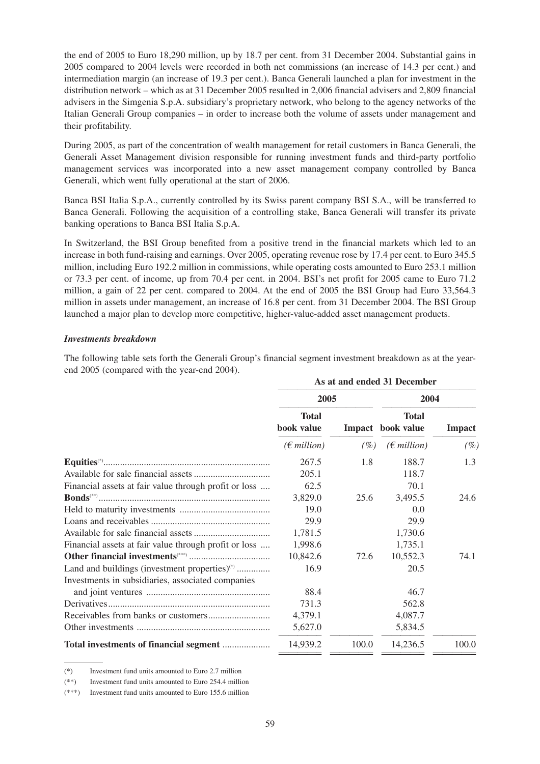the end of 2005 to Euro 18,290 million, up by 18.7 per cent. from 31 December 2004. Substantial gains in 2005 compared to 2004 levels were recorded in both net commissions (an increase of 14.3 per cent.) and intermediation margin (an increase of 19.3 per cent.). Banca Generali launched a plan for investment in the distribution network – which as at 31 December 2005 resulted in 2,006 financial advisers and 2,809 financial advisers in the Simgenia S.p.A. subsidiary's proprietary network, who belong to the agency networks of the Italian Generali Group companies – in order to increase both the volume of assets under management and their profitability.

During 2005, as part of the concentration of wealth management for retail customers in Banca Generali, the Generali Asset Management division responsible for running investment funds and third-party portfolio management services was incorporated into a new asset management company controlled by Banca Generali, which went fully operational at the start of 2006.

Banca BSI Italia S.p.A., currently controlled by its Swiss parent company BSI S.A., will be transferred to Banca Generali. Following the acquisition of a controlling stake, Banca Generali will transfer its private banking operations to Banca BSI Italia S.p.A.

In Switzerland, the BSI Group benefited from a positive trend in the financial markets which led to an increase in both fund-raising and earnings. Over 2005, operating revenue rose by 17.4 per cent. to Euro 345.5 million, including Euro 192.2 million in commissions, while operating costs amounted to Euro 253.1 million or 73.3 per cent. of income, up from 70.4 per cent. in 2004. BSI's net profit for 2005 came to Euro 71.2 million, a gain of 22 per cent. compared to 2004. At the end of 2005 the BSI Group had Euro 33,564.3 million in assets under management, an increase of 16.8 per cent. from 31 December 2004. The BSI Group launched a major plan to develop more competitive, higher-value-added asset management products.

#### *Investments breakdown*

The following table sets forth the Generali Group's financial segment investment breakdown as at the yearend 2005 (compared with the year-end 2004).

|                                                           | As at and ended 31 December |               |                            |               |
|-----------------------------------------------------------|-----------------------------|---------------|----------------------------|---------------|
|                                                           | 2005                        |               | 2004                       |               |
|                                                           | <b>Total</b><br>book value  | <b>Impact</b> | <b>Total</b><br>book value | <b>Impact</b> |
|                                                           | $(\epsilon$ million)        | $(\%)$        | $(\epsilon$ million)       | $(\%)$        |
|                                                           | 267.5                       | 1.8           | 188.7                      | 1.3           |
|                                                           | 205.1                       |               | 118.7                      |               |
| Financial assets at fair value through profit or loss     | 62.5                        |               | 70.1                       |               |
|                                                           | 3,829.0                     | 25.6          | 3,495.5                    | 24.6          |
|                                                           | 19.0                        |               | 0.0                        |               |
|                                                           | 29.9                        |               | 29.9                       |               |
|                                                           | 1,781.5                     |               | 1,730.6                    |               |
| Financial assets at fair value through profit or loss     | 1,998.6                     |               | 1,735.1                    |               |
|                                                           | 10,842.6                    | 72.6          | 10,552.3                   | 74.1          |
| Land and buildings (investment properties) <sup>(*)</sup> | 16.9                        |               | 20.5                       |               |
| Investments in subsidiaries, associated companies         |                             |               |                            |               |
|                                                           | 88.4                        |               | 46.7                       |               |
|                                                           | 731.3                       |               | 562.8                      |               |
|                                                           | 4,379.1                     |               | 4,087.7                    |               |
|                                                           | 5,627.0                     |               | 5,834.5                    |               |
|                                                           | 14,939.2                    | 100.0         | 14,236.5                   | 100.0         |

<sup>(\*)</sup> Investment fund units amounted to Euro 2.7 million

<sup>(\*\*)</sup> Investment fund units amounted to Euro 254.4 million

<sup>(\*\*\*)</sup> Investment fund units amounted to Euro 155.6 million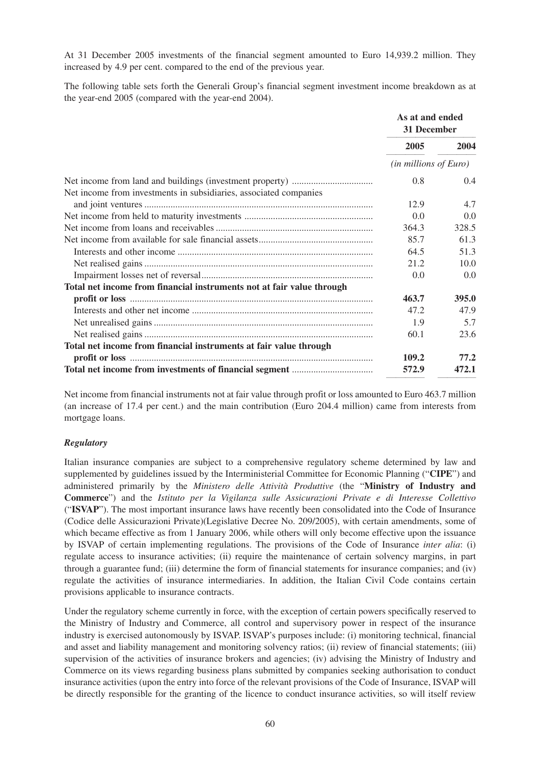At 31 December 2005 investments of the financial segment amounted to Euro 14,939.2 million. They increased by 4.9 per cent. compared to the end of the previous year.

The following table sets forth the Generali Group's financial segment investment income breakdown as at the year-end 2005 (compared with the year-end 2004).

|                                                                       | As at and ended<br>31 December |               |
|-----------------------------------------------------------------------|--------------------------------|---------------|
|                                                                       | 2005                           | 2004          |
|                                                                       | $(in\, millions\, of\, Euro)$  |               |
| Net income from investments in subsidiaries, associated companies     | 0.8<br>12.9                    | 0.4<br>4.7    |
|                                                                       | 0.0                            | 0.0           |
|                                                                       | 364.3                          | 328.5         |
|                                                                       | 85.7                           | 61.3          |
|                                                                       | 64.5                           | 51.3          |
|                                                                       | 21.2                           | 10.0          |
|                                                                       | 0.0                            | 0.0           |
| Total net income from financial instruments not at fair value through |                                |               |
|                                                                       | 463.7                          | 395.0         |
|                                                                       | 47.2                           | 47.9          |
|                                                                       | 1.9                            | 5.7           |
|                                                                       | 60.1                           | 23.6          |
| Total net income from financial instruments at fair value through     |                                |               |
|                                                                       | 109.2<br>572.9                 | 77.2<br>472.1 |

Net income from financial instruments not at fair value through profit or loss amounted to Euro 463.7 million (an increase of 17.4 per cent.) and the main contribution (Euro 204.4 million) came from interests from mortgage loans.

# *Regulatory*

Italian insurance companies are subject to a comprehensive regulatory scheme determined by law and supplemented by guidelines issued by the Interministerial Committee for Economic Planning ("**CIPE**") and administered primarily by the *Ministero delle Attività Produttive* (the "**Ministry of Industry and Commerce**") and the *Istituto per la Vigilanza sulle Assicurazioni Private e di Interesse Collettivo* ("**ISVAP**"). The most important insurance laws have recently been consolidated into the Code of Insurance (Codice delle Assicurazioni Private)(Legislative Decree No. 209/2005), with certain amendments, some of which became effective as from 1 January 2006, while others will only become effective upon the issuance by ISVAP of certain implementing regulations. The provisions of the Code of Insurance *inter alia*: (i) regulate access to insurance activities; (ii) require the maintenance of certain solvency margins, in part through a guarantee fund; (iii) determine the form of financial statements for insurance companies; and (iv) regulate the activities of insurance intermediaries. In addition, the Italian Civil Code contains certain provisions applicable to insurance contracts.

Under the regulatory scheme currently in force, with the exception of certain powers specifically reserved to the Ministry of Industry and Commerce, all control and supervisory power in respect of the insurance industry is exercised autonomously by ISVAP. ISVAP's purposes include: (i) monitoring technical, financial and asset and liability management and monitoring solvency ratios; (ii) review of financial statements; (iii) supervision of the activities of insurance brokers and agencies; (iv) advising the Ministry of Industry and Commerce on its views regarding business plans submitted by companies seeking authorisation to conduct insurance activities (upon the entry into force of the relevant provisions of the Code of Insurance, ISVAP will be directly responsible for the granting of the licence to conduct insurance activities, so will itself review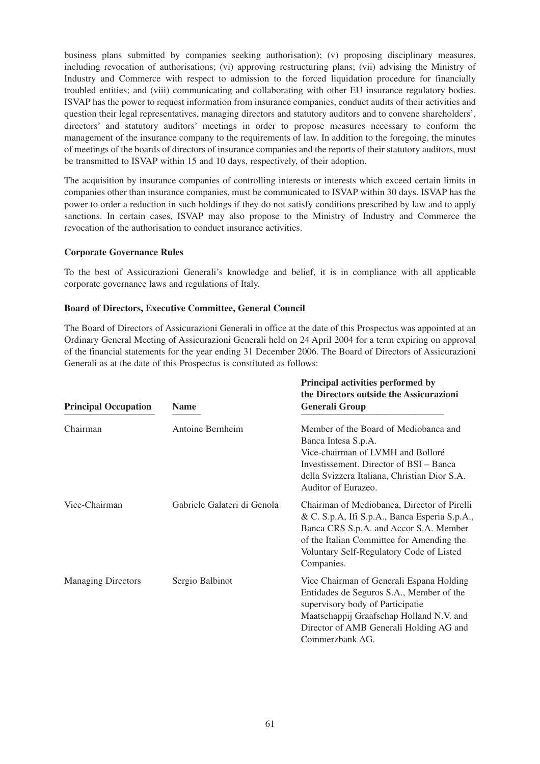business plans submitted by companies seeking authorisation); (v) proposing disciplinary measures, including revocation of authorisations; (vi) approving restructuring plans; (vii) advising the Ministry of Industry and Commerce with respect to admission to the forced liquidation procedure for financially troubled entities; and (viii) communicating and collaborating with other EU insurance regulatory bodies. ISVAP has the power to request information from insurance companies, conduct audits of their activities and question their legal representatives, managing directors and statutory auditors and to convene shareholders', directors' and statutory auditors' meetings in order to propose measures necessary to conform the management of the insurance company to the requirements of law. In addition to the foregoing, the minutes of meetings of the boards of directors of insurance companies and the reports of their statutory auditors, must be transmitted to ISVAP within 15 and 10 days, respectively, of their adoption.

The acquisition by insurance companies of controlling interests or interests which exceed certain limits in companies other than insurance companies, must be communicated to ISVAP within 30 days. ISVAP has the power to order a reduction in such holdings if they do not satisfy conditions prescribed by law and to apply sanctions. In certain cases, ISVAP may also propose to the Ministry of Industry and Commerce the revocation of the authorisation to conduct insurance activities.

#### **Corporate Governance Rules**

To the best of Assicurazioni Generali's knowledge and belief, it is in compliance with all applicable corporate governance laws and regulations of Italy.

#### **Board of Directors, Executive Committee, General Council**

The Board of Directors of Assicurazioni Generali in office at the date of this Prospectus was appointed at an Ordinary General Meeting of Assicurazioni Generali held on 24 April 2004 for a term expiring on approval of the financial statements for the year ending 31 December 2006. The Board of Directors of Assicurazioni Generali as at the date of this Prospectus is constituted as follows:

| <b>Principal Occupation</b> | <b>Name</b>                 | Principal activities performed by<br>the Directors outside the Assicurazioni<br><b>Generali Group</b>                                                                                                                                         |
|-----------------------------|-----------------------------|-----------------------------------------------------------------------------------------------------------------------------------------------------------------------------------------------------------------------------------------------|
| Chairman                    | Antoine Bernheim            | Member of the Board of Mediobanca and<br>Banca Intesa S.p.A.<br>Vice-chairman of LVMH and Bolloré<br>Investissement. Director of BSI – Banca<br>della Svizzera Italiana, Christian Dior S.A.<br>Auditor of Eurazeo.                           |
| Vice-Chairman               | Gabriele Galateri di Genola | Chairman of Mediobanca, Director of Pirelli<br>& C. S.p.A, Ifi S.p.A., Banca Esperia S.p.A.,<br>Banca CRS S.p.A. and Accor S.A. Member<br>of the Italian Committee for Amending the<br>Voluntary Self-Regulatory Code of Listed<br>Companies. |
| <b>Managing Directors</b>   | Sergio Balbinot             | Vice Chairman of Generali Espana Holding<br>Entidades de Seguros S.A., Member of the<br>supervisory body of Participatie<br>Maatschappij Graafschap Holland N.V. and<br>Director of AMB Generali Holding AG and<br>Commerzbank AG.            |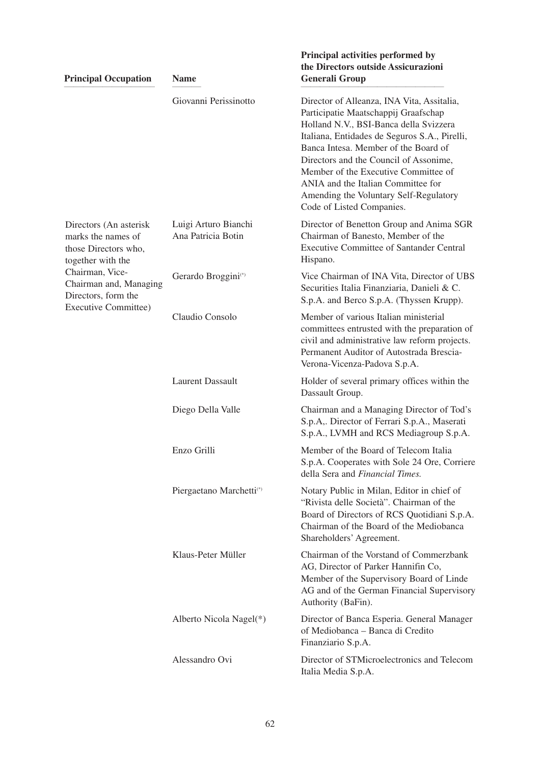|  | <b>Principal Occupation</b>                                                                                                                                                                  | <b>Name</b>                                | the Directors outside Assicurazioni<br><b>Generali Group</b>                                                                                                                                                                                                                                                                                                                                                         |
|--|----------------------------------------------------------------------------------------------------------------------------------------------------------------------------------------------|--------------------------------------------|----------------------------------------------------------------------------------------------------------------------------------------------------------------------------------------------------------------------------------------------------------------------------------------------------------------------------------------------------------------------------------------------------------------------|
|  |                                                                                                                                                                                              | Giovanni Perissinotto                      | Director of Alleanza, INA Vita, Assitalia,<br>Participatie Maatschappij Graafschap<br>Holland N.V., BSI-Banca della Svizzera<br>Italiana, Entidades de Seguros S.A., Pirelli,<br>Banca Intesa. Member of the Board of<br>Directors and the Council of Assonime,<br>Member of the Executive Committee of<br>ANIA and the Italian Committee for<br>Amending the Voluntary Self-Regulatory<br>Code of Listed Companies. |
|  | Directors (An asterisk<br>marks the names of<br>those Directors who,<br>together with the<br>Chairman, Vice-<br>Chairman and, Managing<br>Directors, form the<br><b>Executive Committee)</b> | Luigi Arturo Bianchi<br>Ana Patricia Botin | Director of Benetton Group and Anima SGR<br>Chairman of Banesto, Member of the<br><b>Executive Committee of Santander Central</b><br>Hispano.                                                                                                                                                                                                                                                                        |
|  |                                                                                                                                                                                              | Gerardo Broggini <sup>(*)</sup>            | Vice Chairman of INA Vita, Director of UBS<br>Securities Italia Finanziaria, Danieli & C.<br>S.p.A. and Berco S.p.A. (Thyssen Krupp).                                                                                                                                                                                                                                                                                |
|  |                                                                                                                                                                                              | Claudio Consolo                            | Member of various Italian ministerial<br>committees entrusted with the preparation of<br>civil and administrative law reform projects.<br>Permanent Auditor of Autostrada Brescia-<br>Verona-Vicenza-Padova S.p.A.                                                                                                                                                                                                   |
|  |                                                                                                                                                                                              | <b>Laurent Dassault</b>                    | Holder of several primary offices within the<br>Dassault Group.                                                                                                                                                                                                                                                                                                                                                      |
|  |                                                                                                                                                                                              | Diego Della Valle                          | Chairman and a Managing Director of Tod's<br>S.p.A,. Director of Ferrari S.p.A., Maserati<br>S.p.A., LVMH and RCS Mediagroup S.p.A.                                                                                                                                                                                                                                                                                  |
|  |                                                                                                                                                                                              | Enzo Grilli                                | Member of the Board of Telecom Italia<br>S.p.A. Cooperates with Sole 24 Ore, Corriere<br>della Sera and <i>Financial Times</i> .                                                                                                                                                                                                                                                                                     |
|  |                                                                                                                                                                                              | Piergaetano Marchetti(*)                   | Notary Public in Milan, Editor in chief of<br>"Rivista delle Società". Chairman of the<br>Board of Directors of RCS Quotidiani S.p.A.<br>Chairman of the Board of the Mediobanca<br>Shareholders' Agreement.                                                                                                                                                                                                         |
|  |                                                                                                                                                                                              | Klaus-Peter Müller                         | Chairman of the Vorstand of Commerzbank<br>AG, Director of Parker Hannifin Co,<br>Member of the Supervisory Board of Linde<br>AG and of the German Financial Supervisory<br>Authority (BaFin).                                                                                                                                                                                                                       |
|  |                                                                                                                                                                                              | Alberto Nicola Nagel(*)                    | Director of Banca Esperia. General Manager<br>of Mediobanca - Banca di Credito<br>Finanziario S.p.A.                                                                                                                                                                                                                                                                                                                 |
|  |                                                                                                                                                                                              | Alessandro Ovi                             | Director of STMicroelectronics and Telecom<br>Italia Media S.p.A.                                                                                                                                                                                                                                                                                                                                                    |

**Principal activities performed by**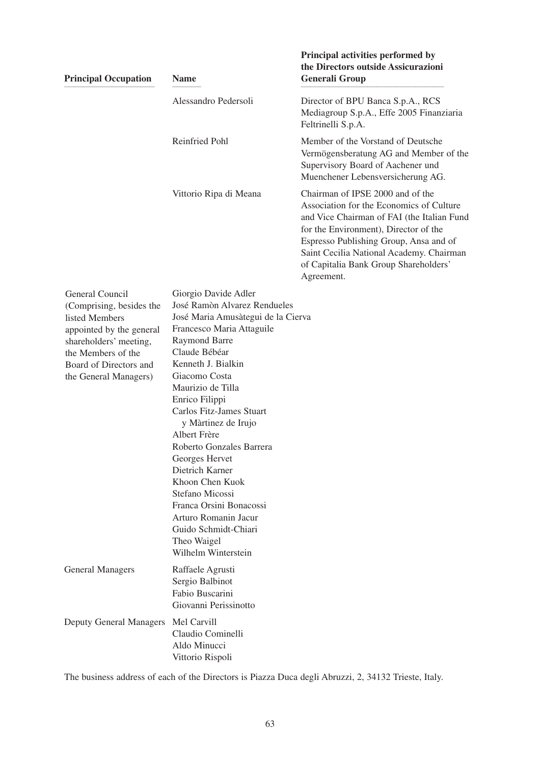| <b>Principal Occupation</b>                                                                                                                                                                  | <b>Name</b>                                                                                                                                                                                                                                                                                                                                                                                                                                                                                                                               | Principal activities performed by<br>the Directors outside Assicurazioni<br><b>Generali Group</b>                                                                                                                                                                                                                |
|----------------------------------------------------------------------------------------------------------------------------------------------------------------------------------------------|-------------------------------------------------------------------------------------------------------------------------------------------------------------------------------------------------------------------------------------------------------------------------------------------------------------------------------------------------------------------------------------------------------------------------------------------------------------------------------------------------------------------------------------------|------------------------------------------------------------------------------------------------------------------------------------------------------------------------------------------------------------------------------------------------------------------------------------------------------------------|
|                                                                                                                                                                                              | Alessandro Pedersoli                                                                                                                                                                                                                                                                                                                                                                                                                                                                                                                      | Director of BPU Banca S.p.A., RCS<br>Mediagroup S.p.A., Effe 2005 Finanziaria<br>Feltrinelli S.p.A.                                                                                                                                                                                                              |
|                                                                                                                                                                                              | Reinfried Pohl                                                                                                                                                                                                                                                                                                                                                                                                                                                                                                                            | Member of the Vorstand of Deutsche<br>Vermögensberatung AG and Member of the<br>Supervisory Board of Aachener und<br>Muenchener Lebensversicherung AG.                                                                                                                                                           |
|                                                                                                                                                                                              | Vittorio Ripa di Meana                                                                                                                                                                                                                                                                                                                                                                                                                                                                                                                    | Chairman of IPSE 2000 and of the<br>Association for the Economics of Culture<br>and Vice Chairman of FAI (the Italian Fund<br>for the Environment), Director of the<br>Espresso Publishing Group, Ansa and of<br>Saint Cecilia National Academy. Chairman<br>of Capitalia Bank Group Shareholders'<br>Agreement. |
| General Council<br>(Comprising, besides the<br>listed Members<br>appointed by the general<br>shareholders' meeting,<br>the Members of the<br>Board of Directors and<br>the General Managers) | Giorgio Davide Adler<br>José Ramòn Alvarez Rendueles<br>José Maria Amusàtegui de la Cierva<br>Francesco Maria Attaguile<br><b>Raymond Barre</b><br>Claude Bébéar<br>Kenneth J. Bialkin<br>Giacomo Costa<br>Maurizio de Tilla<br>Enrico Filippi<br>Carlos Fitz-James Stuart<br>y Màrtinez de Irujo<br>Albert Frère<br>Roberto Gonzales Barrera<br>Georges Hervet<br>Dietrich Karner<br>Khoon Chen Kuok<br>Stefano Micossi<br>Franca Orsini Bonacossi<br>Arturo Romanin Jacur<br>Guido Schmidt-Chiari<br>Theo Waigel<br>Wilhelm Winterstein |                                                                                                                                                                                                                                                                                                                  |
| <b>General Managers</b>                                                                                                                                                                      | Raffaele Agrusti<br>Sergio Balbinot<br>Fabio Buscarini<br>Giovanni Perissinotto                                                                                                                                                                                                                                                                                                                                                                                                                                                           |                                                                                                                                                                                                                                                                                                                  |
| <b>Deputy General Managers</b>                                                                                                                                                               | Mel Carvill<br>Claudio Cominelli<br>Aldo Minucci<br>Vittorio Rispoli                                                                                                                                                                                                                                                                                                                                                                                                                                                                      |                                                                                                                                                                                                                                                                                                                  |

The business address of each of the Directors is Piazza Duca degli Abruzzi, 2, 34132 Trieste, Italy.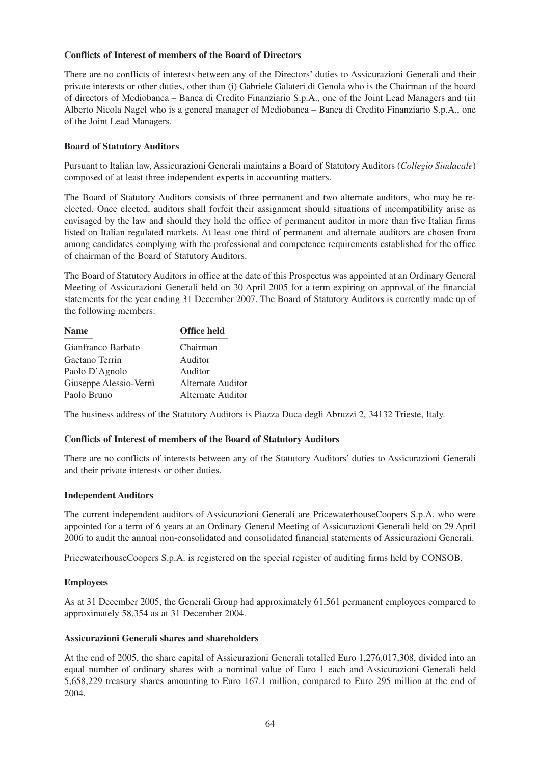# **Conflicts of Interest of members of the Board of Directors**

There are no conflicts of interests between any of the Directors' duties to Assicurazioni Generali and their private interests or other duties, other than (i) Gabriele Galateri di Genola who is the Chairman of the board of directors of Mediobanca – Banca di Credito Finanziario S.p.A., one of the Joint Lead Managers and (ii) Alberto Nicola Nagel who is a general manager of Mediobanca – Banca di Credito Finanziario S.p.A., one of the Joint Lead Managers.

# **Board of Statutory Auditors**

Pursuant to Italian law, Assicurazioni Generali maintains a Board of Statutory Auditors (*Collegio Sindacale*) composed of at least three independent experts in accounting matters.

The Board of Statutory Auditors consists of three permanent and two alternate auditors, who may be reelected. Once elected, auditors shall forfeit their assignment should situations of incompatibility arise as envisaged by the law and should they hold the office of permanent auditor in more than five Italian firms listed on Italian regulated markets. At least one third of permanent and alternate auditors are chosen from among candidates complying with the professional and competence requirements established for the office of chairman of the Board of Statutory Auditors.

The Board of Statutory Auditors in office at the date of this Prospectus was appointed at an Ordinary General Meeting of Assicurazioni Generali held on 30 April 2005 for a term expiring on approval of the financial statements for the year ending 31 December 2007. The Board of Statutory Auditors is currently made up of the following members:

| <b>Office held</b> |
|--------------------|
| Chairman           |
| Auditor            |
| Auditor            |
| Alternate Auditor  |
| Alternate Auditor  |
|                    |

The business address of the Statutory Auditors is Piazza Duca degli Abruzzi 2, 34132 Trieste, Italy.

# **Conflicts of Interest of members of the Board of Statutory Auditors**

There are no conflicts of interests between any of the Statutory Auditors' duties to Assicurazioni Generali and their private interests or other duties.

#### **Independent Auditors**

The current independent auditors of Assicurazioni Generali are PricewaterhouseCoopers S.p.A. who were appointed for a term of 6 years at an Ordinary General Meeting of Assicurazioni Generali held on 29 April 2006 to audit the annual non-consolidated and consolidated financial statements of Assicurazioni Generali.

PricewaterhouseCoopers S.p.A. is registered on the special register of auditing firms held by CONSOB.

#### **Employees**

As at 31 December 2005, the Generali Group had approximately 61,561 permanent employees compared to approximately 58,354 as at 31 December 2004.

#### **Assicurazioni Generali shares and shareholders**

At the end of 2005, the share capital of Assicurazioni Generali totalled Euro 1,276,017,308, divided into an equal number of ordinary shares with a nominal value of Euro 1 each and Assicurazioni Generali held 5,658,229 treasury shares amounting to Euro 167.1 million, compared to Euro 295 million at the end of 2004.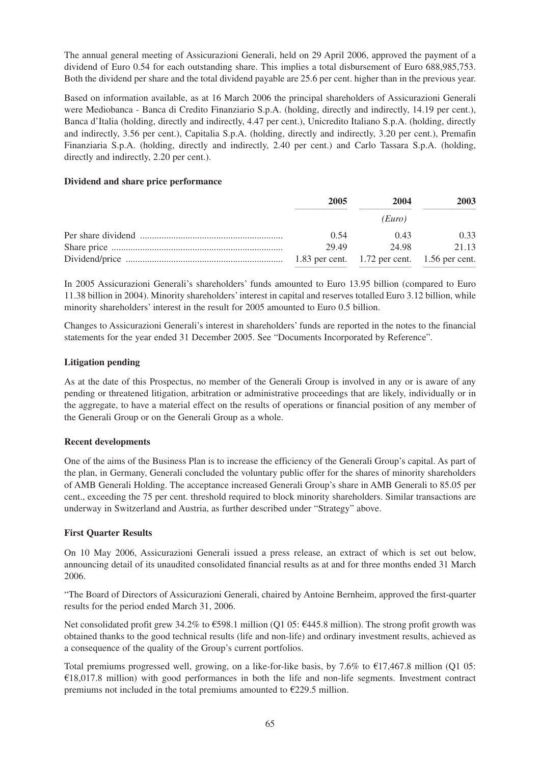The annual general meeting of Assicurazioni Generali, held on 29 April 2006, approved the payment of a dividend of Euro 0.54 for each outstanding share. This implies a total disbursement of Euro 688,985,753. Both the dividend per share and the total dividend payable are 25.6 per cent. higher than in the previous year.

Based on information available, as at 16 March 2006 the principal shareholders of Assicurazioni Generali were Mediobanca - Banca di Credito Finanziario S.p.A. (holding, directly and indirectly, 14.19 per cent.), Banca d'Italia (holding, directly and indirectly, 4.47 per cent.), Unicredito Italiano S.p.A. (holding, directly and indirectly, 3.56 per cent.), Capitalia S.p.A. (holding, directly and indirectly, 3.20 per cent.), Premafin Finanziaria S.p.A. (holding, directly and indirectly, 2.40 per cent.) and Carlo Tassara S.p.A. (holding, directly and indirectly, 2.20 per cent.).

# **Dividend and share price performance**

| 2005  | 2004   | 2003  |
|-------|--------|-------|
|       | (Euro) |       |
| 0.54  | 0.43   | 0.33  |
| 29.49 | 24.98  | 21.13 |
|       |        |       |

In 2005 Assicurazioni Generali's shareholders' funds amounted to Euro 13.95 billion (compared to Euro 11.38 billion in 2004). Minority shareholders' interest in capital and reserves totalled Euro 3.12 billion, while minority shareholders' interest in the result for 2005 amounted to Euro 0.5 billion.

Changes to Assicurazioni Generali's interest in shareholders' funds are reported in the notes to the financial statements for the year ended 31 December 2005. See "Documents Incorporated by Reference".

# **Litigation pending**

As at the date of this Prospectus, no member of the Generali Group is involved in any or is aware of any pending or threatened litigation, arbitration or administrative proceedings that are likely, individually or in the aggregate, to have a material effect on the results of operations or financial position of any member of the Generali Group or on the Generali Group as a whole.

# **Recent developments**

One of the aims of the Business Plan is to increase the efficiency of the Generali Group's capital. As part of the plan, in Germany, Generali concluded the voluntary public offer for the shares of minority shareholders of AMB Generali Holding. The acceptance increased Generali Group's share in AMB Generali to 85.05 per cent., exceeding the 75 per cent. threshold required to block minority shareholders. Similar transactions are underway in Switzerland and Austria, as further described under "Strategy" above.

# **First Quarter Results**

On 10 May 2006, Assicurazioni Generali issued a press release, an extract of which is set out below, announcing detail of its unaudited consolidated financial results as at and for three months ended 31 March 2006.

"The Board of Directors of Assicurazioni Generali, chaired by Antoine Bernheim, approved the first-quarter results for the period ended March 31, 2006.

Net consolidated profit grew 34.2% to  $\epsilon$ 598.1 million (Q1 05:  $\epsilon$ 445.8 million). The strong profit growth was obtained thanks to the good technical results (life and non-life) and ordinary investment results, achieved as a consequence of the quality of the Group's current portfolios.

Total premiums progressed well, growing, on a like-for-like basis, by 7.6% to  $\epsilon$ 17,467.8 million (Q1 05: €18,017.8 million) with good performances in both the life and non-life segments. Investment contract premiums not included in the total premiums amounted to  $\epsilon$ 229.5 million.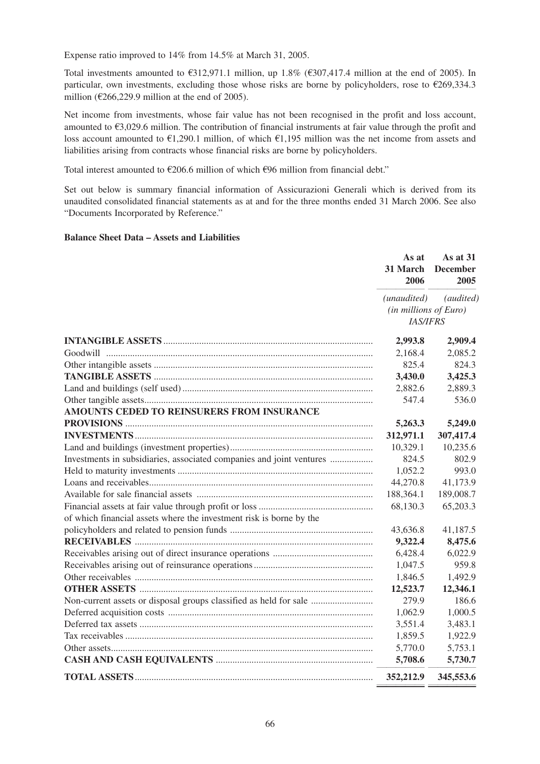Expense ratio improved to 14% from 14.5% at March 31, 2005.

Total investments amounted to  $\epsilon$ 312,971.1 million, up 1.8% ( $\epsilon$ 307,417.4 million at the end of 2005). In particular, own investments, excluding those whose risks are borne by policyholders, rose to  $\epsilon$ 269,334.3 million ( $\epsilon$ 266,229.9 million at the end of 2005).

Net income from investments, whose fair value has not been recognised in the profit and loss account, amounted to  $\epsilon$ 3,029.6 million. The contribution of financial instruments at fair value through the profit and loss account amounted to  $\epsilon$ 1,290.1 million, of which  $\epsilon$ 1,195 million was the net income from assets and liabilities arising from contracts whose financial risks are borne by policyholders.

Total interest amounted to  $\epsilon$ 206.6 million of which  $\epsilon$ 96 million from financial debt."

Set out below is summary financial information of Assicurazioni Generali which is derived from its unaudited consolidated financial statements as at and for the three months ended 31 March 2006. See also "Documents Incorporated by Reference."

# **Balance Sheet Data – Assets and Liabilities**

|                                                                      | As at<br>31 March<br>2006                                                             | As at 31<br><b>December</b><br>2005 |
|----------------------------------------------------------------------|---------------------------------------------------------------------------------------|-------------------------------------|
|                                                                      | (audited)<br>( <i>unaudited</i> )<br>$(in\, millions\, of\, Euro)$<br><b>IAS/IFRS</b> |                                     |
|                                                                      | 2,993.8                                                                               | 2,909.4                             |
|                                                                      | 2,168.4                                                                               | 2,085.2                             |
|                                                                      | 825.4                                                                                 | 824.3                               |
|                                                                      | 3,430.0                                                                               | 3,425.3                             |
|                                                                      | 2,882.6                                                                               | 2,889.3                             |
|                                                                      | 547.4                                                                                 | 536.0                               |
| AMOUNTS CEDED TO REINSURERS FROM INSURANCE                           |                                                                                       |                                     |
|                                                                      | 5,263.3                                                                               | 5,249.0                             |
|                                                                      | 312,971.1                                                                             | 307,417.4                           |
|                                                                      | 10,329.1                                                                              | 10,235.6                            |
| Investments in subsidiaries, associated companies and joint ventures | 824.5                                                                                 | 802.9                               |
|                                                                      | 1,052.2                                                                               | 993.0                               |
|                                                                      | 44,270.8                                                                              | 41,173.9                            |
|                                                                      | 188,364.1                                                                             | 189,008.7                           |
|                                                                      | 68,130.3                                                                              | 65,203.3                            |
| of which financial assets where the investment risk is borne by the  |                                                                                       |                                     |
|                                                                      | 43,636.8                                                                              | 41,187.5                            |
|                                                                      | 9,322.4                                                                               | 8,475.6                             |
|                                                                      | 6,428.4                                                                               | 6,022.9                             |
|                                                                      | 1,047.5                                                                               | 959.8                               |
|                                                                      | 1,846.5                                                                               | 1,492.9                             |
|                                                                      | 12,523.7                                                                              | 12,346.1                            |
| Non-current assets or disposal groups classified as held for sale    | 279.9                                                                                 | 186.6                               |
|                                                                      | 1,062.9                                                                               | 1,000.5                             |
|                                                                      | 3,551.4                                                                               | 3,483.1                             |
|                                                                      | 1,859.5                                                                               | 1,922.9                             |
|                                                                      | 5,770.0                                                                               | 5,753.1                             |
|                                                                      | 5,708.6                                                                               | 5,730.7                             |
|                                                                      | 352,212.9                                                                             | 345,553.6                           |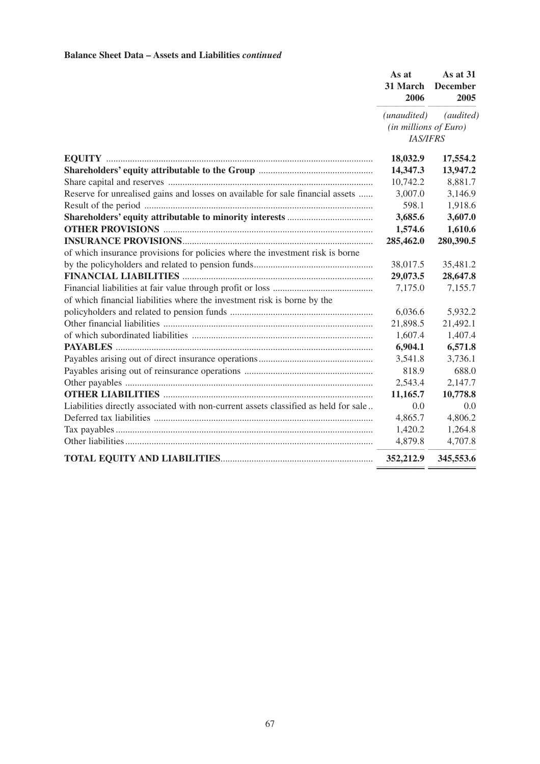#### **Balance Sheet Data – Assets and Liabilities** *continued*

|                                                                                     | As at<br>31 March<br>2006                               | As at 31<br><b>December</b><br>2005 |
|-------------------------------------------------------------------------------------|---------------------------------------------------------|-------------------------------------|
|                                                                                     | (unaudited)<br>(in millions of Euro)<br><b>IAS/IFRS</b> | (audited)                           |
|                                                                                     |                                                         |                                     |
|                                                                                     | 18,032.9                                                | 17,554.2                            |
|                                                                                     | 14,347.3                                                | 13,947.2                            |
|                                                                                     | 10,742.2                                                | 8,881.7                             |
| Reserve for unrealised gains and losses on available for sale financial assets      | 3,007.0                                                 | 3,146.9                             |
|                                                                                     | 598.1                                                   | 1,918.6                             |
|                                                                                     | 3,685.6                                                 | 3,607.0                             |
|                                                                                     | 1,574.6                                                 | 1,610.6                             |
|                                                                                     | 285,462.0                                               | 280,390.5                           |
| of which insurance provisions for policies where the investment risk is borne       |                                                         |                                     |
|                                                                                     | 38,017.5                                                | 35,481.2                            |
|                                                                                     | 29,073.5                                                | 28,647.8                            |
|                                                                                     | 7,175.0                                                 | 7,155.7                             |
| of which financial liabilities where the investment risk is borne by the            |                                                         |                                     |
|                                                                                     | 6,036.6                                                 | 5,932.2                             |
|                                                                                     | 21,898.5                                                | 21,492.1                            |
|                                                                                     | 1,607.4                                                 | 1,407.4                             |
|                                                                                     | 6,904.1                                                 | 6,571.8                             |
|                                                                                     | 3,541.8                                                 | 3,736.1                             |
|                                                                                     | 818.9                                                   | 688.0                               |
|                                                                                     | 2,543.4                                                 | 2,147.7                             |
|                                                                                     | 11,165.7                                                | 10,778.8                            |
| Liabilities directly associated with non-current assets classified as held for sale | 0.0                                                     | 0.0                                 |
|                                                                                     | 4,865.7                                                 | 4,806.2                             |
|                                                                                     | 1,420.2                                                 | 1,264.8                             |
|                                                                                     | 4,879.8                                                 | 4,707.8                             |
|                                                                                     | 352,212.9                                               | 345,553.6                           |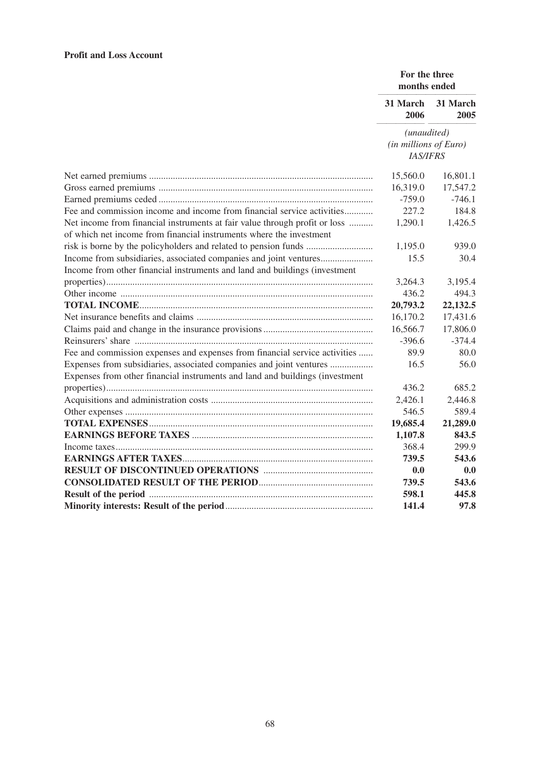# **Profit and Loss Account**

|                                                                                                                                                   | For the three<br>months ended            |                  |
|---------------------------------------------------------------------------------------------------------------------------------------------------|------------------------------------------|------------------|
|                                                                                                                                                   | 31 March<br>2006                         | 31 March<br>2005 |
|                                                                                                                                                   | (unaudited)                              |                  |
|                                                                                                                                                   | (in millions of Euro)<br><b>IAS/IFRS</b> |                  |
|                                                                                                                                                   | 15,560.0                                 | 16,801.1         |
|                                                                                                                                                   | 16,319.0                                 | 17,547.2         |
|                                                                                                                                                   | $-759.0$                                 | $-746.1$         |
| Fee and commission income and income from financial service activities                                                                            | 227.2                                    | 184.8            |
| Net income from financial instruments at fair value through profit or loss<br>of which net income from financial instruments where the investment | 1,290.1                                  | 1,426.5          |
|                                                                                                                                                   | 1,195.0                                  | 939.0            |
| Income from subsidiaries, associated companies and joint ventures                                                                                 | 15.5                                     | 30.4             |
| Income from other financial instruments and land and buildings (investment                                                                        |                                          |                  |
|                                                                                                                                                   | 3,264.3                                  | 3,195.4          |
|                                                                                                                                                   | 436.2                                    | 494.3            |
|                                                                                                                                                   | 20,793.2                                 | 22,132.5         |
|                                                                                                                                                   | 16,170.2                                 | 17,431.6         |
|                                                                                                                                                   | 16,566.7                                 | 17,806.0         |
|                                                                                                                                                   | $-396.6$                                 | $-374.4$         |
| Fee and commission expenses and expenses from financial service activities                                                                        | 89.9                                     | 80.0             |
| Expenses from subsidiaries, associated companies and joint ventures                                                                               | 16.5                                     | 56.0             |
| Expenses from other financial instruments and land and buildings (investment                                                                      |                                          |                  |
|                                                                                                                                                   | 436.2                                    | 685.2            |
|                                                                                                                                                   | 2,426.1                                  | 2,446.8          |
|                                                                                                                                                   | 546.5                                    | 589.4            |
|                                                                                                                                                   | 19,685.4                                 | 21,289.0         |
|                                                                                                                                                   | 1,107.8                                  | 843.5            |
|                                                                                                                                                   | 368.4                                    | 299.9            |
|                                                                                                                                                   | 739.5                                    | 543.6            |
|                                                                                                                                                   | 0.0                                      | 0.0              |
|                                                                                                                                                   | 739.5                                    | 543.6            |
|                                                                                                                                                   | 598.1                                    | 445.8            |
|                                                                                                                                                   | 141.4                                    | 97.8             |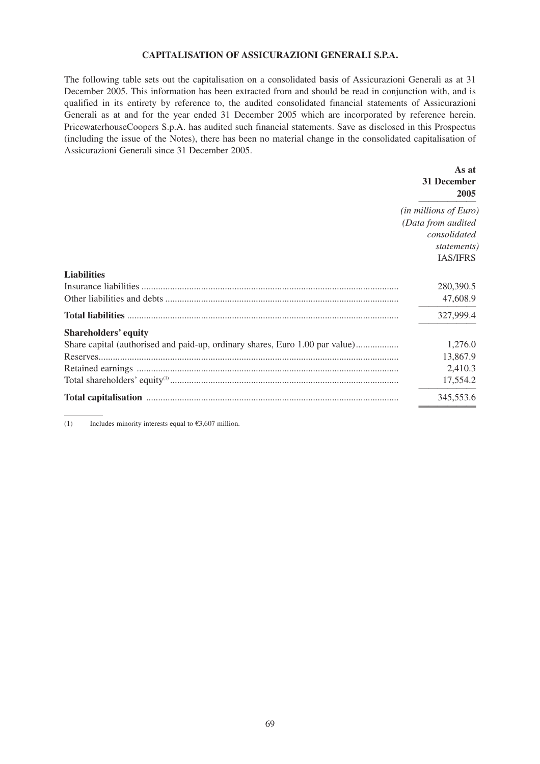# **CAPITALISATION OF ASSICURAZIONI GENERALI S.P.A.**

The following table sets out the capitalisation on a consolidated basis of Assicurazioni Generali as at 31 December 2005. This information has been extracted from and should be read in conjunction with, and is qualified in its entirety by reference to, the audited consolidated financial statements of Assicurazioni Generali as at and for the year ended 31 December 2005 which are incorporated by reference herein. PricewaterhouseCoopers S.p.A. has audited such financial statements. Save as disclosed in this Prospectus (including the issue of the Notes), there has been no material change in the consolidated capitalisation of Assicurazioni Generali since 31 December 2005.

|                                                                              | As at<br>31 December<br>2005 |
|------------------------------------------------------------------------------|------------------------------|
|                                                                              | (in millions of Euro)        |
|                                                                              | (Data from audited           |
|                                                                              | consolidated                 |
|                                                                              | statements)                  |
|                                                                              | <b>IAS/IFRS</b>              |
| <b>Liabilities</b>                                                           |                              |
|                                                                              | 280,390.5                    |
|                                                                              | 47,608.9                     |
|                                                                              | 327,999.4                    |
| <b>Shareholders' equity</b>                                                  |                              |
| Share capital (authorised and paid-up, ordinary shares, Euro 1.00 par value) | 1,276.0                      |
|                                                                              | 13,867.9                     |
|                                                                              | 2,410.3                      |
|                                                                              | 17,554.2                     |
|                                                                              | 345,553.6                    |

(1) Includes minority interests equal to  $\epsilon$ 3,607 million.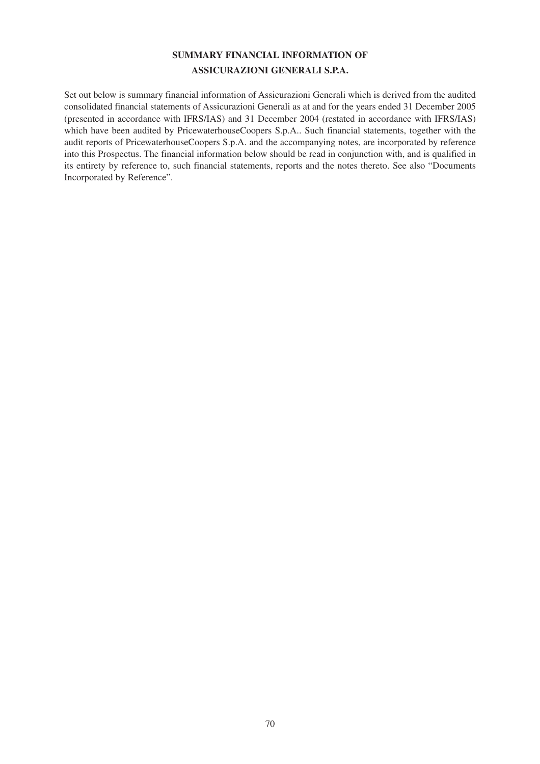# **SUMMARY FINANCIAL INFORMATION OF ASSICURAZIONI GENERALI S.P.A.**

Set out below is summary financial information of Assicurazioni Generali which is derived from the audited consolidated financial statements of Assicurazioni Generali as at and for the years ended 31 December 2005 (presented in accordance with IFRS/IAS) and 31 December 2004 (restated in accordance with IFRS/IAS) which have been audited by PricewaterhouseCoopers S.p.A.. Such financial statements, together with the audit reports of PricewaterhouseCoopers S.p.A. and the accompanying notes, are incorporated by reference into this Prospectus. The financial information below should be read in conjunction with, and is qualified in its entirety by reference to, such financial statements, reports and the notes thereto. See also "Documents Incorporated by Reference".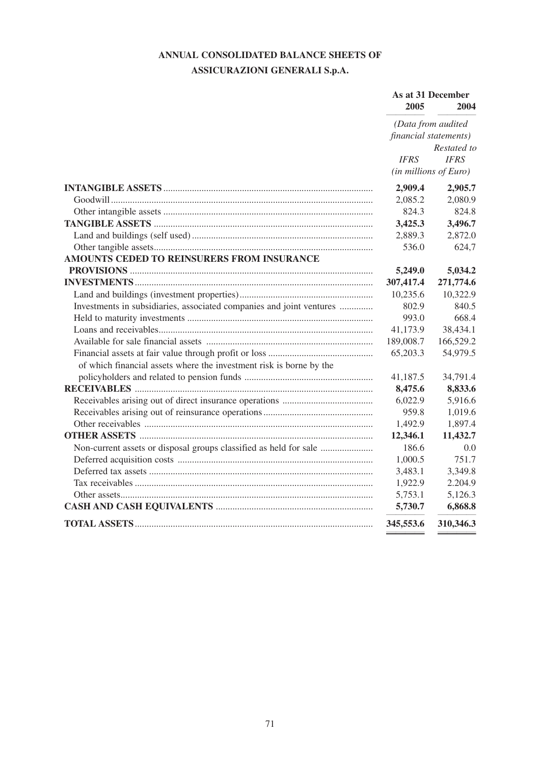# **ANNUAL CONSOLIDATED BALANCE SHEETS OF**

# **ASSICURAZIONI GENERALI S.p.A.**

|                                                                      | 2005                  | As at 31 December<br>2004     |
|----------------------------------------------------------------------|-----------------------|-------------------------------|
|                                                                      |                       | (Data from audited            |
|                                                                      | financial statements) |                               |
|                                                                      |                       | Restated to                   |
|                                                                      | <b>IFRS</b>           | <b>IFRS</b>                   |
|                                                                      |                       | $(in\, millions\, of\, Euro)$ |
|                                                                      | 2,909.4               | 2,905.7                       |
|                                                                      | 2,085.2               | 2,080.9                       |
|                                                                      | 824.3                 | 824.8                         |
|                                                                      | 3,425.3               | 3,496.7                       |
|                                                                      | 2,889.3               | 2,872.0                       |
|                                                                      | 536.0                 | 624,7                         |
| AMOUNTS CEDED TO REINSURERS FROM INSURANCE                           |                       |                               |
|                                                                      | 5,249.0               | 5,034.2                       |
|                                                                      | 307,417.4             | 271,774.6                     |
|                                                                      | 10,235.6              | 10,322.9                      |
| Investments in subsidiaries, associated companies and joint ventures | 802.9                 | 840.5                         |
|                                                                      | 993.0                 | 668.4                         |
|                                                                      | 41,173.9              | 38,434.1                      |
|                                                                      | 189,008.7             | 166,529.2                     |
|                                                                      | 65,203.3              | 54,979.5                      |
| of which financial assets where the investment risk is borne by the  |                       |                               |
|                                                                      | 41,187.5              | 34,791.4                      |
|                                                                      | 8,475.6               | 8,833.6                       |
|                                                                      | 6,022.9               | 5,916.6                       |
|                                                                      | 959.8                 | 1,019.6                       |
|                                                                      | 1,492.9               | 1,897.4                       |
|                                                                      | 12,346.1              | 11,432.7                      |
| Non-current assets or disposal groups classified as held for sale    | 186.6                 | 0.0                           |
|                                                                      | 1,000.5               | 751.7                         |
|                                                                      | 3,483.1               | 3,349.8                       |
|                                                                      | 1,922.9               | 2.204.9                       |
|                                                                      | 5,753.1               | 5,126.3                       |
|                                                                      | 5,730.7               | 6,868.8                       |
|                                                                      | 345,553.6             | 310,346.3                     |
|                                                                      |                       |                               |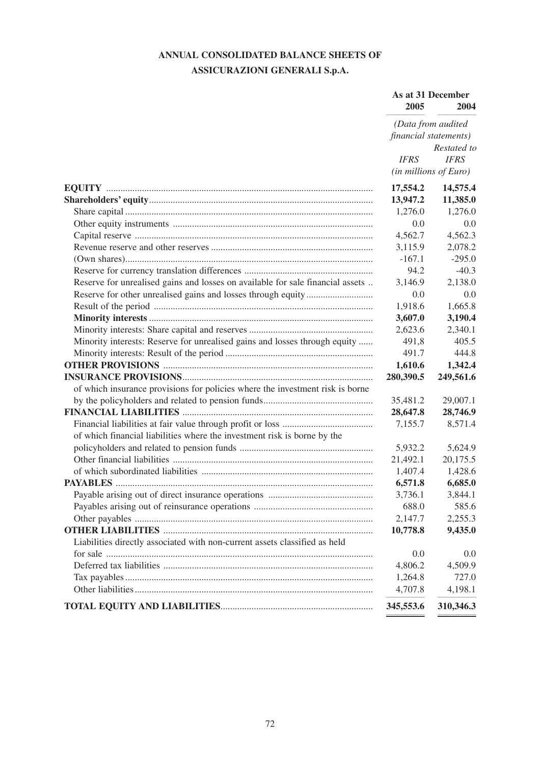# **ANNUAL CONSOLIDATED BALANCE SHEETS OF ASSICURAZIONI GENERALI S.p.A.**

|                                                                                | As at 31 December<br>2005<br>2004 |                       |
|--------------------------------------------------------------------------------|-----------------------------------|-----------------------|
|                                                                                |                                   | (Data from audited    |
|                                                                                | financial statements)             | Restated to           |
|                                                                                | <b>IFRS</b>                       | <b>IFRS</b>           |
|                                                                                |                                   | (in millions of Euro) |
|                                                                                | 17,554.2                          | 14,575.4              |
|                                                                                | 13,947.2                          | 11,385.0              |
|                                                                                | 1,276.0                           | 1,276.0               |
|                                                                                | 0.0                               | 0.0                   |
|                                                                                | 4,562.7                           | 4,562.3               |
|                                                                                | 3,115.9                           | 2,078.2               |
|                                                                                | $-167.1$                          | $-295.0$              |
|                                                                                | 94.2                              | $-40.3$               |
| Reserve for unrealised gains and losses on available for sale financial assets | 3,146.9                           | 2,138.0               |
|                                                                                | 0.0                               | 0.0                   |
|                                                                                | 1,918.6                           | 1,665.8               |
|                                                                                | 3,607.0                           | 3,190.4               |
|                                                                                | 2,623.6                           | 2,340.1               |
| Minority interests: Reserve for unrealised gains and losses through equity     | 491,8                             | 405.5                 |
|                                                                                | 491.7                             | 444.8                 |
|                                                                                | 1,610.6                           | 1,342.4               |
|                                                                                | 280,390.5                         | 249,561.6             |
| of which insurance provisions for policies where the investment risk is borne  |                                   |                       |
|                                                                                | 35,481.2                          | 29,007.1              |
|                                                                                | 28,647.8                          | 28,746.9              |
|                                                                                | 7,155.7                           | 8,571.4               |
| of which financial liabilities where the investment risk is borne by the       |                                   |                       |
|                                                                                | 5,932.2                           | 5,624.9               |
|                                                                                | 21,492.1                          | 20,175.5              |
|                                                                                | 1,407.4                           | 1,428.6               |
|                                                                                | 6,571.8                           | 6,685.0               |
|                                                                                | 3,736.1                           | 3,844.1               |
|                                                                                | 688.0                             | 585.6                 |
|                                                                                | 2,147.7                           | 2,255.3               |
|                                                                                | 10,778.8                          | 9,435.0               |
| Liabilities directly associated with non-current assets classified as held     |                                   |                       |
|                                                                                | 0.0                               | 0.0                   |
|                                                                                | 4,806.2                           | 4,509.9               |
|                                                                                | 1,264.8                           | 727.0                 |
|                                                                                | 4,707.8                           | 4,198.1               |
|                                                                                | 345,553.6                         | 310,346.3             |
|                                                                                |                                   |                       |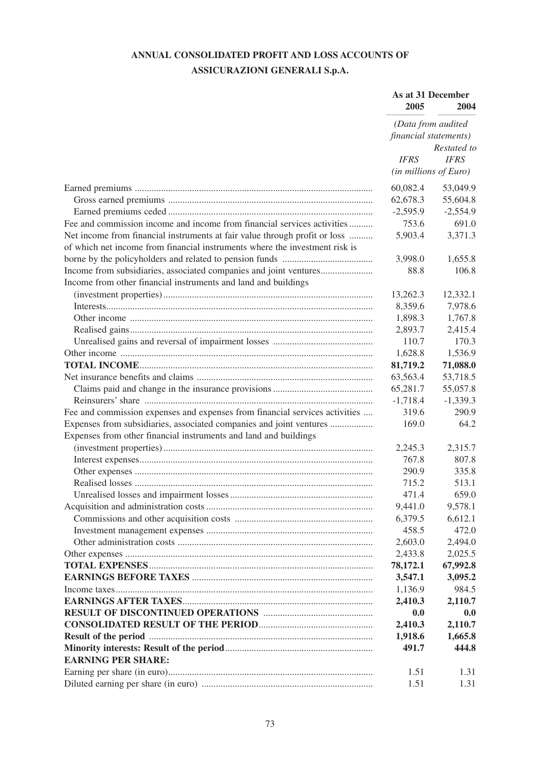# **ANNUAL CONSOLIDATED PROFIT AND LOSS ACCOUNTS OF ASSICURAZIONI GENERALI S.p.A.**

|                                                                             | As at 31 December<br>2005<br>2004<br>(Data from audited<br>financial statements) |             |
|-----------------------------------------------------------------------------|----------------------------------------------------------------------------------|-------------|
|                                                                             |                                                                                  |             |
|                                                                             |                                                                                  | Restated to |
|                                                                             | <b>IFRS</b>                                                                      | <b>IFRS</b> |
|                                                                             | (in millions of Euro)                                                            |             |
|                                                                             | 60,082.4                                                                         | 53,049.9    |
|                                                                             | 62,678.3                                                                         | 55,604.8    |
|                                                                             | $-2,595.9$                                                                       | $-2,554.9$  |
| Fee and commission income and income from financial services activities     | 753.6                                                                            | 691.0       |
| Net income from financial instruments at fair value through profit or loss  | 5,903.4                                                                          | 3,371.3     |
| of which net income from financial instruments where the investment risk is |                                                                                  |             |
|                                                                             | 3,998.0                                                                          | 1,655.8     |
| Income from subsidiaries, associated companies and joint ventures           | 88.8                                                                             | 106.8       |
| Income from other financial instruments and land and buildings              |                                                                                  |             |
|                                                                             | 13,262.3                                                                         | 12,332.1    |
|                                                                             | 8,359.6                                                                          | 7,978.6     |
|                                                                             | 1,898.3                                                                          | 1,767.8     |
|                                                                             | 2,893.7                                                                          | 2,415.4     |
|                                                                             | 110.7                                                                            | 170.3       |
|                                                                             | 1,628.8                                                                          | 1,536.9     |
|                                                                             | 81,719.2                                                                         | 71,088.0    |
|                                                                             | 63,563.4                                                                         | 53,718.5    |
|                                                                             | 65,281.7                                                                         | 55,057.8    |
|                                                                             | $-1,718.4$                                                                       | $-1,339.3$  |
| Fee and commission expenses and expenses from financial services activities | 319.6                                                                            | 290.9       |
| Expenses from subsidiaries, associated companies and joint ventures         | 169.0                                                                            | 64.2        |
| Expenses from other financial instruments and land and buildings            |                                                                                  |             |
|                                                                             | 2,245.3                                                                          | 2,315.7     |
|                                                                             | 767.8                                                                            | 807.8       |
|                                                                             | 290.9                                                                            | 335.8       |
|                                                                             | 715.2                                                                            | 513.1       |
|                                                                             | 471.4                                                                            | 659.0       |
|                                                                             | 9,441.0                                                                          | 9,578.1     |
|                                                                             | 6,379.5                                                                          | 6,612.1     |
|                                                                             | 458.5                                                                            | 472.0       |
|                                                                             | 2,603.0                                                                          | 2,494.0     |
|                                                                             | 2,433.8                                                                          | 2,025.5     |
|                                                                             | 78,172.1                                                                         | 67,992.8    |
|                                                                             | 3,547.1                                                                          | 3,095.2     |
|                                                                             | 1,136.9                                                                          | 984.5       |
|                                                                             | 2,410.3                                                                          | 2,110.7     |
|                                                                             | 0.0                                                                              | 0.0         |
|                                                                             | 2,410.3                                                                          | 2,110.7     |
|                                                                             | 1,918.6                                                                          | 1,665.8     |
|                                                                             | 491.7                                                                            | 444.8       |
| <b>EARNING PER SHARE:</b>                                                   |                                                                                  |             |
|                                                                             | 1.51                                                                             | 1.31        |
|                                                                             | 1.51                                                                             | 1.31        |
|                                                                             |                                                                                  |             |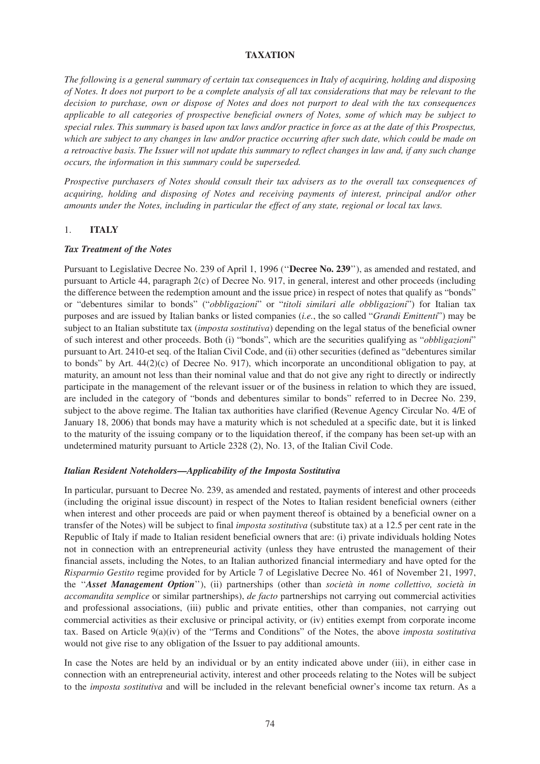## **TAXATION**

*The following is a general summary of certain tax consequences in Italy of acquiring, holding and disposing of Notes. It does not purport to be a complete analysis of all tax considerations that may be relevant to the decision to purchase, own or dispose of Notes and does not purport to deal with the tax consequences applicable to all categories of prospective beneficial owners of Notes, some of which may be subject to special rules. This summary is based upon tax laws and/or practice in force as at the date of this Prospectus, which are subject to any changes in law and/or practice occurring after such date, which could be made on a retroactive basis. The Issuer will not update this summary to reflect changes in law and, if any such change occurs, the information in this summary could be superseded.*

*Prospective purchasers of Notes should consult their tax advisers as to the overall tax consequences of acquiring, holding and disposing of Notes and receiving payments of interest, principal and/or other amounts under the Notes, including in particular the effect of any state, regional or local tax laws.*

#### 1. **ITALY**

#### *Tax Treatment of the Notes*

Pursuant to Legislative Decree No. 239 of April 1, 1996 (''**Decree No. 239**''), as amended and restated, and pursuant to Article 44, paragraph 2(c) of Decree No. 917, in general, interest and other proceeds (including the difference between the redemption amount and the issue price) in respect of notes that qualify as "bonds" or "debentures similar to bonds" ("*obbligazioni*" or "*titoli similari alle obbligazioni*") for Italian tax purposes and are issued by Italian banks or listed companies (*i.e.*, the so called "*Grandi Emittenti*") may be subject to an Italian substitute tax (*imposta sostitutiva*) depending on the legal status of the beneficial owner of such interest and other proceeds. Both (i) "bonds", which are the securities qualifying as "*obbligazioni*" pursuant to Art. 2410-et seq. of the Italian Civil Code, and (ii) other securities (defined as "debentures similar to bonds" by Art.  $44(2)(c)$  of Decree No. 917), which incorporate an unconditional obligation to pay, at maturity, an amount not less than their nominal value and that do not give any right to directly or indirectly participate in the management of the relevant issuer or of the business in relation to which they are issued, are included in the category of "bonds and debentures similar to bonds" referred to in Decree No. 239, subject to the above regime. The Italian tax authorities have clarified (Revenue Agency Circular No. 4/E of January 18, 2006) that bonds may have a maturity which is not scheduled at a specific date, but it is linked to the maturity of the issuing company or to the liquidation thereof, if the company has been set-up with an undetermined maturity pursuant to Article 2328 (2), No. 13, of the Italian Civil Code.

#### *Italian Resident Noteholders—Applicability of the Imposta Sostitutiva*

In particular, pursuant to Decree No. 239, as amended and restated, payments of interest and other proceeds (including the original issue discount) in respect of the Notes to Italian resident beneficial owners (either when interest and other proceeds are paid or when payment thereof is obtained by a beneficial owner on a transfer of the Notes) will be subject to final *imposta sostitutiva* (substitute tax) at a 12.5 per cent rate in the Republic of Italy if made to Italian resident beneficial owners that are: (i) private individuals holding Notes not in connection with an entrepreneurial activity (unless they have entrusted the management of their financial assets, including the Notes, to an Italian authorized financial intermediary and have opted for the *Risparmio Gestito* regime provided for by Article 7 of Legislative Decree No. 461 of November 21, 1997, the ''*Asset Management Option*''), (ii) partnerships (other than *società in nome collettivo, società in accomandita semplice* or similar partnerships), *de facto* partnerships not carrying out commercial activities and professional associations, (iii) public and private entities, other than companies, not carrying out commercial activities as their exclusive or principal activity, or (iv) entities exempt from corporate income tax. Based on Article 9(a)(iv) of the "Terms and Conditions" of the Notes, the above *imposta sostitutiva* would not give rise to any obligation of the Issuer to pay additional amounts.

In case the Notes are held by an individual or by an entity indicated above under (iii), in either case in connection with an entrepreneurial activity, interest and other proceeds relating to the Notes will be subject to the *imposta sostitutiva* and will be included in the relevant beneficial owner's income tax return. As a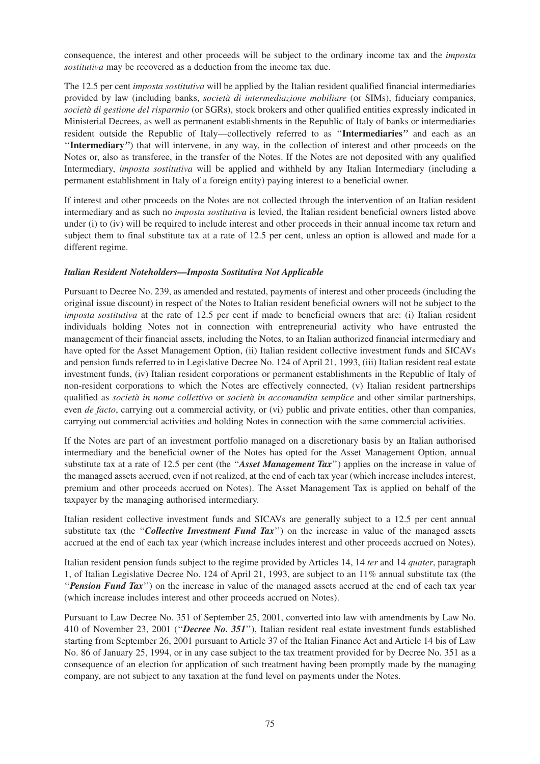consequence, the interest and other proceeds will be subject to the ordinary income tax and the *imposta sostitutiva* may be recovered as a deduction from the income tax due.

The 12.5 per cent *imposta sostitutiva* will be applied by the Italian resident qualified financial intermediaries provided by law (including banks, *società di intermediazione mobiliare* (or SIMs), fiduciary companies, *società di gestione del risparmio* (or SGRs), stock brokers and other qualified entities expressly indicated in Ministerial Decrees, as well as permanent establishments in the Republic of Italy of banks or intermediaries resident outside the Republic of Italy—collectively referred to as ''**Intermediaries***''* and each as an ''**Intermediary***''*) that will intervene, in any way, in the collection of interest and other proceeds on the Notes or, also as transferee, in the transfer of the Notes. If the Notes are not deposited with any qualified Intermediary, *imposta sostitutiva* will be applied and withheld by any Italian Intermediary (including a permanent establishment in Italy of a foreign entity) paying interest to a beneficial owner.

If interest and other proceeds on the Notes are not collected through the intervention of an Italian resident intermediary and as such no *imposta sostitutiva* is levied, the Italian resident beneficial owners listed above under (i) to (iv) will be required to include interest and other proceeds in their annual income tax return and subject them to final substitute tax at a rate of 12.5 per cent, unless an option is allowed and made for a different regime.

## *Italian Resident Noteholders—Imposta Sostitutiva Not Applicable*

Pursuant to Decree No. 239, as amended and restated, payments of interest and other proceeds (including the original issue discount) in respect of the Notes to Italian resident beneficial owners will not be subject to the *imposta sostitutiva* at the rate of 12.5 per cent if made to beneficial owners that are: (i) Italian resident individuals holding Notes not in connection with entrepreneurial activity who have entrusted the management of their financial assets, including the Notes, to an Italian authorized financial intermediary and have opted for the Asset Management Option, (ii) Italian resident collective investment funds and SICAVs and pension funds referred to in Legislative Decree No. 124 of April 21, 1993, (iii) Italian resident real estate investment funds, (iv) Italian resident corporations or permanent establishments in the Republic of Italy of non-resident corporations to which the Notes are effectively connected, (v) Italian resident partnerships qualified as *società in nome collettivo* or *società in accomandita semplice* and other similar partnerships, even *de facto*, carrying out a commercial activity, or (vi) public and private entities, other than companies, carrying out commercial activities and holding Notes in connection with the same commercial activities.

If the Notes are part of an investment portfolio managed on a discretionary basis by an Italian authorised intermediary and the beneficial owner of the Notes has opted for the Asset Management Option, annual substitute tax at a rate of 12.5 per cent (the ''*Asset Management Tax*'') applies on the increase in value of the managed assets accrued, even if not realized, at the end of each tax year (which increase includes interest, premium and other proceeds accrued on Notes). The Asset Management Tax is applied on behalf of the taxpayer by the managing authorised intermediary.

Italian resident collective investment funds and SICAVs are generally subject to a 12.5 per cent annual substitute tax (the "*Collective Investment Fund Tax*") on the increase in value of the managed assets accrued at the end of each tax year (which increase includes interest and other proceeds accrued on Notes).

Italian resident pension funds subject to the regime provided by Articles 14, 14 *ter* and 14 *quater*, paragraph 1, of Italian Legislative Decree No. 124 of April 21, 1993, are subject to an 11% annual substitute tax (the ''*Pension Fund Tax*'') on the increase in value of the managed assets accrued at the end of each tax year (which increase includes interest and other proceeds accrued on Notes).

Pursuant to Law Decree No. 351 of September 25, 2001, converted into law with amendments by Law No. 410 of November 23, 2001 (''*Decree No. 351*''), Italian resident real estate investment funds established starting from September 26, 2001 pursuant to Article 37 of the Italian Finance Act and Article 14 bis of Law No. 86 of January 25, 1994, or in any case subject to the tax treatment provided for by Decree No. 351 as a consequence of an election for application of such treatment having been promptly made by the managing company, are not subject to any taxation at the fund level on payments under the Notes.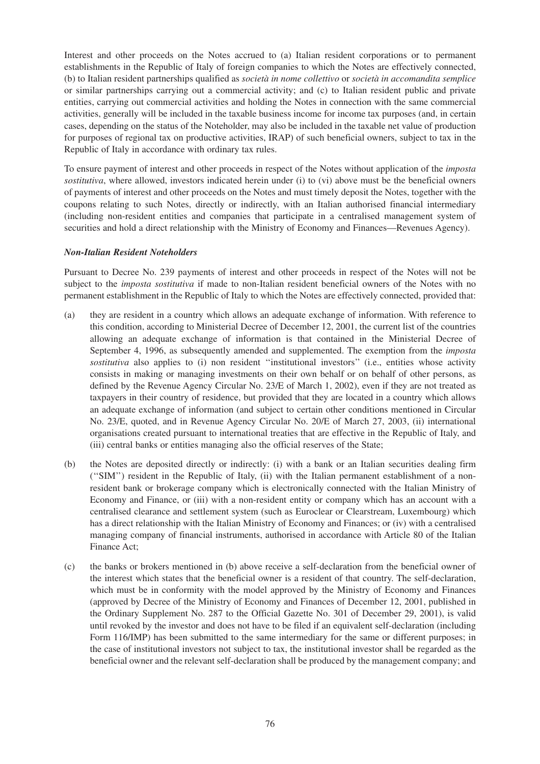Interest and other proceeds on the Notes accrued to (a) Italian resident corporations or to permanent establishments in the Republic of Italy of foreign companies to which the Notes are effectively connected, (b) to Italian resident partnerships qualified as *società in nome collettivo* or *società in accomandita semplice* or similar partnerships carrying out a commercial activity; and (c) to Italian resident public and private entities, carrying out commercial activities and holding the Notes in connection with the same commercial activities, generally will be included in the taxable business income for income tax purposes (and, in certain cases, depending on the status of the Noteholder, may also be included in the taxable net value of production for purposes of regional tax on productive activities, IRAP) of such beneficial owners, subject to tax in the Republic of Italy in accordance with ordinary tax rules.

To ensure payment of interest and other proceeds in respect of the Notes without application of the *imposta sostitutiva*, where allowed, investors indicated herein under (i) to (vi) above must be the beneficial owners of payments of interest and other proceeds on the Notes and must timely deposit the Notes, together with the coupons relating to such Notes, directly or indirectly, with an Italian authorised financial intermediary (including non-resident entities and companies that participate in a centralised management system of securities and hold a direct relationship with the Ministry of Economy and Finances—Revenues Agency).

## *Non-Italian Resident Noteholders*

Pursuant to Decree No. 239 payments of interest and other proceeds in respect of the Notes will not be subject to the *imposta sostitutiva* if made to non-Italian resident beneficial owners of the Notes with no permanent establishment in the Republic of Italy to which the Notes are effectively connected, provided that:

- (a) they are resident in a country which allows an adequate exchange of information. With reference to this condition, according to Ministerial Decree of December 12, 2001, the current list of the countries allowing an adequate exchange of information is that contained in the Ministerial Decree of September 4, 1996, as subsequently amended and supplemented. The exemption from the *imposta sostitutiva* also applies to (i) non resident ''institutional investors'' (i.e., entities whose activity consists in making or managing investments on their own behalf or on behalf of other persons, as defined by the Revenue Agency Circular No. 23/E of March 1, 2002), even if they are not treated as taxpayers in their country of residence, but provided that they are located in a country which allows an adequate exchange of information (and subject to certain other conditions mentioned in Circular No. 23/E, quoted, and in Revenue Agency Circular No. 20/E of March 27, 2003, (ii) international organisations created pursuant to international treaties that are effective in the Republic of Italy, and (iii) central banks or entities managing also the official reserves of the State;
- (b) the Notes are deposited directly or indirectly: (i) with a bank or an Italian securities dealing firm (''SIM'') resident in the Republic of Italy, (ii) with the Italian permanent establishment of a nonresident bank or brokerage company which is electronically connected with the Italian Ministry of Economy and Finance, or (iii) with a non-resident entity or company which has an account with a centralised clearance and settlement system (such as Euroclear or Clearstream, Luxembourg) which has a direct relationship with the Italian Ministry of Economy and Finances; or (iv) with a centralised managing company of financial instruments, authorised in accordance with Article 80 of the Italian Finance Act;
- (c) the banks or brokers mentioned in (b) above receive a self-declaration from the beneficial owner of the interest which states that the beneficial owner is a resident of that country. The self-declaration, which must be in conformity with the model approved by the Ministry of Economy and Finances (approved by Decree of the Ministry of Economy and Finances of December 12, 2001, published in the Ordinary Supplement No. 287 to the Official Gazette No. 301 of December 29, 2001), is valid until revoked by the investor and does not have to be filed if an equivalent self-declaration (including Form 116/IMP) has been submitted to the same intermediary for the same or different purposes; in the case of institutional investors not subject to tax, the institutional investor shall be regarded as the beneficial owner and the relevant self-declaration shall be produced by the management company; and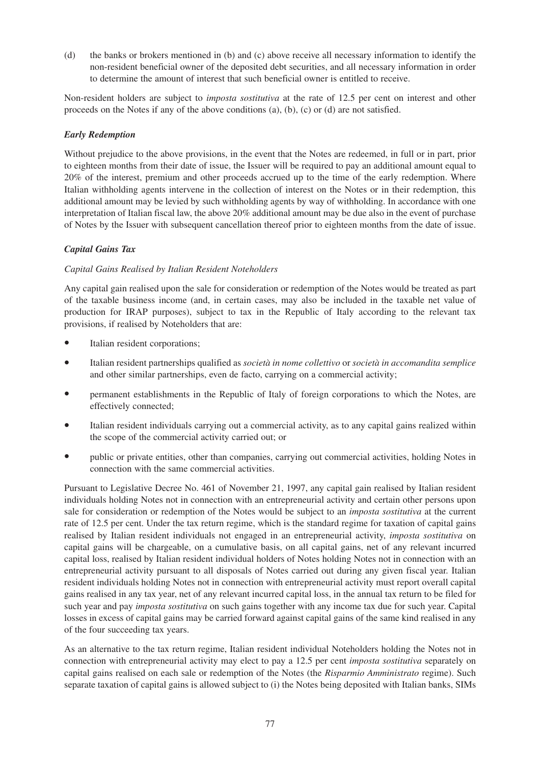(d) the banks or brokers mentioned in (b) and (c) above receive all necessary information to identify the non-resident beneficial owner of the deposited debt securities, and all necessary information in order to determine the amount of interest that such beneficial owner is entitled to receive.

Non-resident holders are subject to *imposta sostitutiva* at the rate of 12.5 per cent on interest and other proceeds on the Notes if any of the above conditions (a), (b), (c) or (d) are not satisfied.

## *Early Redemption*

Without prejudice to the above provisions, in the event that the Notes are redeemed, in full or in part, prior to eighteen months from their date of issue, the Issuer will be required to pay an additional amount equal to 20% of the interest, premium and other proceeds accrued up to the time of the early redemption. Where Italian withholding agents intervene in the collection of interest on the Notes or in their redemption, this additional amount may be levied by such withholding agents by way of withholding. In accordance with one interpretation of Italian fiscal law, the above 20% additional amount may be due also in the event of purchase of Notes by the Issuer with subsequent cancellation thereof prior to eighteen months from the date of issue.

## *Capital Gains Tax*

## *Capital Gains Realised by Italian Resident Noteholders*

Any capital gain realised upon the sale for consideration or redemption of the Notes would be treated as part of the taxable business income (and, in certain cases, may also be included in the taxable net value of production for IRAP purposes), subject to tax in the Republic of Italy according to the relevant tax provisions, if realised by Noteholders that are:

- Italian resident corporations:
- Italian resident partnerships qualified as *società in nome collettivo* or *società in accomandita semplice* and other similar partnerships, even de facto, carrying on a commercial activity;
- permanent establishments in the Republic of Italy of foreign corporations to which the Notes, are effectively connected;
- Italian resident individuals carrying out a commercial activity, as to any capital gains realized within the scope of the commercial activity carried out; or
- public or private entities, other than companies, carrying out commercial activities, holding Notes in connection with the same commercial activities.

Pursuant to Legislative Decree No. 461 of November 21, 1997, any capital gain realised by Italian resident individuals holding Notes not in connection with an entrepreneurial activity and certain other persons upon sale for consideration or redemption of the Notes would be subject to an *imposta sostitutiva* at the current rate of 12.5 per cent. Under the tax return regime, which is the standard regime for taxation of capital gains realised by Italian resident individuals not engaged in an entrepreneurial activity, *imposta sostitutiva* on capital gains will be chargeable, on a cumulative basis, on all capital gains, net of any relevant incurred capital loss, realised by Italian resident individual holders of Notes holding Notes not in connection with an entrepreneurial activity pursuant to all disposals of Notes carried out during any given fiscal year. Italian resident individuals holding Notes not in connection with entrepreneurial activity must report overall capital gains realised in any tax year, net of any relevant incurred capital loss, in the annual tax return to be filed for such year and pay *imposta sostitutiva* on such gains together with any income tax due for such year. Capital losses in excess of capital gains may be carried forward against capital gains of the same kind realised in any of the four succeeding tax years.

As an alternative to the tax return regime, Italian resident individual Noteholders holding the Notes not in connection with entrepreneurial activity may elect to pay a 12.5 per cent *imposta sostitutiva* separately on capital gains realised on each sale or redemption of the Notes (the *Risparmio Amministrato* regime). Such separate taxation of capital gains is allowed subject to (i) the Notes being deposited with Italian banks, SIMs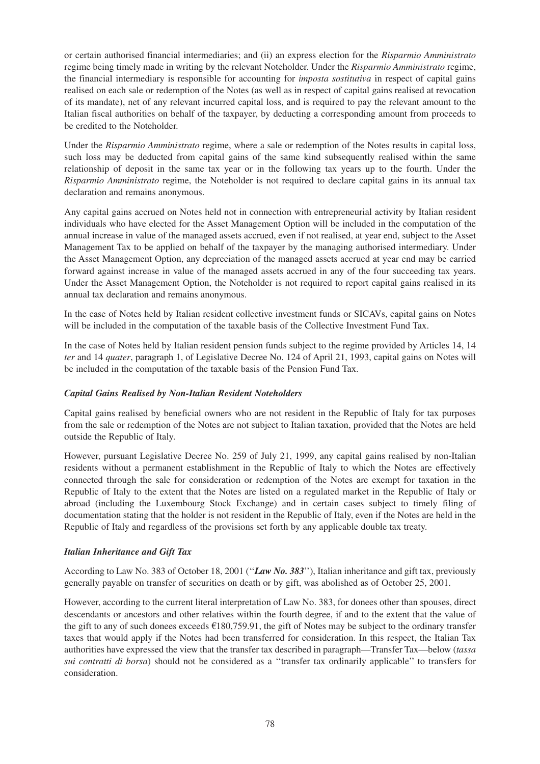or certain authorised financial intermediaries; and (ii) an express election for the *Risparmio Amministrato* regime being timely made in writing by the relevant Noteholder. Under the *Risparmio Amministrato* regime, the financial intermediary is responsible for accounting for *imposta sostitutiva* in respect of capital gains realised on each sale or redemption of the Notes (as well as in respect of capital gains realised at revocation of its mandate), net of any relevant incurred capital loss, and is required to pay the relevant amount to the Italian fiscal authorities on behalf of the taxpayer, by deducting a corresponding amount from proceeds to be credited to the Noteholder.

Under the *Risparmio Amministrato* regime, where a sale or redemption of the Notes results in capital loss, such loss may be deducted from capital gains of the same kind subsequently realised within the same relationship of deposit in the same tax year or in the following tax years up to the fourth. Under the *Risparmio Amministrato* regime, the Noteholder is not required to declare capital gains in its annual tax declaration and remains anonymous.

Any capital gains accrued on Notes held not in connection with entrepreneurial activity by Italian resident individuals who have elected for the Asset Management Option will be included in the computation of the annual increase in value of the managed assets accrued, even if not realised, at year end, subject to the Asset Management Tax to be applied on behalf of the taxpayer by the managing authorised intermediary. Under the Asset Management Option, any depreciation of the managed assets accrued at year end may be carried forward against increase in value of the managed assets accrued in any of the four succeeding tax years. Under the Asset Management Option, the Noteholder is not required to report capital gains realised in its annual tax declaration and remains anonymous.

In the case of Notes held by Italian resident collective investment funds or SICAVs, capital gains on Notes will be included in the computation of the taxable basis of the Collective Investment Fund Tax.

In the case of Notes held by Italian resident pension funds subject to the regime provided by Articles 14, 14 *ter* and 14 *quater*, paragraph 1, of Legislative Decree No. 124 of April 21, 1993, capital gains on Notes will be included in the computation of the taxable basis of the Pension Fund Tax.

## *Capital Gains Realised by Non-Italian Resident Noteholders*

Capital gains realised by beneficial owners who are not resident in the Republic of Italy for tax purposes from the sale or redemption of the Notes are not subject to Italian taxation, provided that the Notes are held outside the Republic of Italy.

However, pursuant Legislative Decree No. 259 of July 21, 1999, any capital gains realised by non-Italian residents without a permanent establishment in the Republic of Italy to which the Notes are effectively connected through the sale for consideration or redemption of the Notes are exempt for taxation in the Republic of Italy to the extent that the Notes are listed on a regulated market in the Republic of Italy or abroad (including the Luxembourg Stock Exchange) and in certain cases subject to timely filing of documentation stating that the holder is not resident in the Republic of Italy, even if the Notes are held in the Republic of Italy and regardless of the provisions set forth by any applicable double tax treaty.

#### *Italian Inheritance and Gift Tax*

According to Law No. 383 of October 18, 2001 (''*Law No. 383*''), Italian inheritance and gift tax, previously generally payable on transfer of securities on death or by gift, was abolished as of October 25, 2001.

However, according to the current literal interpretation of Law No. 383, for donees other than spouses, direct descendants or ancestors and other relatives within the fourth degree, if and to the extent that the value of the gift to any of such donees exceeds €180,759.91, the gift of Notes may be subject to the ordinary transfer taxes that would apply if the Notes had been transferred for consideration. In this respect, the Italian Tax authorities have expressed the view that the transfer tax described in paragraph—Transfer Tax—below (*tassa sui contratti di borsa*) should not be considered as a ''transfer tax ordinarily applicable'' to transfers for consideration.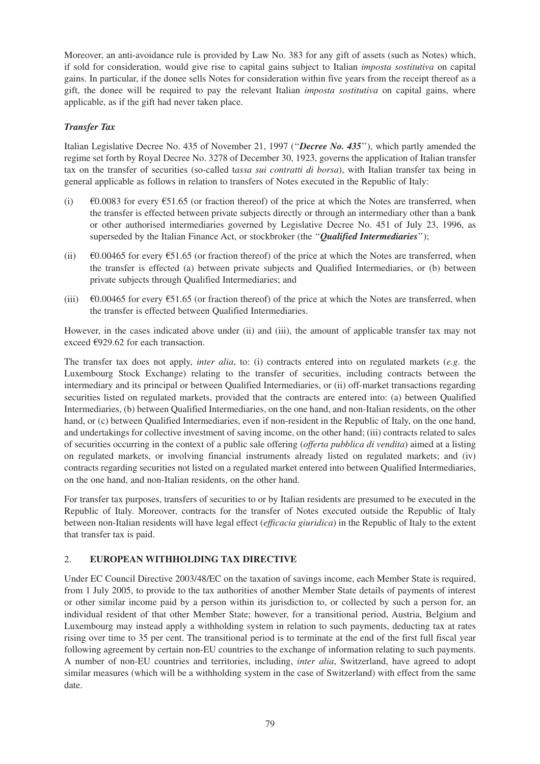Moreover, an anti-avoidance rule is provided by Law No. 383 for any gift of assets (such as Notes) which, if sold for consideration, would give rise to capital gains subject to Italian *imposta sostitutiva* on capital gains. In particular, if the donee sells Notes for consideration within five years from the receipt thereof as a gift, the donee will be required to pay the relevant Italian *imposta sostitutiva* on capital gains, where applicable, as if the gift had never taken place.

## *Transfer Tax*

Italian Legislative Decree No. 435 of November 21, 1997 (''*Decree No. 435*''), which partly amended the regime set forth by Royal Decree No. 3278 of December 30, 1923, governs the application of Italian transfer tax on the transfer of securities (so-called t*assa sui contratti di borsa*), with Italian transfer tax being in general applicable as follows in relation to transfers of Notes executed in the Republic of Italy:

- (i)  $\epsilon$ 0.0083 for every  $\epsilon$ 51.65 (or fraction thereof) of the price at which the Notes are transferred, when the transfer is effected between private subjects directly or through an intermediary other than a bank or other authorised intermediaries governed by Legislative Decree No. 451 of July 23, 1996, as superseded by the Italian Finance Act, or stockbroker (the ''*Qualified Intermediaries*'');
- (ii)  $\epsilon$ 0.00465 for every  $\epsilon$ 51.65 (or fraction thereof) of the price at which the Notes are transferred, when the transfer is effected (a) between private subjects and Qualified Intermediaries, or (b) between private subjects through Qualified Intermediaries; and
- (iii)  $\epsilon$ 0.00465 for every  $\epsilon$ 51.65 (or fraction thereof) of the price at which the Notes are transferred, when the transfer is effected between Qualified Intermediaries.

However, in the cases indicated above under (ii) and (iii), the amount of applicable transfer tax may not exceed €929.62 for each transaction.

The transfer tax does not apply, *inter alia*, to: (i) contracts entered into on regulated markets (*e.g*. the Luxembourg Stock Exchange) relating to the transfer of securities, including contracts between the intermediary and its principal or between Qualified Intermediaries, or (ii) off-market transactions regarding securities listed on regulated markets, provided that the contracts are entered into: (a) between Qualified Intermediaries, (b) between Qualified Intermediaries, on the one hand, and non-Italian residents, on the other hand, or (c) between Qualified Intermediaries, even if non-resident in the Republic of Italy, on the one hand, and undertakings for collective investment of saving income, on the other hand; (iii) contracts related to sales of securities occurring in the context of a public sale offering (*offerta pubblica di vendita*) aimed at a listing on regulated markets, or involving financial instruments already listed on regulated markets; and (iv) contracts regarding securities not listed on a regulated market entered into between Qualified Intermediaries, on the one hand, and non-Italian residents, on the other hand.

For transfer tax purposes, transfers of securities to or by Italian residents are presumed to be executed in the Republic of Italy. Moreover, contracts for the transfer of Notes executed outside the Republic of Italy between non-Italian residents will have legal effect (*efficacia giuridica*) in the Republic of Italy to the extent that transfer tax is paid.

## 2. **EUROPEAN WITHHOLDING TAX DIRECTIVE**

Under EC Council Directive 2003/48/EC on the taxation of savings income, each Member State is required, from 1 July 2005, to provide to the tax authorities of another Member State details of payments of interest or other similar income paid by a person within its jurisdiction to, or collected by such a person for, an individual resident of that other Member State; however, for a transitional period, Austria, Belgium and Luxembourg may instead apply a withholding system in relation to such payments, deducting tax at rates rising over time to 35 per cent. The transitional period is to terminate at the end of the first full fiscal year following agreement by certain non-EU countries to the exchange of information relating to such payments. A number of non-EU countries and territories, including, *inter alia*, Switzerland, have agreed to adopt similar measures (which will be a withholding system in the case of Switzerland) with effect from the same date.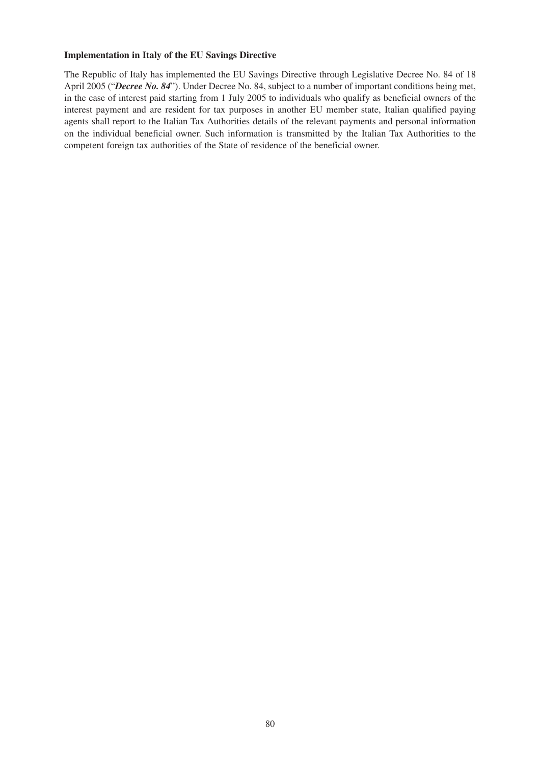## **Implementation in Italy of the EU Savings Directive**

The Republic of Italy has implemented the EU Savings Directive through Legislative Decree No. 84 of 18 April 2005 ("*Decree No. 84*"). Under Decree No. 84, subject to a number of important conditions being met, in the case of interest paid starting from 1 July 2005 to individuals who qualify as beneficial owners of the interest payment and are resident for tax purposes in another EU member state, Italian qualified paying agents shall report to the Italian Tax Authorities details of the relevant payments and personal information on the individual beneficial owner. Such information is transmitted by the Italian Tax Authorities to the competent foreign tax authorities of the State of residence of the beneficial owner.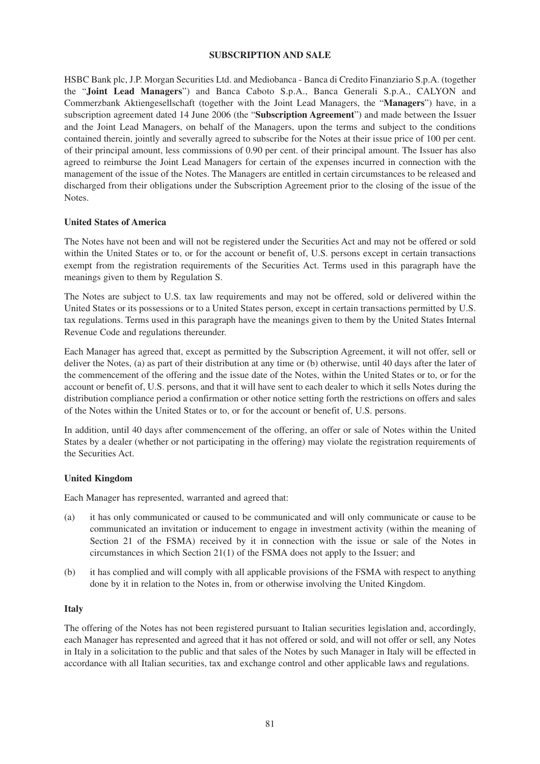### **SUBSCRIPTION AND SALE**

HSBC Bank plc, J.P. Morgan Securities Ltd. and Mediobanca - Banca di Credito Finanziario S.p.A. (together the "**Joint Lead Managers**") and Banca Caboto S.p.A., Banca Generali S.p.A., CALYON and Commerzbank Aktiengesellschaft (together with the Joint Lead Managers, the "**Managers**") have, in a subscription agreement dated 14 June 2006 (the "**Subscription Agreement**") and made between the Issuer and the Joint Lead Managers, on behalf of the Managers, upon the terms and subject to the conditions contained therein, jointly and severally agreed to subscribe for the Notes at their issue price of 100 per cent. of their principal amount, less commissions of 0.90 per cent. of their principal amount. The Issuer has also agreed to reimburse the Joint Lead Managers for certain of the expenses incurred in connection with the management of the issue of the Notes. The Managers are entitled in certain circumstances to be released and discharged from their obligations under the Subscription Agreement prior to the closing of the issue of the Notes.

#### **United States of America**

The Notes have not been and will not be registered under the Securities Act and may not be offered or sold within the United States or to, or for the account or benefit of, U.S. persons except in certain transactions exempt from the registration requirements of the Securities Act. Terms used in this paragraph have the meanings given to them by Regulation S.

The Notes are subject to U.S. tax law requirements and may not be offered, sold or delivered within the United States or its possessions or to a United States person, except in certain transactions permitted by U.S. tax regulations. Terms used in this paragraph have the meanings given to them by the United States Internal Revenue Code and regulations thereunder.

Each Manager has agreed that, except as permitted by the Subscription Agreement, it will not offer, sell or deliver the Notes, (a) as part of their distribution at any time or (b) otherwise, until 40 days after the later of the commencement of the offering and the issue date of the Notes, within the United States or to, or for the account or benefit of, U.S. persons, and that it will have sent to each dealer to which it sells Notes during the distribution compliance period a confirmation or other notice setting forth the restrictions on offers and sales of the Notes within the United States or to, or for the account or benefit of, U.S. persons.

In addition, until 40 days after commencement of the offering, an offer or sale of Notes within the United States by a dealer (whether or not participating in the offering) may violate the registration requirements of the Securities Act.

## **United Kingdom**

Each Manager has represented, warranted and agreed that:

- (a) it has only communicated or caused to be communicated and will only communicate or cause to be communicated an invitation or inducement to engage in investment activity (within the meaning of Section 21 of the FSMA) received by it in connection with the issue or sale of the Notes in circumstances in which Section 21(1) of the FSMA does not apply to the Issuer; and
- (b) it has complied and will comply with all applicable provisions of the FSMA with respect to anything done by it in relation to the Notes in, from or otherwise involving the United Kingdom.

#### **Italy**

The offering of the Notes has not been registered pursuant to Italian securities legislation and, accordingly, each Manager has represented and agreed that it has not offered or sold, and will not offer or sell, any Notes in Italy in a solicitation to the public and that sales of the Notes by such Manager in Italy will be effected in accordance with all Italian securities, tax and exchange control and other applicable laws and regulations.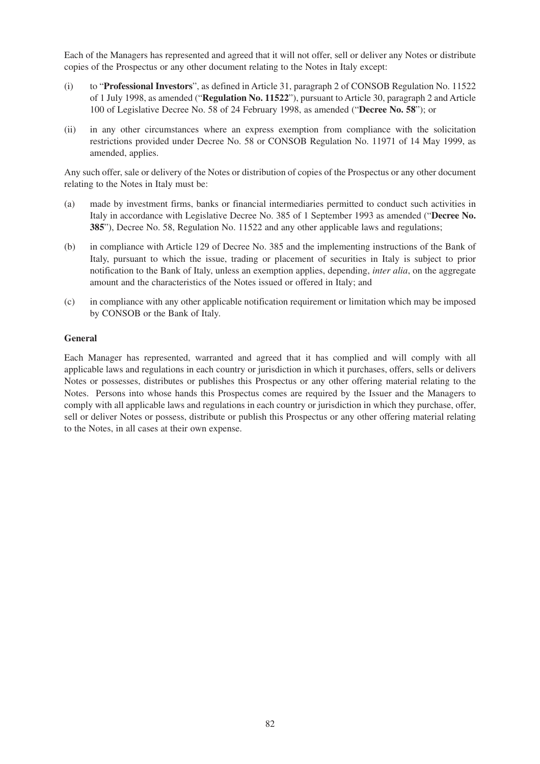Each of the Managers has represented and agreed that it will not offer, sell or deliver any Notes or distribute copies of the Prospectus or any other document relating to the Notes in Italy except:

- (i) to "**Professional Investors**", as defined in Article 31, paragraph 2 of CONSOB Regulation No. 11522 of 1 July 1998, as amended ("**Regulation No. 11522**"), pursuant to Article 30, paragraph 2 and Article 100 of Legislative Decree No. 58 of 24 February 1998, as amended ("**Decree No. 58**"); or
- (ii) in any other circumstances where an express exemption from compliance with the solicitation restrictions provided under Decree No. 58 or CONSOB Regulation No. 11971 of 14 May 1999, as amended, applies.

Any such offer, sale or delivery of the Notes or distribution of copies of the Prospectus or any other document relating to the Notes in Italy must be:

- (a) made by investment firms, banks or financial intermediaries permitted to conduct such activities in Italy in accordance with Legislative Decree No. 385 of 1 September 1993 as amended ("**Decree No. 385**"), Decree No. 58, Regulation No. 11522 and any other applicable laws and regulations;
- (b) in compliance with Article 129 of Decree No. 385 and the implementing instructions of the Bank of Italy, pursuant to which the issue, trading or placement of securities in Italy is subject to prior notification to the Bank of Italy, unless an exemption applies, depending, *inter alia*, on the aggregate amount and the characteristics of the Notes issued or offered in Italy; and
- (c) in compliance with any other applicable notification requirement or limitation which may be imposed by CONSOB or the Bank of Italy.

#### **General**

Each Manager has represented, warranted and agreed that it has complied and will comply with all applicable laws and regulations in each country or jurisdiction in which it purchases, offers, sells or delivers Notes or possesses, distributes or publishes this Prospectus or any other offering material relating to the Notes. Persons into whose hands this Prospectus comes are required by the Issuer and the Managers to comply with all applicable laws and regulations in each country or jurisdiction in which they purchase, offer, sell or deliver Notes or possess, distribute or publish this Prospectus or any other offering material relating to the Notes, in all cases at their own expense.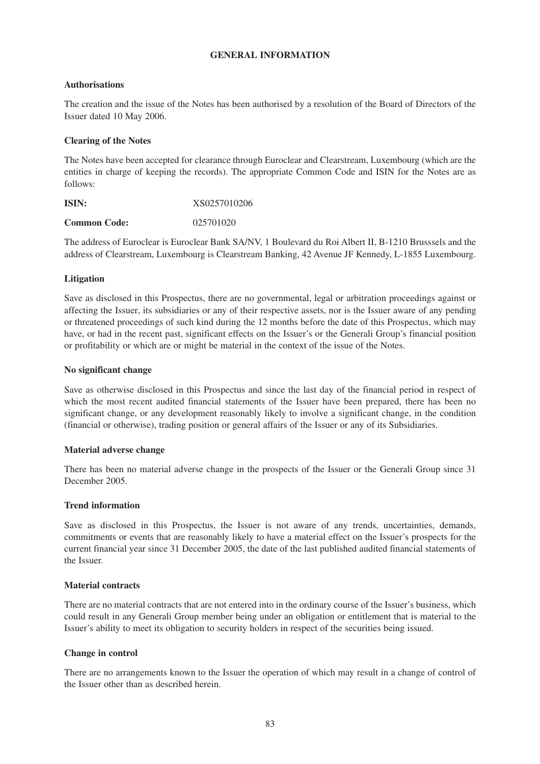#### **GENERAL INFORMATION**

## **Authorisations**

The creation and the issue of the Notes has been authorised by a resolution of the Board of Directors of the Issuer dated 10 May 2006.

## **Clearing of the Notes**

The Notes have been accepted for clearance through Euroclear and Clearstream, Luxembourg (which are the entities in charge of keeping the records). The appropriate Common Code and ISIN for the Notes are as follows:

| ISIN:               | XS0257010206 |
|---------------------|--------------|
| <b>Common Code:</b> | 025701020    |

The address of Euroclear is Euroclear Bank SA/NV, 1 Boulevard du Roi Albert II, B-1210 Brusssels and the address of Clearstream, Luxembourg is Clearstream Banking, 42 Avenue JF Kennedy, L-1855 Luxembourg.

#### **Litigation**

Save as disclosed in this Prospectus, there are no governmental, legal or arbitration proceedings against or affecting the Issuer, its subsidiaries or any of their respective assets, nor is the Issuer aware of any pending or threatened proceedings of such kind during the 12 months before the date of this Prospectus, which may have, or had in the recent past, significant effects on the Issuer's or the Generali Group's financial position or profitability or which are or might be material in the context of the issue of the Notes.

#### **No significant change**

Save as otherwise disclosed in this Prospectus and since the last day of the financial period in respect of which the most recent audited financial statements of the Issuer have been prepared, there has been no significant change, or any development reasonably likely to involve a significant change, in the condition (financial or otherwise), trading position or general affairs of the Issuer or any of its Subsidiaries.

#### **Material adverse change**

There has been no material adverse change in the prospects of the Issuer or the Generali Group since 31 December 2005.

#### **Trend information**

Save as disclosed in this Prospectus, the Issuer is not aware of any trends, uncertainties, demands, commitments or events that are reasonably likely to have a material effect on the Issuer's prospects for the current financial year since 31 December 2005, the date of the last published audited financial statements of the Issuer.

#### **Material contracts**

There are no material contracts that are not entered into in the ordinary course of the Issuer's business, which could result in any Generali Group member being under an obligation or entitlement that is material to the Issuer's ability to meet its obligation to security holders in respect of the securities being issued.

#### **Change in control**

There are no arrangements known to the Issuer the operation of which may result in a change of control of the Issuer other than as described herein.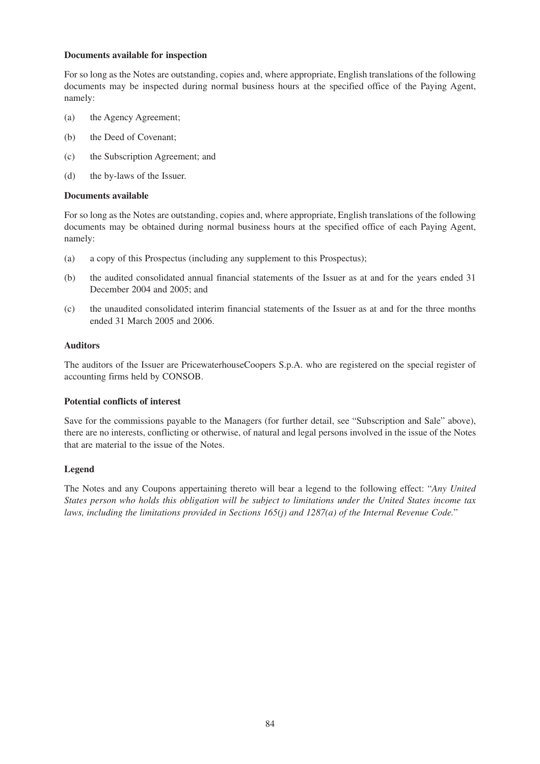## **Documents available for inspection**

For so long as the Notes are outstanding, copies and, where appropriate, English translations of the following documents may be inspected during normal business hours at the specified office of the Paying Agent, namely:

- (a) the Agency Agreement;
- (b) the Deed of Covenant;
- (c) the Subscription Agreement; and
- (d) the by-laws of the Issuer.

#### **Documents available**

For so long as the Notes are outstanding, copies and, where appropriate, English translations of the following documents may be obtained during normal business hours at the specified office of each Paying Agent, namely:

- (a) a copy of this Prospectus (including any supplement to this Prospectus);
- (b) the audited consolidated annual financial statements of the Issuer as at and for the years ended 31 December 2004 and 2005; and
- (c) the unaudited consolidated interim financial statements of the Issuer as at and for the three months ended 31 March 2005 and 2006.

#### **Auditors**

The auditors of the Issuer are PricewaterhouseCoopers S.p.A. who are registered on the special register of accounting firms held by CONSOB.

#### **Potential conflicts of interest**

Save for the commissions payable to the Managers (for further detail, see "Subscription and Sale" above), there are no interests, conflicting or otherwise, of natural and legal persons involved in the issue of the Notes that are material to the issue of the Notes.

## **Legend**

The Notes and any Coupons appertaining thereto will bear a legend to the following effect: "*Any United States person who holds this obligation will be subject to limitations under the United States income tax laws, including the limitations provided in Sections 165(j) and 1287(a) of the Internal Revenue Code.*"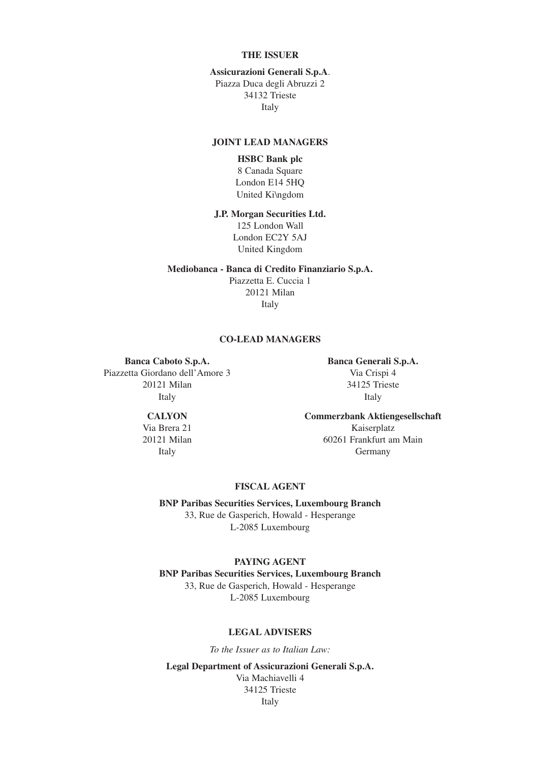## **THE ISSUER**

#### **Assicurazioni Generali S.p.A**.

Piazza Duca degli Abruzzi 2 34132 Trieste Italy

#### **JOINT LEAD MANAGERS**

# **HSBC Bank plc**

8 Canada Square London E14 5HQ United Ki\ngdom

#### **J.P. Morgan Securities Ltd.**

125 London Wall London EC2Y 5AJ United Kingdom

#### **Mediobanca - Banca di Credito Finanziario S.p.A.**

Piazzetta E. Cuccia 1 20121 Milan Italy

#### **CO-LEAD MANAGERS**

**Banca Caboto S.p.A. Banca Generali S.p.A.** Piazzetta Giordano dell'Amore 3 Via Crispi 4 20121 Milan 34125 Trieste Italy Italy

# **CALYON Commerzbank Aktiengesellschaft**

Via Brera 21 Kaiserplatz 20121 Milan 60261 Frankfurt am Main Italy Germany

## **FISCAL AGENT**

**BNP Paribas Securities Services, Luxembourg Branch** 33, Rue de Gasperich, Howald - Hesperange L-2085 Luxembourg

**PAYING AGENT BNP Paribas Securities Services, Luxembourg Branch** 33, Rue de Gasperich, Howald - Hesperange L-2085 Luxembourg

## **LEGAL ADVISERS**

*To the Issuer as to Italian Law:*

**Legal Department of Assicurazioni Generali S.p.A.** Via Machiavelli 4 34125 Trieste Italy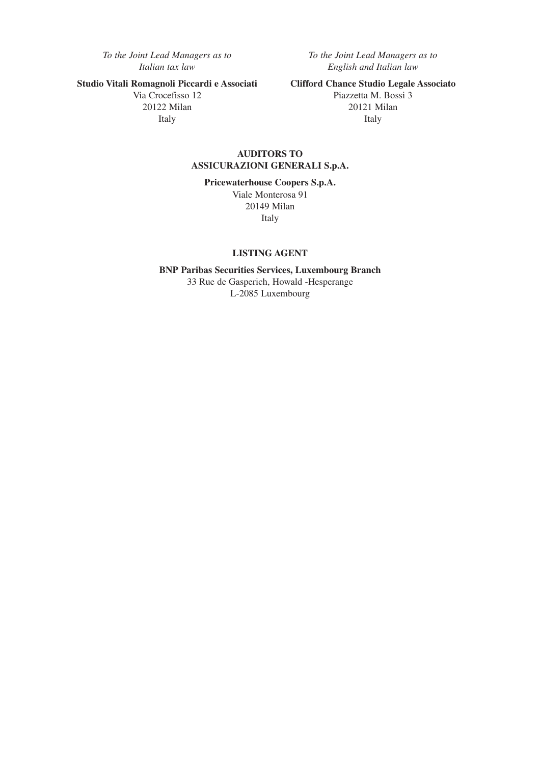20122 Milan

*To the Joint Lead Managers as to To the Joint Lead Managers as to Italian tax law English and Italian law*

**Studio Vitali Romagnoli Piccardi e Associati** Clifford Chance Studio Legale Associato<br>Via Crocefisso 12<br>Piazzetta M. Bossi 3 Piazzetta M. Bossi 3<br>20121 Milan Italy Italy

## **AUDITORS TO ASSICURAZIONI GENERALI S.p.A.**

**Pricewaterhouse Coopers S.p.A.**

Viale Monterosa 91 20149 Milan Italy

## **LISTING AGENT**

**BNP Paribas Securities Services, Luxembourg Branch** 33 Rue de Gasperich, Howald -Hesperange L-2085 Luxembourg